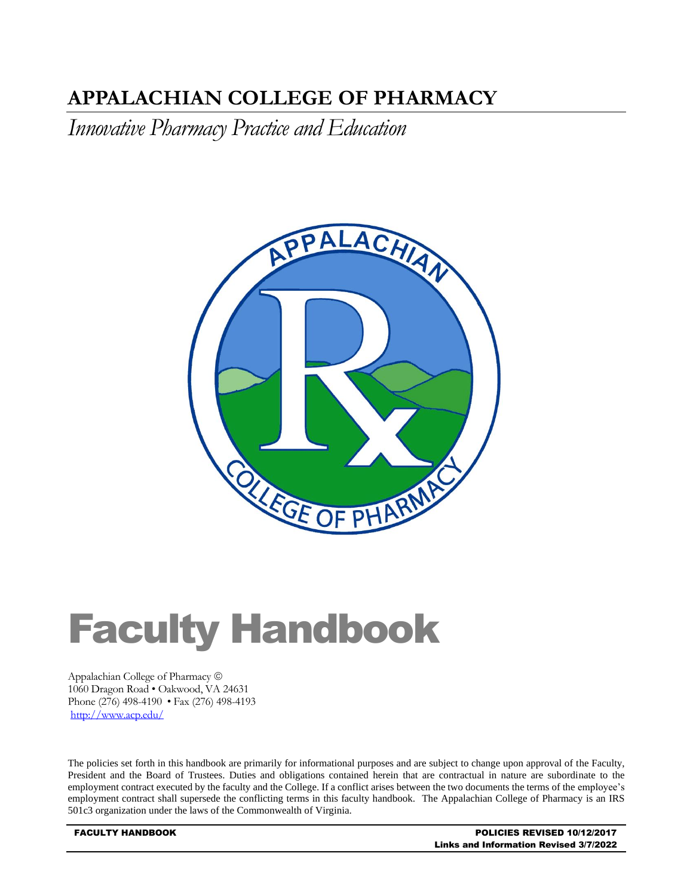### **APPALACHIAN COLLEGE OF PHARMACY**

*Innovative Pharmacy Practice and Education* 



## Faculty Handbook

Appalachian College of Pharmacy © 1060 Dragon Road • Oakwood, VA 24631 Phone (276) 498-4190 • Fax (276) 498-4193 <http://www.acp.edu/>

The policies set forth in this handbook are primarily for informational purposes and are subject to change upon approval of the Faculty, President and the Board of Trustees. Duties and obligations contained herein that are contractual in nature are subordinate to the employment contract executed by the faculty and the College. If a conflict arises between the two documents the terms of the employee's employment contract shall supersede the conflicting terms in this faculty handbook. The Appalachian College of Pharmacy is an IRS 501c3 organization under the laws of the Commonwealth of Virginia.

FACULTY HANDBOOK POLICIES REVISED 10/12/2017 Links and Information Revised 3/7/2022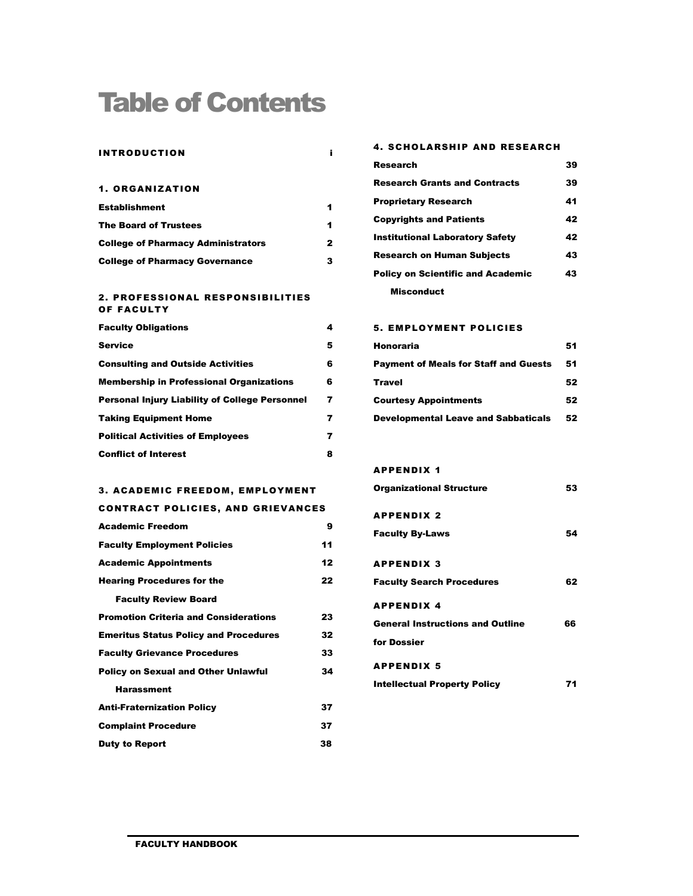## Table of Contents

#### INTRODUCTION i

#### 1. ORGANIZATION

| <b>Establishment</b>                      | 1 |
|-------------------------------------------|---|
| <b>The Board of Trustees</b>              | 1 |
| <b>College of Pharmacy Administrators</b> | 2 |
| <b>College of Pharmacy Governance</b>     |   |

#### 2. PROFESSIONAL RESPONSIBILITIES OF FACULTY

| <b>Faculty Obligations</b>                            | 4 |
|-------------------------------------------------------|---|
| Service                                               | 5 |
| <b>Consulting and Outside Activities</b>              | 6 |
| <b>Membership in Professional Organizations</b>       | 6 |
| <b>Personal Injury Liability of College Personnel</b> | 7 |
| <b>Taking Equipment Home</b>                          | 7 |
| <b>Political Activities of Employees</b>              | 7 |
| <b>Conflict of Interest</b>                           | 8 |

#### 4. SCHOLARSHIP AND RESEARCH

| Research                                 | 39 |
|------------------------------------------|----|
| <b>Research Grants and Contracts</b>     | 39 |
| Proprietary Research                     | 41 |
| <b>Copyrights and Patients</b>           | 42 |
| Institutional Laboratory Safety          | 42 |
| Research on Human Subjects               | 43 |
| <b>Policy on Scientific and Academic</b> | 43 |
| <b>Misconduct</b>                        |    |

#### 5. EMPLOYMENT POLICIES

| Honoraria                                    | 51 |
|----------------------------------------------|----|
| <b>Payment of Meals for Staff and Guests</b> | 51 |
| <b>Travel</b>                                | 52 |
| <b>Courtesy Appointments</b>                 | 52 |
| <b>Developmental Leave and Sabbaticals</b>   | 52 |

#### APPENDIX 1

| <b>Organizational Structure</b>         | 53 |
|-----------------------------------------|----|
| <b>APPENDIX 2</b>                       |    |
| <b>Faculty By-Laws</b>                  | 54 |
| <b>APPENDIX 3</b>                       |    |
| <b>Faculty Search Procedures</b>        | 62 |
| <b>APPENDIX 4</b>                       |    |
| <b>General Instructions and Outline</b> | 66 |
| for Dossier                             |    |
| <b>APPENDIX 5</b>                       |    |
| <b>Intellectual Property Policy</b>     | 71 |

#### 3. ACADEMIC FREEDOM, EMPLOYMENT

#### CONTRACT POLICIES, AND GRIEVANCES

| <b>Academic Freedom</b>                      | 9  |
|----------------------------------------------|----|
| <b>Faculty Employment Policies</b>           | 11 |
| <b>Academic Appointments</b>                 | 12 |
| <b>Hearing Procedures for the</b>            | 22 |
| <b>Faculty Review Board</b>                  |    |
| <b>Promotion Criteria and Considerations</b> | 23 |
| <b>Emeritus Status Policy and Procedures</b> | 32 |
| <b>Faculty Grievance Procedures</b>          | 33 |
| <b>Policy on Sexual and Other Unlawful</b>   | 34 |
| <b>Harassment</b>                            |    |
| <b>Anti-Fraternization Policy</b>            | 37 |
| <b>Complaint Procedure</b>                   | 37 |
| <b>Duty to Report</b>                        | 38 |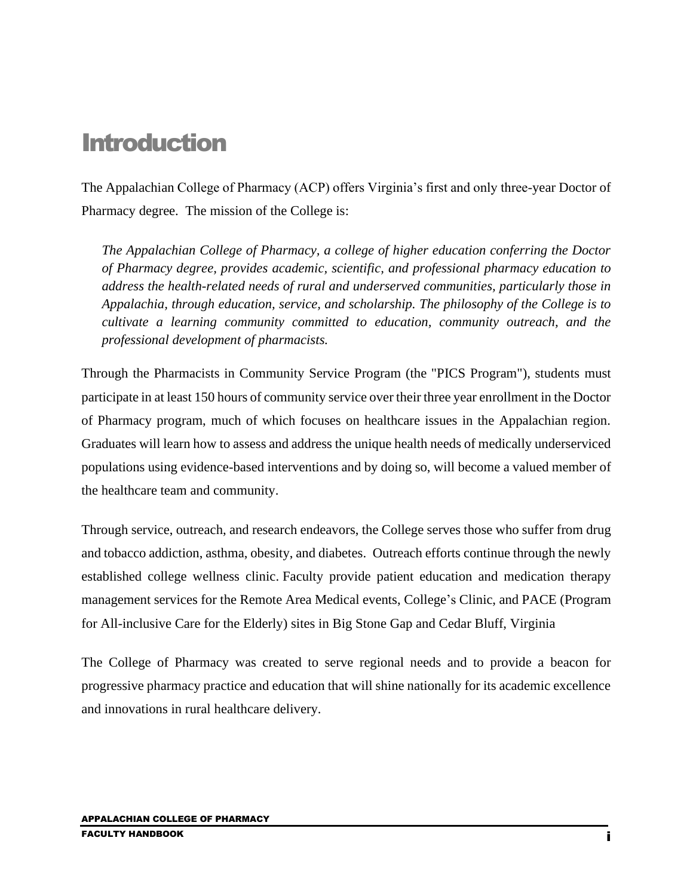### **Introduction**

The Appalachian College of Pharmacy (ACP) offers Virginia's first and only three-year Doctor of Pharmacy degree. The mission of the College is:

*The Appalachian College of Pharmacy, a college of higher education conferring the Doctor of Pharmacy degree, provides academic, scientific, and professional pharmacy education to address the health-related needs of rural and underserved communities, particularly those in Appalachia, through education, service, and scholarship. The philosophy of the College is to cultivate a learning community committed to education, community outreach, and the professional development of pharmacists.*

Through the Pharmacists in Community Service Program (the "PICS Program"), students must participate in at least 150 hours of community service over their three year enrollment in the Doctor of Pharmacy program, much of which focuses on healthcare issues in the Appalachian region. Graduates will learn how to assess and address the unique health needs of medically underserviced populations using evidence-based interventions and by doing so, will become a valued member of the healthcare team and community.

Through service, outreach, and research endeavors, the College serves those who suffer from drug and tobacco addiction, asthma, obesity, and diabetes. Outreach efforts continue through the newly established college wellness clinic. Faculty provide patient education and medication therapy management services for the Remote Area Medical events, College's Clinic, and PACE (Program for All-inclusive Care for the Elderly) sites in Big Stone Gap and Cedar Bluff, Virginia

The College of Pharmacy was created to serve regional needs and to provide a beacon for progressive pharmacy practice and education that will shine nationally for its academic excellence and innovations in rural healthcare delivery.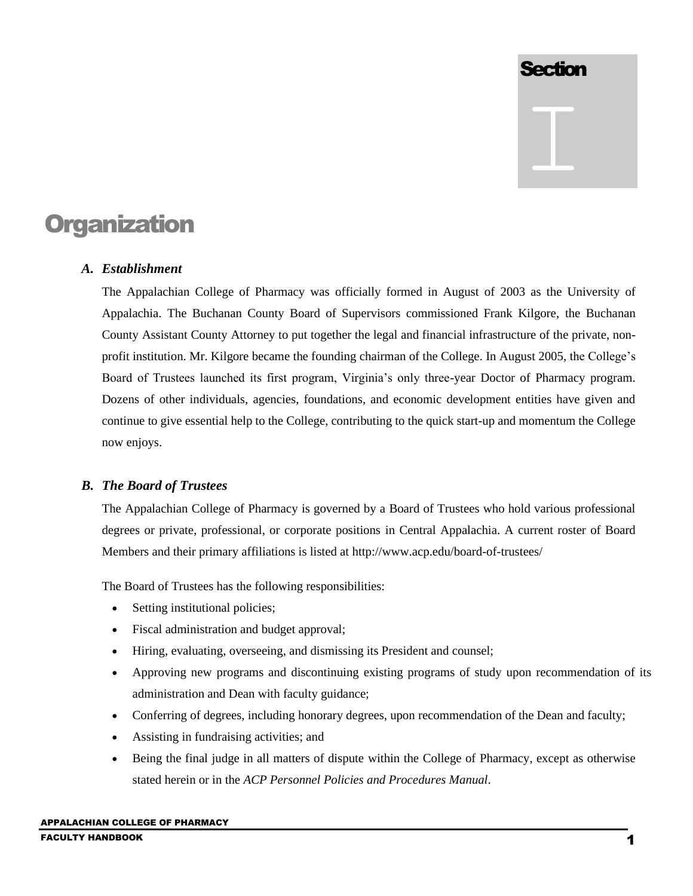

## **Organization**

#### *A. Establishment*

The Appalachian College of Pharmacy was officially formed in August of 2003 as the University of Appalachia. The Buchanan County Board of Supervisors commissioned Frank Kilgore, the Buchanan County Assistant County Attorney to put together the legal and financial infrastructure of the private, nonprofit institution. Mr. Kilgore became the founding chairman of the College. In August 2005, the College's Board of Trustees launched its first program, Virginia's only three-year Doctor of Pharmacy program. Dozens of other individuals, agencies, foundations, and economic development entities have given and continue to give essential help to the College, contributing to the quick start-up and momentum the College now enjoys.

#### *B. The Board of Trustees*

The Appalachian College of Pharmacy is governed by a Board of Trustees who hold various professional degrees or private, professional, or corporate positions in Central Appalachia. A current roster of Board Members and their primary affiliations is listed at http://www.acp.edu/board-of-trustees/

The Board of Trustees has the following responsibilities:

- Setting institutional policies;
- Fiscal administration and budget approval;
- Hiring, evaluating, overseeing, and dismissing its President and counsel;
- Approving new programs and discontinuing existing programs of study upon recommendation of its administration and Dean with faculty guidance;
- Conferring of degrees, including honorary degrees, upon recommendation of the Dean and faculty;
- Assisting in fundraising activities; and
- Being the final judge in all matters of dispute within the College of Pharmacy, except as otherwise stated herein or in the *ACP Personnel Policies and Procedures Manual*.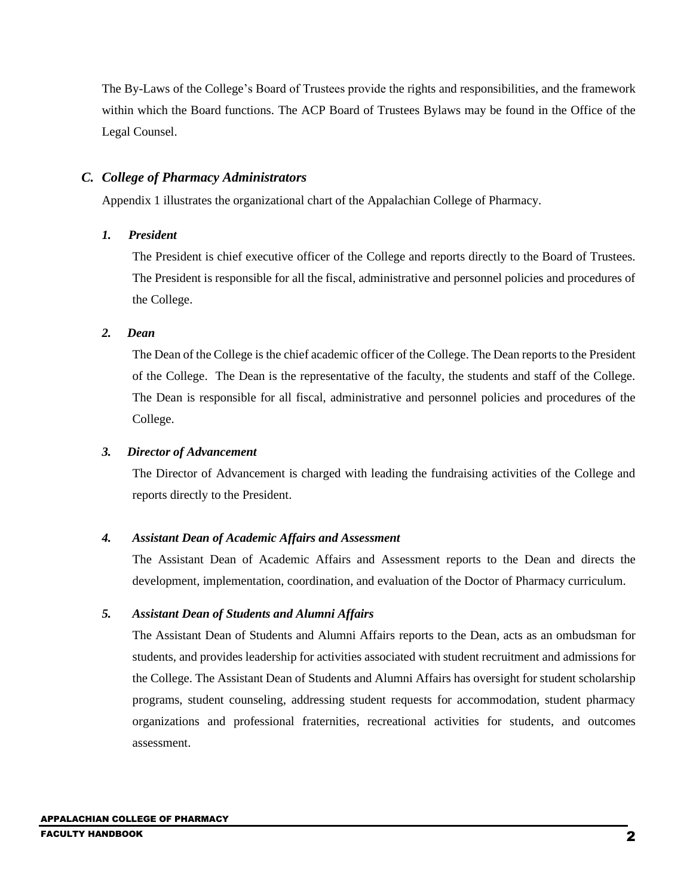The By-Laws of the College's Board of Trustees provide the rights and responsibilities, and the framework within which the Board functions. The ACP Board of Trustees Bylaws may be found in the Office of the Legal Counsel.

#### *C. College of Pharmacy Administrators*

Appendix 1 illustrates the organizational chart of the Appalachian College of Pharmacy.

#### *1. President*

The President is chief executive officer of the College and reports directly to the Board of Trustees. The President is responsible for all the fiscal, administrative and personnel policies and procedures of the College.

#### *2. Dean*

The Dean of the College is the chief academic officer of the College. The Dean reports to the President of the College. The Dean is the representative of the faculty, the students and staff of the College. The Dean is responsible for all fiscal, administrative and personnel policies and procedures of the College.

#### *3. Director of Advancement*

The Director of Advancement is charged with leading the fundraising activities of the College and reports directly to the President.

#### *4. Assistant Dean of Academic Affairs and Assessment*

The Assistant Dean of Academic Affairs and Assessment reports to the Dean and directs the development, implementation, coordination, and evaluation of the Doctor of Pharmacy curriculum.

#### *5. Assistant Dean of Students and Alumni Affairs*

The Assistant Dean of Students and Alumni Affairs reports to the Dean, acts as an ombudsman for students, and provides leadership for activities associated with student recruitment and admissions for the College. The Assistant Dean of Students and Alumni Affairs has oversight for student scholarship programs, student counseling, addressing student requests for accommodation, student pharmacy organizations and professional fraternities, recreational activities for students, and outcomes assessment.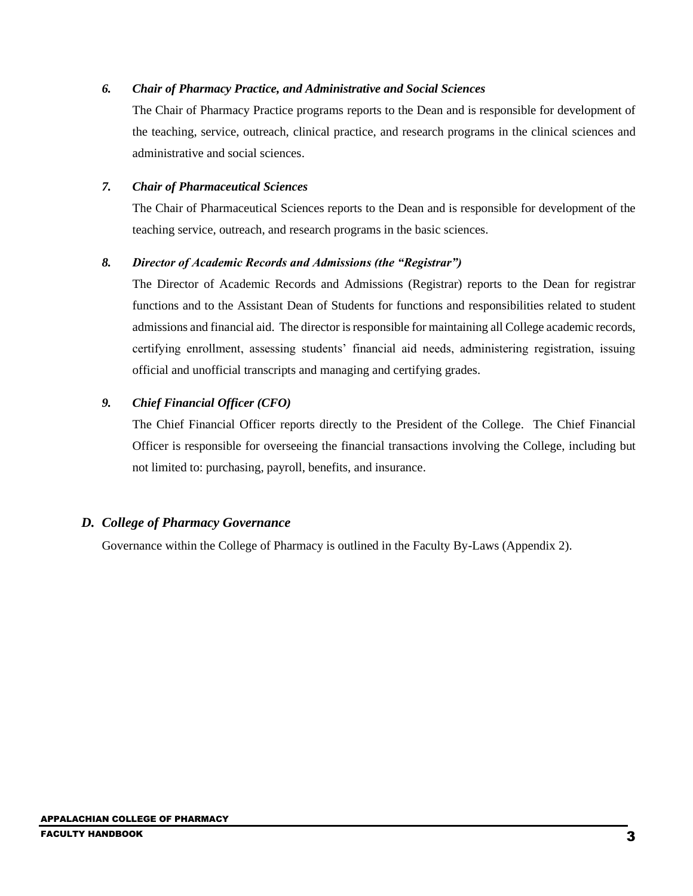#### *6. Chair of Pharmacy Practice, and Administrative and Social Sciences*

The Chair of Pharmacy Practice programs reports to the Dean and is responsible for development of the teaching, service, outreach, clinical practice, and research programs in the clinical sciences and administrative and social sciences.

#### *7. Chair of Pharmaceutical Sciences*

The Chair of Pharmaceutical Sciences reports to the Dean and is responsible for development of the teaching service, outreach, and research programs in the basic sciences.

#### *8. Director of Academic Records and Admissions (the "Registrar")*

The Director of Academic Records and Admissions (Registrar) reports to the Dean for registrar functions and to the Assistant Dean of Students for functions and responsibilities related to student admissions and financial aid. The director is responsible for maintaining all College academic records, certifying enrollment, assessing students' financial aid needs, administering registration, issuing official and unofficial transcripts and managing and certifying grades.

#### *9. Chief Financial Officer (CFO)*

The Chief Financial Officer reports directly to the President of the College. The Chief Financial Officer is responsible for overseeing the financial transactions involving the College, including but not limited to: purchasing, payroll, benefits, and insurance.

#### *D. College of Pharmacy Governance*

Governance within the College of Pharmacy is outlined in the Faculty By-Laws (Appendix 2).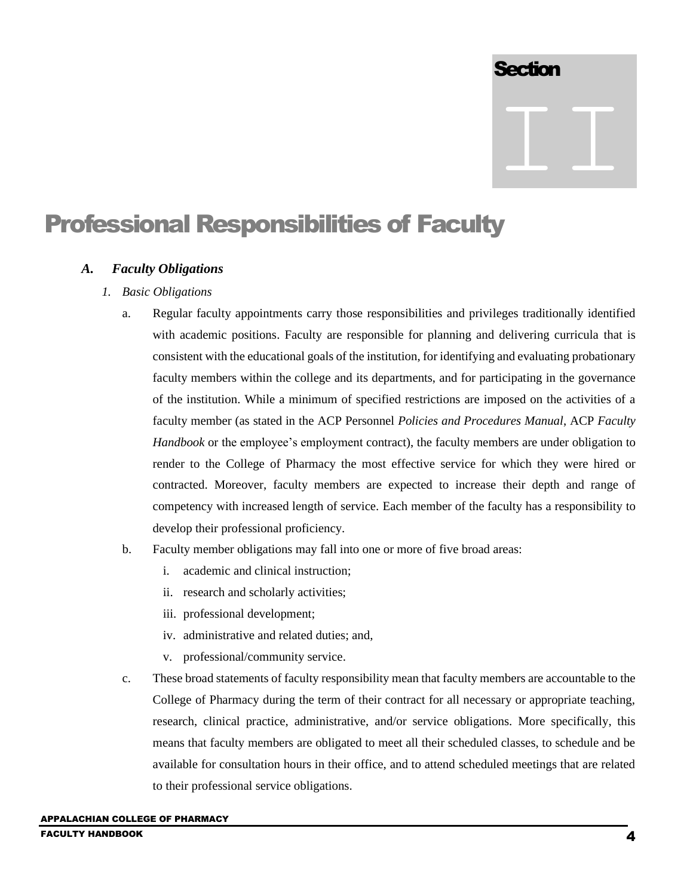# **Section** II

## Professional Responsibilities of Faculty

#### *A. Faculty Obligations*

#### *1. Basic Obligations*

- a. Regular faculty appointments carry those responsibilities and privileges traditionally identified with academic positions. Faculty are responsible for planning and delivering curricula that is consistent with the educational goals of the institution, for identifying and evaluating probationary faculty members within the college and its departments, and for participating in the governance of the institution. While a minimum of specified restrictions are imposed on the activities of a faculty member (as stated in the ACP Personnel *Policies and Procedures Manual*, ACP *Faculty*  Handbook or the employee's employment contract), the faculty members are under obligation to render to the College of Pharmacy the most effective service for which they were hired or contracted. Moreover, faculty members are expected to increase their depth and range of competency with increased length of service. Each member of the faculty has a responsibility to develop their professional proficiency.
- b. Faculty member obligations may fall into one or more of five broad areas:
	- i. academic and clinical instruction;
	- ii. research and scholarly activities;
	- iii. professional development;
	- iv. administrative and related duties; and,
	- v. professional/community service.
- c. These broad statements of faculty responsibility mean that faculty members are accountable to the College of Pharmacy during the term of their contract for all necessary or appropriate teaching, research, clinical practice, administrative, and/or service obligations. More specifically, this means that faculty members are obligated to meet all their scheduled classes, to schedule and be available for consultation hours in their office, and to attend scheduled meetings that are related to their professional service obligations.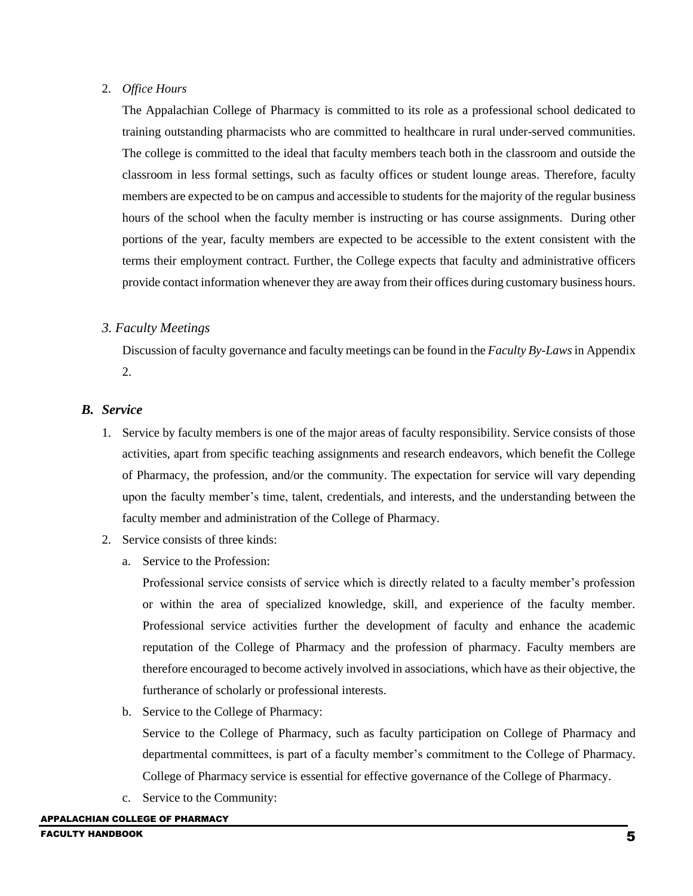#### 2. *Office Hours*

The Appalachian College of Pharmacy is committed to its role as a professional school dedicated to training outstanding pharmacists who are committed to healthcare in rural under-served communities. The college is committed to the ideal that faculty members teach both in the classroom and outside the classroom in less formal settings, such as faculty offices or student lounge areas. Therefore, faculty members are expected to be on campus and accessible to students for the majority of the regular business hours of the school when the faculty member is instructing or has course assignments. During other portions of the year, faculty members are expected to be accessible to the extent consistent with the terms their employment contract. Further, the College expects that faculty and administrative officers provide contact information whenever they are away from their offices during customary business hours.

#### *3. Faculty Meetings*

Discussion of faculty governance and faculty meetings can be found in the *Faculty By-Laws*in Appendix 2.

#### *B. Service*

- 1. Service by faculty members is one of the major areas of faculty responsibility. Service consists of those activities, apart from specific teaching assignments and research endeavors, which benefit the College of Pharmacy, the profession, and/or the community. The expectation for service will vary depending upon the faculty member's time, talent, credentials, and interests, and the understanding between the faculty member and administration of the College of Pharmacy.
- 2. Service consists of three kinds:
	- a. Service to the Profession:

Professional service consists of service which is directly related to a faculty member's profession or within the area of specialized knowledge, skill, and experience of the faculty member. Professional service activities further the development of faculty and enhance the academic reputation of the College of Pharmacy and the profession of pharmacy. Faculty members are therefore encouraged to become actively involved in associations, which have as their objective, the furtherance of scholarly or professional interests.

b. Service to the College of Pharmacy:

Service to the College of Pharmacy, such as faculty participation on College of Pharmacy and departmental committees, is part of a faculty member's commitment to the College of Pharmacy. College of Pharmacy service is essential for effective governance of the College of Pharmacy.

c. Service to the Community: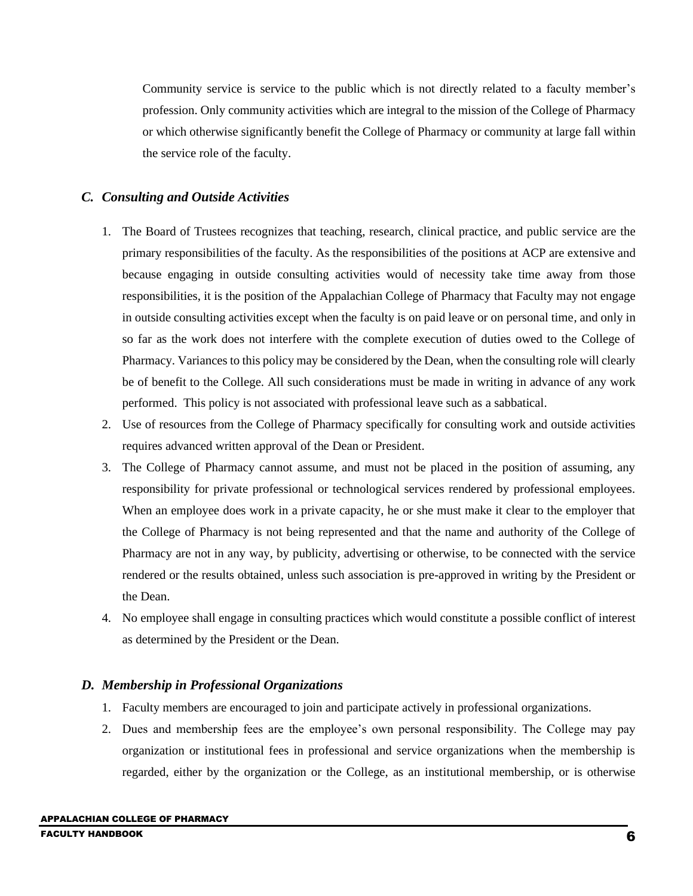Community service is service to the public which is not directly related to a faculty member's profession. Only community activities which are integral to the mission of the College of Pharmacy or which otherwise significantly benefit the College of Pharmacy or community at large fall within the service role of the faculty.

#### *C. Consulting and Outside Activities*

- 1. The Board of Trustees recognizes that teaching, research, clinical practice, and public service are the primary responsibilities of the faculty. As the responsibilities of the positions at ACP are extensive and because engaging in outside consulting activities would of necessity take time away from those responsibilities, it is the position of the Appalachian College of Pharmacy that Faculty may not engage in outside consulting activities except when the faculty is on paid leave or on personal time, and only in so far as the work does not interfere with the complete execution of duties owed to the College of Pharmacy. Variances to this policy may be considered by the Dean, when the consulting role will clearly be of benefit to the College. All such considerations must be made in writing in advance of any work performed. This policy is not associated with professional leave such as a sabbatical.
- 2. Use of resources from the College of Pharmacy specifically for consulting work and outside activities requires advanced written approval of the Dean or President.
- 3. The College of Pharmacy cannot assume, and must not be placed in the position of assuming, any responsibility for private professional or technological services rendered by professional employees. When an employee does work in a private capacity, he or she must make it clear to the employer that the College of Pharmacy is not being represented and that the name and authority of the College of Pharmacy are not in any way, by publicity, advertising or otherwise, to be connected with the service rendered or the results obtained, unless such association is pre-approved in writing by the President or the Dean.
- 4. No employee shall engage in consulting practices which would constitute a possible conflict of interest as determined by the President or the Dean.

#### *D. Membership in Professional Organizations*

- 1. Faculty members are encouraged to join and participate actively in professional organizations.
- 2. Dues and membership fees are the employee's own personal responsibility. The College may pay organization or institutional fees in professional and service organizations when the membership is regarded, either by the organization or the College, as an institutional membership, or is otherwise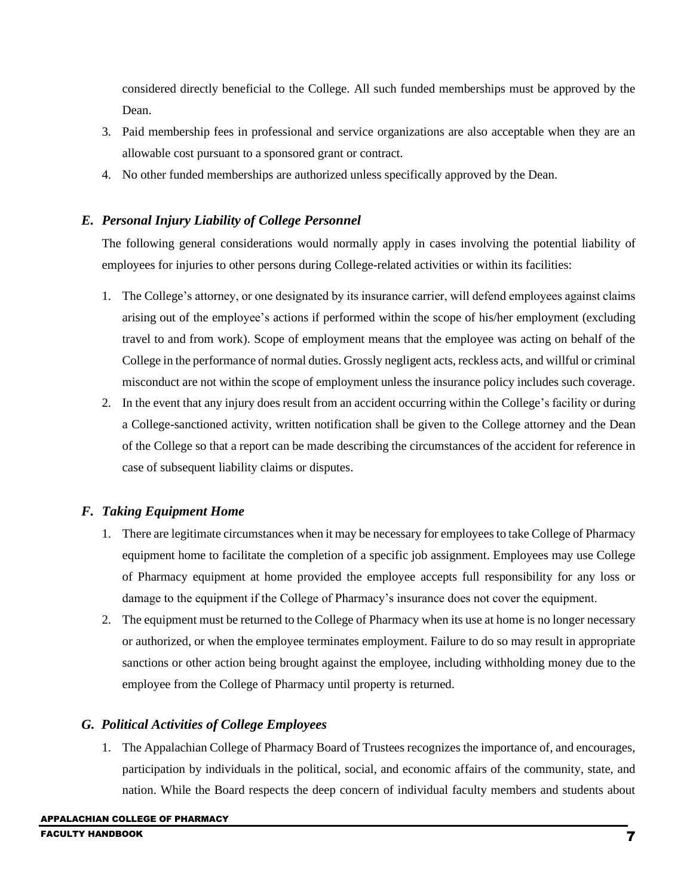considered directly beneficial to the College. All such funded memberships must be approved by the Dean.

- 3. Paid membership fees in professional and service organizations are also acceptable when they are an allowable cost pursuant to a sponsored grant or contract.
- 4. No other funded memberships are authorized unless specifically approved by the Dean.

#### *E. Personal Injury Liability of College Personnel*

The following general considerations would normally apply in cases involving the potential liability of employees for injuries to other persons during College-related activities or within its facilities:

- 1. The College's attorney, or one designated by its insurance carrier, will defend employees against claims arising out of the employee's actions if performed within the scope of his/her employment (excluding travel to and from work). Scope of employment means that the employee was acting on behalf of the College in the performance of normal duties. Grossly negligent acts, reckless acts, and willful or criminal misconduct are not within the scope of employment unless the insurance policy includes such coverage.
- 2. In the event that any injury does result from an accident occurring within the College's facility or during a College-sanctioned activity, written notification shall be given to the College attorney and the Dean of the College so that a report can be made describing the circumstances of the accident for reference in case of subsequent liability claims or disputes.

#### *F. Taking Equipment Home*

- 1. There are legitimate circumstances when it may be necessary for employees to take College of Pharmacy equipment home to facilitate the completion of a specific job assignment. Employees may use College of Pharmacy equipment at home provided the employee accepts full responsibility for any loss or damage to the equipment if the College of Pharmacy's insurance does not cover the equipment.
- 2. The equipment must be returned to the College of Pharmacy when its use at home is no longer necessary or authorized, or when the employee terminates employment. Failure to do so may result in appropriate sanctions or other action being brought against the employee, including withholding money due to the employee from the College of Pharmacy until property is returned.

#### *G. Political Activities of College Employees*

1. The Appalachian College of Pharmacy Board of Trustees recognizes the importance of, and encourages, participation by individuals in the political, social, and economic affairs of the community, state, and nation. While the Board respects the deep concern of individual faculty members and students about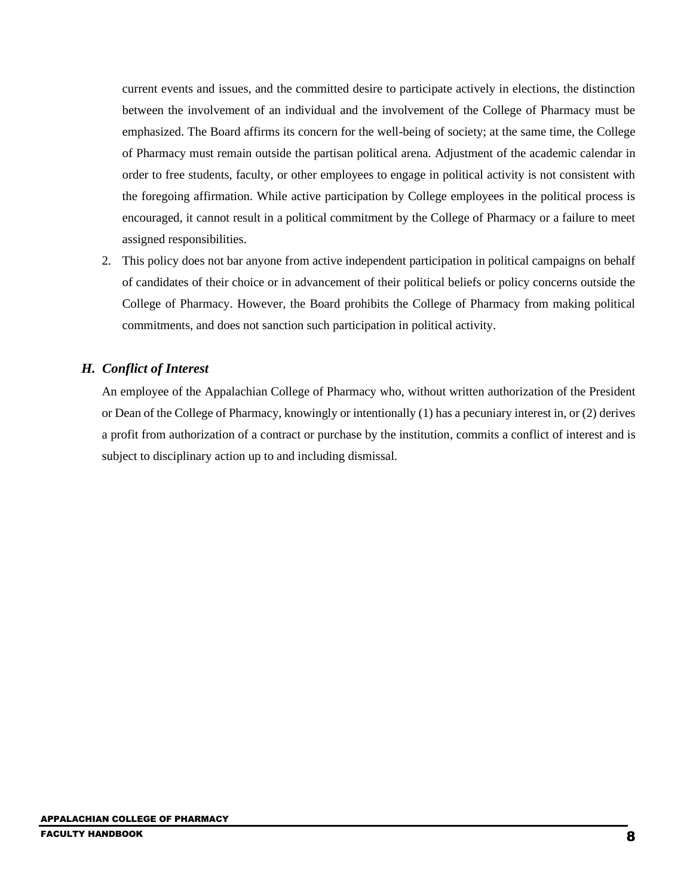current events and issues, and the committed desire to participate actively in elections, the distinction between the involvement of an individual and the involvement of the College of Pharmacy must be emphasized. The Board affirms its concern for the well-being of society; at the same time, the College of Pharmacy must remain outside the partisan political arena. Adjustment of the academic calendar in order to free students, faculty, or other employees to engage in political activity is not consistent with the foregoing affirmation. While active participation by College employees in the political process is encouraged, it cannot result in a political commitment by the College of Pharmacy or a failure to meet assigned responsibilities.

2. This policy does not bar anyone from active independent participation in political campaigns on behalf of candidates of their choice or in advancement of their political beliefs or policy concerns outside the College of Pharmacy. However, the Board prohibits the College of Pharmacy from making political commitments, and does not sanction such participation in political activity.

#### *H. Conflict of Interest*

An employee of the Appalachian College of Pharmacy who, without written authorization of the President or Dean of the College of Pharmacy, knowingly or intentionally (1) has a pecuniary interest in, or (2) derives a profit from authorization of a contract or purchase by the institution, commits a conflict of interest and is subject to disciplinary action up to and including dismissal.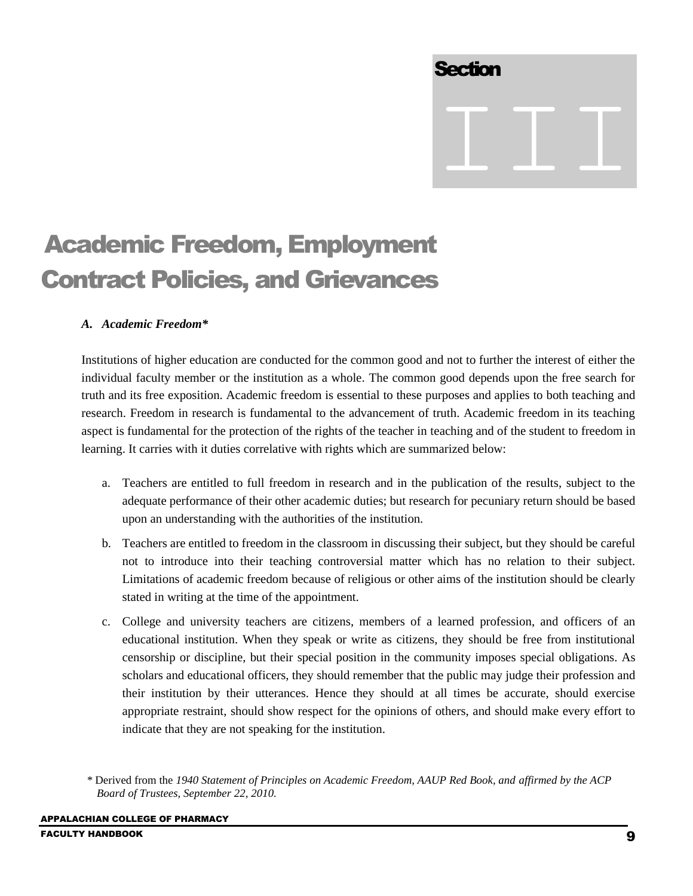# **Section** III

## Academic Freedom, Employment Contract Policies, and Grievances

#### *A. Academic Freedom\**

Institutions of higher education are conducted for the common good and not to further the interest of either the individual faculty member or the institution as a whole. The common good depends upon the free search for truth and its free exposition. Academic freedom is essential to these purposes and applies to both teaching and research. Freedom in research is fundamental to the advancement of truth. Academic freedom in its teaching aspect is fundamental for the protection of the rights of the teacher in teaching and of the student to freedom in learning. It carries with it duties correlative with rights which are summarized below:

- a. Teachers are entitled to full freedom in research and in the publication of the results, subject to the adequate performance of their other academic duties; but research for pecuniary return should be based upon an understanding with the authorities of the institution.
- b. Teachers are entitled to freedom in the classroom in discussing their subject, but they should be careful not to introduce into their teaching controversial matter which has no relation to their subject. Limitations of academic freedom because of religious or other aims of the institution should be clearly stated in writing at the time of the appointment.
- c. College and university teachers are citizens, members of a learned profession, and officers of an educational institution. When they speak or write as citizens, they should be free from institutional censorship or discipline, but their special position in the community imposes special obligations. As scholars and educational officers, they should remember that the public may judge their profession and their institution by their utterances. Hence they should at all times be accurate, should exercise appropriate restraint, should show respect for the opinions of others, and should make every effort to indicate that they are not speaking for the institution.

*<sup>\*</sup>* Derived from the *1940 Statement of Principles on Academic Freedom, AAUP Red Book, and affirmed by the ACP Board of Trustees, September 22, 2010.*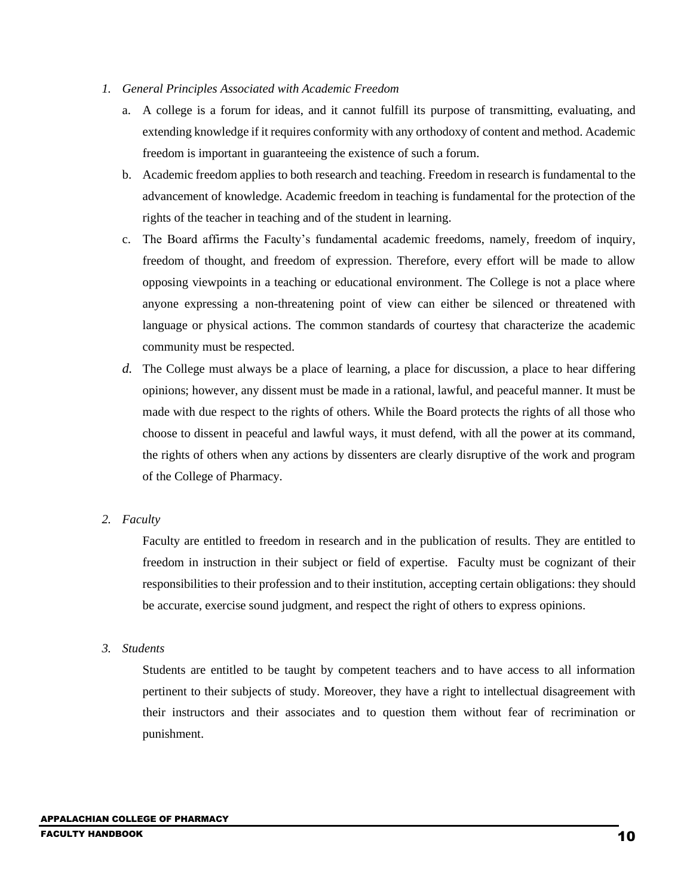#### *1. General Principles Associated with Academic Freedom*

- a. A college is a forum for ideas, and it cannot fulfill its purpose of transmitting, evaluating, and extending knowledge if it requires conformity with any orthodoxy of content and method. Academic freedom is important in guaranteeing the existence of such a forum.
- b. Academic freedom applies to both research and teaching. Freedom in research is fundamental to the advancement of knowledge. Academic freedom in teaching is fundamental for the protection of the rights of the teacher in teaching and of the student in learning.
- c. The Board affirms the Faculty's fundamental academic freedoms, namely, freedom of inquiry, freedom of thought, and freedom of expression. Therefore, every effort will be made to allow opposing viewpoints in a teaching or educational environment. The College is not a place where anyone expressing a non-threatening point of view can either be silenced or threatened with language or physical actions. The common standards of courtesy that characterize the academic community must be respected.
- *d.* The College must always be a place of learning, a place for discussion, a place to hear differing opinions; however, any dissent must be made in a rational, lawful, and peaceful manner. It must be made with due respect to the rights of others. While the Board protects the rights of all those who choose to dissent in peaceful and lawful ways, it must defend, with all the power at its command, the rights of others when any actions by dissenters are clearly disruptive of the work and program of the College of Pharmacy.

#### *2. Faculty*

Faculty are entitled to freedom in research and in the publication of results. They are entitled to freedom in instruction in their subject or field of expertise. Faculty must be cognizant of their responsibilities to their profession and to their institution, accepting certain obligations: they should be accurate, exercise sound judgment, and respect the right of others to express opinions.

#### *3. Students*

Students are entitled to be taught by competent teachers and to have access to all information pertinent to their subjects of study. Moreover, they have a right to intellectual disagreement with their instructors and their associates and to question them without fear of recrimination or punishment.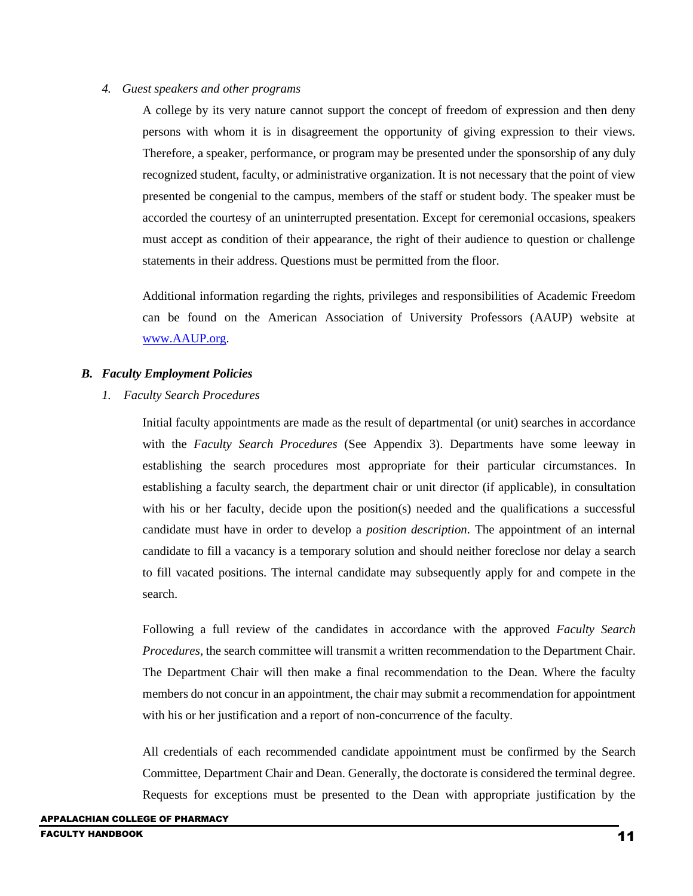#### *4. Guest speakers and other programs*

A college by its very nature cannot support the concept of freedom of expression and then deny persons with whom it is in disagreement the opportunity of giving expression to their views. Therefore, a speaker, performance, or program may be presented under the sponsorship of any duly recognized student, faculty, or administrative organization. It is not necessary that the point of view presented be congenial to the campus, members of the staff or student body. The speaker must be accorded the courtesy of an uninterrupted presentation. Except for ceremonial occasions, speakers must accept as condition of their appearance, the right of their audience to question or challenge statements in their address. Questions must be permitted from the floor.

Additional information regarding the rights, privileges and responsibilities of Academic Freedom can be found on the American Association of University Professors (AAUP) website at [www.AAUP.org.](http://www.aaup.org/)

#### *B. Faculty Employment Policies*

#### *1. Faculty Search Procedures*

Initial faculty appointments are made as the result of departmental (or unit) searches in accordance with the *Faculty Search Procedures* (See Appendix 3). Departments have some leeway in establishing the search procedures most appropriate for their particular circumstances. In establishing a faculty search, the department chair or unit director (if applicable), in consultation with his or her faculty, decide upon the position(s) needed and the qualifications a successful candidate must have in order to develop a *position description*. The appointment of an internal candidate to fill a vacancy is a temporary solution and should neither foreclose nor delay a search to fill vacated positions. The internal candidate may subsequently apply for and compete in the search.

Following a full review of the candidates in accordance with the approved *Faculty Search Procedures*, the search committee will transmit a written recommendation to the Department Chair. The Department Chair will then make a final recommendation to the Dean. Where the faculty members do not concur in an appointment, the chair may submit a recommendation for appointment with his or her justification and a report of non-concurrence of the faculty.

All credentials of each recommended candidate appointment must be confirmed by the Search Committee, Department Chair and Dean. Generally, the doctorate is considered the terminal degree. Requests for exceptions must be presented to the Dean with appropriate justification by the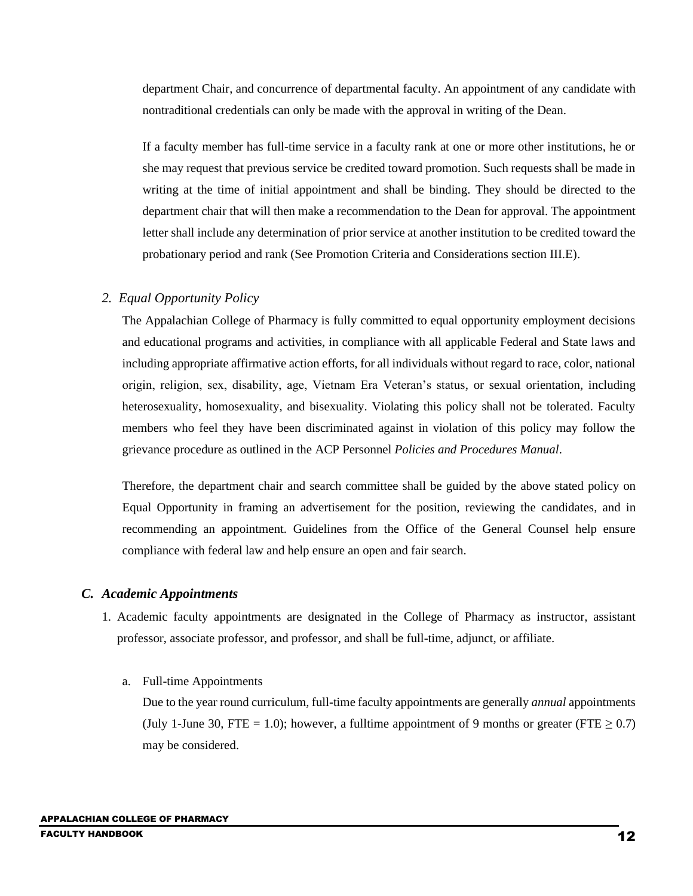department Chair, and concurrence of departmental faculty. An appointment of any candidate with nontraditional credentials can only be made with the approval in writing of the Dean.

If a faculty member has full-time service in a faculty rank at one or more other institutions, he or she may request that previous service be credited toward promotion. Such requests shall be made in writing at the time of initial appointment and shall be binding. They should be directed to the department chair that will then make a recommendation to the Dean for approval. The appointment letter shall include any determination of prior service at another institution to be credited toward the probationary period and rank (See Promotion Criteria and Considerations section III.E).

#### *2. Equal Opportunity Policy*

The Appalachian College of Pharmacy is fully committed to equal opportunity employment decisions and educational programs and activities, in compliance with all applicable Federal and State laws and including appropriate affirmative action efforts, for all individuals without regard to race, color, national origin, religion, sex, disability, age, Vietnam Era Veteran's status, or sexual orientation, including heterosexuality, homosexuality, and bisexuality. Violating this policy shall not be tolerated. Faculty members who feel they have been discriminated against in violation of this policy may follow the grievance procedure as outlined in the ACP Personnel *Policies and Procedures Manual*.

Therefore, the department chair and search committee shall be guided by the above stated policy on Equal Opportunity in framing an advertisement for the position, reviewing the candidates, and in recommending an appointment. Guidelines from the Office of the General Counsel help ensure compliance with federal law and help ensure an open and fair search.

#### *C. Academic Appointments*

- 1. Academic faculty appointments are designated in the College of Pharmacy as instructor, assistant professor, associate professor, and professor, and shall be full-time, adjunct, or affiliate.
	- a. Full-time Appointments

Due to the year round curriculum, full-time faculty appointments are generally *annual* appointments (July 1-June 30, FTE = 1.0); however, a fulltime appointment of 9 months or greater (FTE  $\geq$  0.7) may be considered.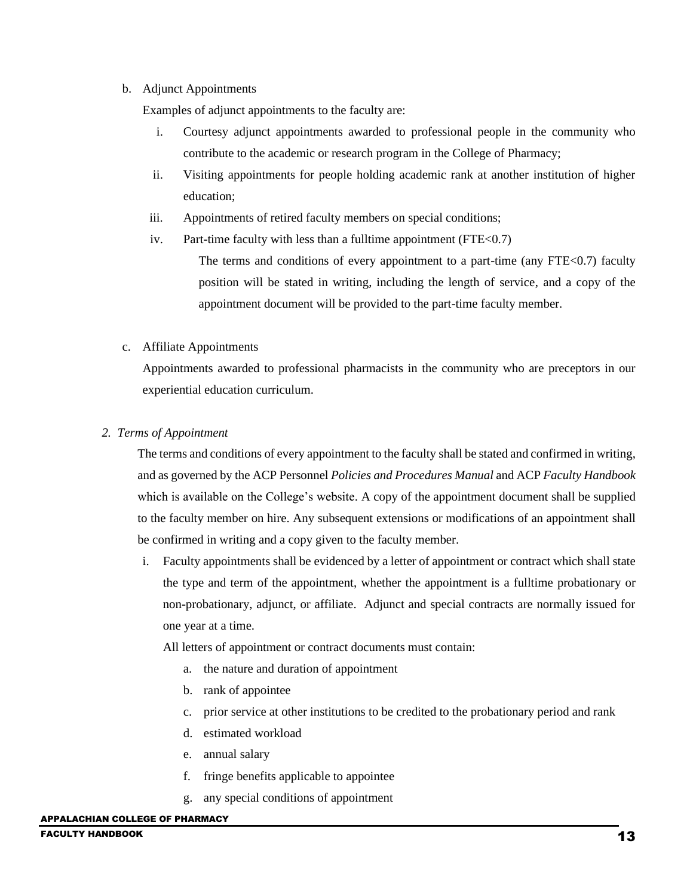#### b. Adjunct Appointments

Examples of adjunct appointments to the faculty are:

- i. Courtesy adjunct appointments awarded to professional people in the community who contribute to the academic or research program in the College of Pharmacy;
- ii. Visiting appointments for people holding academic rank at another institution of higher education;
- iii. Appointments of retired faculty members on special conditions;
- iv. Part-time faculty with less than a fulltime appointment ( $FTE<0.7$ )

The terms and conditions of every appointment to a part-time (any FTE<0.7) faculty position will be stated in writing, including the length of service, and a copy of the appointment document will be provided to the part-time faculty member.

c. Affiliate Appointments

Appointments awarded to professional pharmacists in the community who are preceptors in our experiential education curriculum.

#### *2. Terms of Appointment*

The terms and conditions of every appointment to the faculty shall be stated and confirmed in writing, and as governed by the ACP Personnel *Policies and Procedures Manual* and ACP *Faculty Handbook* which is available on the College's website. A copy of the appointment document shall be supplied to the faculty member on hire. Any subsequent extensions or modifications of an appointment shall be confirmed in writing and a copy given to the faculty member.

i. Faculty appointments shall be evidenced by a letter of appointment or contract which shall state the type and term of the appointment, whether the appointment is a fulltime probationary or non-probationary, adjunct, or affiliate. Adjunct and special contracts are normally issued for one year at a time.

All letters of appointment or contract documents must contain:

- a. the nature and duration of appointment
- b. rank of appointee
- c. prior service at other institutions to be credited to the probationary period and rank
- d. estimated workload
- e. annual salary
- f. fringe benefits applicable to appointee
- g. any special conditions of appointment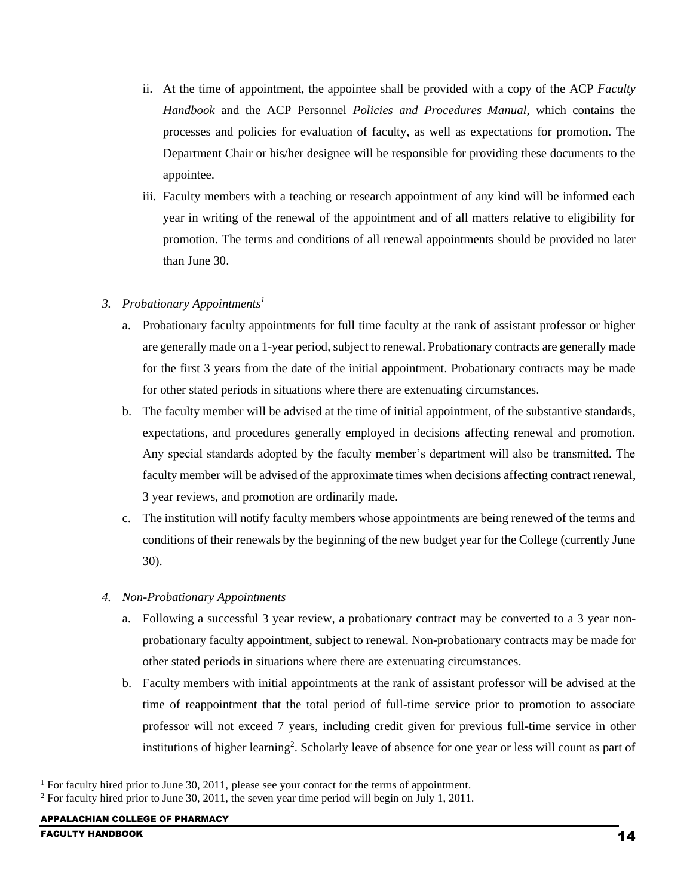- ii. At the time of appointment, the appointee shall be provided with a copy of the ACP *Faculty Handbook* and the ACP Personnel *Policies and Procedures Manual*, which contains the processes and policies for evaluation of faculty, as well as expectations for promotion. The Department Chair or his/her designee will be responsible for providing these documents to the appointee.
- iii. Faculty members with a teaching or research appointment of any kind will be informed each year in writing of the renewal of the appointment and of all matters relative to eligibility for promotion. The terms and conditions of all renewal appointments should be provided no later than June 30.

#### *3. Probationary Appointments<sup>1</sup>*

- a. Probationary faculty appointments for full time faculty at the rank of assistant professor or higher are generally made on a 1-year period, subject to renewal. Probationary contracts are generally made for the first 3 years from the date of the initial appointment. Probationary contracts may be made for other stated periods in situations where there are extenuating circumstances.
- b. The faculty member will be advised at the time of initial appointment, of the substantive standards, expectations, and procedures generally employed in decisions affecting renewal and promotion. Any special standards adopted by the faculty member's department will also be transmitted. The faculty member will be advised of the approximate times when decisions affecting contract renewal, 3 year reviews, and promotion are ordinarily made.
- c. The institution will notify faculty members whose appointments are being renewed of the terms and conditions of their renewals by the beginning of the new budget year for the College (currently June 30).
- *4. Non-Probationary Appointments*
	- a. Following a successful 3 year review, a probationary contract may be converted to a 3 year nonprobationary faculty appointment, subject to renewal. Non-probationary contracts may be made for other stated periods in situations where there are extenuating circumstances.
	- b. Faculty members with initial appointments at the rank of assistant professor will be advised at the time of reappointment that the total period of full-time service prior to promotion to associate professor will not exceed 7 years, including credit given for previous full-time service in other institutions of higher learning<sup>2</sup>. Scholarly leave of absence for one year or less will count as part of

<sup>&</sup>lt;sup>1</sup> For faculty hired prior to June 30, 2011, please see your contact for the terms of appointment.

<sup>&</sup>lt;sup>2</sup> For faculty hired prior to June 30, 2011, the seven year time period will begin on July 1, 2011.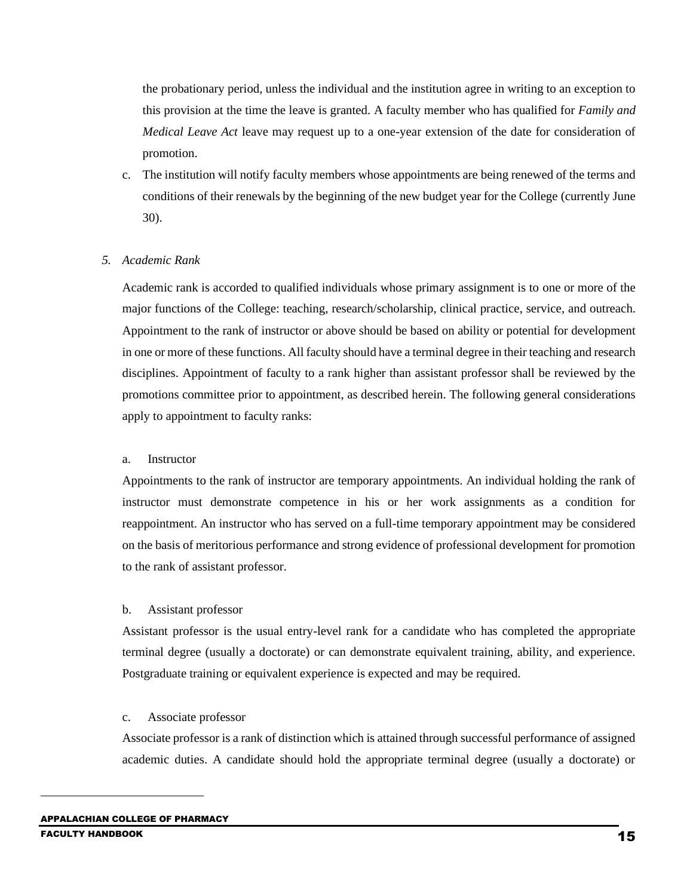the probationary period, unless the individual and the institution agree in writing to an exception to this provision at the time the leave is granted. A faculty member who has qualified for *Family and Medical Leave Act* leave may request up to a one-year extension of the date for consideration of promotion.

c. The institution will notify faculty members whose appointments are being renewed of the terms and conditions of their renewals by the beginning of the new budget year for the College (currently June 30).

#### *5. Academic Rank*

Academic rank is accorded to qualified individuals whose primary assignment is to one or more of the major functions of the College: teaching, research/scholarship, clinical practice, service, and outreach. Appointment to the rank of instructor or above should be based on ability or potential for development in one or more of these functions. All faculty should have a terminal degree in their teaching and research disciplines. Appointment of faculty to a rank higher than assistant professor shall be reviewed by the promotions committee prior to appointment, as described herein. The following general considerations apply to appointment to faculty ranks:

#### a. Instructor

Appointments to the rank of instructor are temporary appointments. An individual holding the rank of instructor must demonstrate competence in his or her work assignments as a condition for reappointment. An instructor who has served on a full-time temporary appointment may be considered on the basis of meritorious performance and strong evidence of professional development for promotion to the rank of assistant professor.

#### b. Assistant professor

Assistant professor is the usual entry-level rank for a candidate who has completed the appropriate terminal degree (usually a doctorate) or can demonstrate equivalent training, ability, and experience. Postgraduate training or equivalent experience is expected and may be required.

#### c. Associate professor

Associate professor is a rank of distinction which is attained through successful performance of assigned academic duties. A candidate should hold the appropriate terminal degree (usually a doctorate) or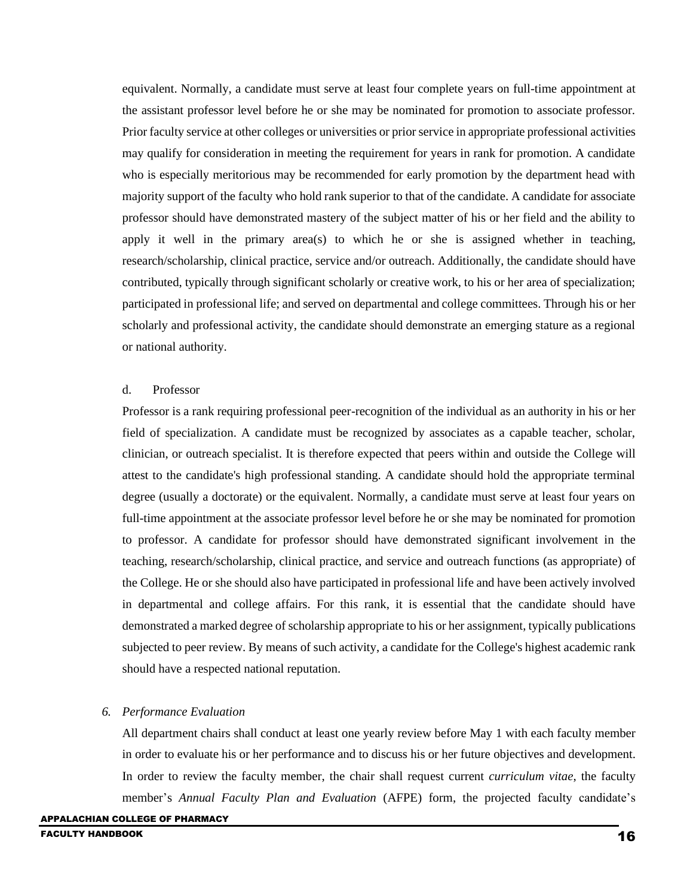equivalent. Normally, a candidate must serve at least four complete years on full-time appointment at the assistant professor level before he or she may be nominated for promotion to associate professor. Prior faculty service at other colleges or universities or prior service in appropriate professional activities may qualify for consideration in meeting the requirement for years in rank for promotion. A candidate who is especially meritorious may be recommended for early promotion by the department head with majority support of the faculty who hold rank superior to that of the candidate. A candidate for associate professor should have demonstrated mastery of the subject matter of his or her field and the ability to apply it well in the primary area(s) to which he or she is assigned whether in teaching, research/scholarship, clinical practice, service and/or outreach. Additionally, the candidate should have contributed, typically through significant scholarly or creative work, to his or her area of specialization; participated in professional life; and served on departmental and college committees. Through his or her scholarly and professional activity, the candidate should demonstrate an emerging stature as a regional or national authority.

#### d. Professor

Professor is a rank requiring professional peer-recognition of the individual as an authority in his or her field of specialization. A candidate must be recognized by associates as a capable teacher, scholar, clinician, or outreach specialist. It is therefore expected that peers within and outside the College will attest to the candidate's high professional standing. A candidate should hold the appropriate terminal degree (usually a doctorate) or the equivalent. Normally, a candidate must serve at least four years on full-time appointment at the associate professor level before he or she may be nominated for promotion to professor. A candidate for professor should have demonstrated significant involvement in the teaching, research/scholarship, clinical practice, and service and outreach functions (as appropriate) of the College. He or she should also have participated in professional life and have been actively involved in departmental and college affairs. For this rank, it is essential that the candidate should have demonstrated a marked degree of scholarship appropriate to his or her assignment, typically publications subjected to peer review. By means of such activity, a candidate for the College's highest academic rank should have a respected national reputation.

#### *6. Performance Evaluation*

All department chairs shall conduct at least one yearly review before May 1 with each faculty member in order to evaluate his or her performance and to discuss his or her future objectives and development. In order to review the faculty member, the chair shall request current *curriculum vitae*, the faculty member's *Annual Faculty Plan and Evaluation* (AFPE) form, the projected faculty candidate's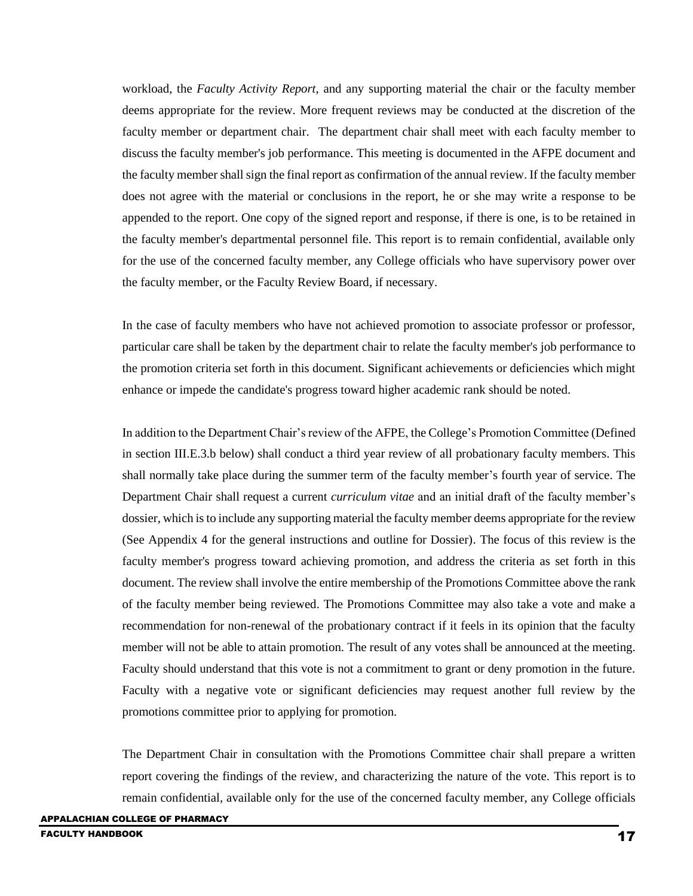workload, the *Faculty Activity Report*, and any supporting material the chair or the faculty member deems appropriate for the review. More frequent reviews may be conducted at the discretion of the faculty member or department chair. The department chair shall meet with each faculty member to discuss the faculty member's job performance. This meeting is documented in the AFPE document and the faculty member shall sign the final report as confirmation of the annual review. If the faculty member does not agree with the material or conclusions in the report, he or she may write a response to be appended to the report. One copy of the signed report and response, if there is one, is to be retained in the faculty member's departmental personnel file. This report is to remain confidential, available only for the use of the concerned faculty member, any College officials who have supervisory power over the faculty member, or the Faculty Review Board, if necessary.

In the case of faculty members who have not achieved promotion to associate professor or professor, particular care shall be taken by the department chair to relate the faculty member's job performance to the promotion criteria set forth in this document. Significant achievements or deficiencies which might enhance or impede the candidate's progress toward higher academic rank should be noted.

In addition to the Department Chair's review of the AFPE, the College's Promotion Committee (Defined in section III.E.3.b below) shall conduct a third year review of all probationary faculty members. This shall normally take place during the summer term of the faculty member's fourth year of service. The Department Chair shall request a current *curriculum vitae* and an initial draft of the faculty member's dossier, which is to include any supporting material the faculty member deems appropriate for the review (See Appendix 4 for the general instructions and outline for Dossier). The focus of this review is the faculty member's progress toward achieving promotion, and address the criteria as set forth in this document. The review shall involve the entire membership of the Promotions Committee above the rank of the faculty member being reviewed. The Promotions Committee may also take a vote and make a recommendation for non-renewal of the probationary contract if it feels in its opinion that the faculty member will not be able to attain promotion. The result of any votes shall be announced at the meeting. Faculty should understand that this vote is not a commitment to grant or deny promotion in the future. Faculty with a negative vote or significant deficiencies may request another full review by the promotions committee prior to applying for promotion.

The Department Chair in consultation with the Promotions Committee chair shall prepare a written report covering the findings of the review, and characterizing the nature of the vote. This report is to remain confidential, available only for the use of the concerned faculty member, any College officials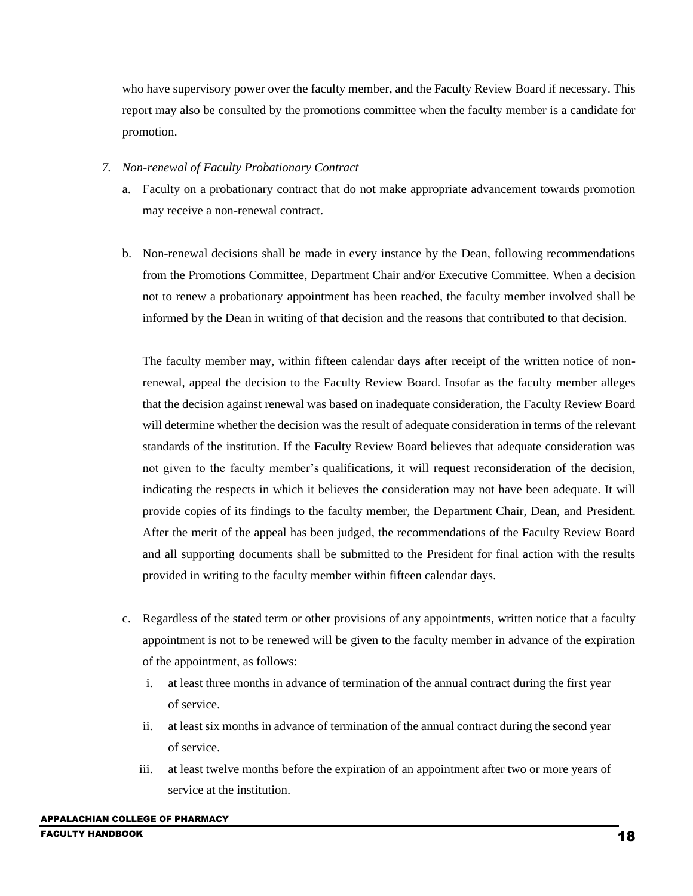who have supervisory power over the faculty member, and the Faculty Review Board if necessary. This report may also be consulted by the promotions committee when the faculty member is a candidate for promotion.

#### *7. Non-renewal of Faculty Probationary Contract*

- a. Faculty on a probationary contract that do not make appropriate advancement towards promotion may receive a non-renewal contract.
- b. Non-renewal decisions shall be made in every instance by the Dean, following recommendations from the Promotions Committee, Department Chair and/or Executive Committee. When a decision not to renew a probationary appointment has been reached, the faculty member involved shall be informed by the Dean in writing of that decision and the reasons that contributed to that decision.

The faculty member may, within fifteen calendar days after receipt of the written notice of nonrenewal, appeal the decision to the Faculty Review Board. Insofar as the faculty member alleges that the decision against renewal was based on inadequate consideration, the Faculty Review Board will determine whether the decision was the result of adequate consideration in terms of the relevant standards of the institution. If the Faculty Review Board believes that adequate consideration was not given to the faculty member's qualifications, it will request reconsideration of the decision, indicating the respects in which it believes the consideration may not have been adequate. It will provide copies of its findings to the faculty member, the Department Chair, Dean, and President. After the merit of the appeal has been judged, the recommendations of the Faculty Review Board and all supporting documents shall be submitted to the President for final action with the results provided in writing to the faculty member within fifteen calendar days.

- c. Regardless of the stated term or other provisions of any appointments, written notice that a faculty appointment is not to be renewed will be given to the faculty member in advance of the expiration of the appointment, as follows:
	- i. at least three months in advance of termination of the annual contract during the first year of service.
	- ii. at least six months in advance of termination of the annual contract during the second year of service.
	- iii. at least twelve months before the expiration of an appointment after two or more years of service at the institution.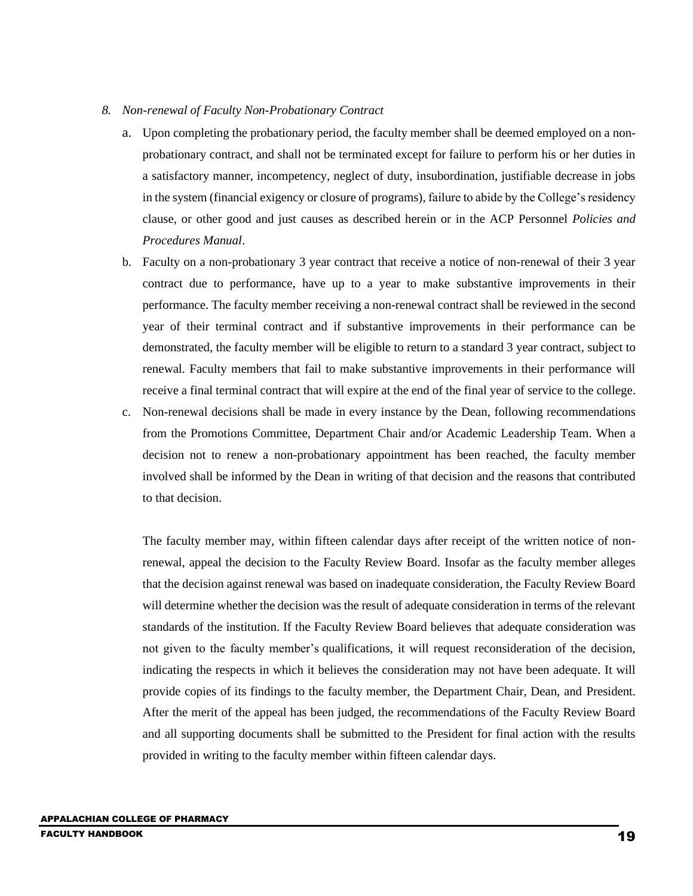#### *8. Non-renewal of Faculty Non-Probationary Contract*

- a. Upon completing the probationary period, the faculty member shall be deemed employed on a nonprobationary contract, and shall not be terminated except for failure to perform his or her duties in a satisfactory manner, incompetency, neglect of duty, insubordination, justifiable decrease in jobs in the system (financial exigency or closure of programs), failure to abide by the College's residency clause, or other good and just causes as described herein or in the ACP Personnel *Policies and Procedures Manual*.
- b. Faculty on a non-probationary 3 year contract that receive a notice of non-renewal of their 3 year contract due to performance, have up to a year to make substantive improvements in their performance. The faculty member receiving a non-renewal contract shall be reviewed in the second year of their terminal contract and if substantive improvements in their performance can be demonstrated, the faculty member will be eligible to return to a standard 3 year contract, subject to renewal. Faculty members that fail to make substantive improvements in their performance will receive a final terminal contract that will expire at the end of the final year of service to the college.
- c. Non-renewal decisions shall be made in every instance by the Dean, following recommendations from the Promotions Committee, Department Chair and/or Academic Leadership Team. When a decision not to renew a non-probationary appointment has been reached, the faculty member involved shall be informed by the Dean in writing of that decision and the reasons that contributed to that decision.

The faculty member may, within fifteen calendar days after receipt of the written notice of nonrenewal, appeal the decision to the Faculty Review Board. Insofar as the faculty member alleges that the decision against renewal was based on inadequate consideration, the Faculty Review Board will determine whether the decision was the result of adequate consideration in terms of the relevant standards of the institution. If the Faculty Review Board believes that adequate consideration was not given to the faculty member's qualifications, it will request reconsideration of the decision, indicating the respects in which it believes the consideration may not have been adequate. It will provide copies of its findings to the faculty member, the Department Chair, Dean, and President. After the merit of the appeal has been judged, the recommendations of the Faculty Review Board and all supporting documents shall be submitted to the President for final action with the results provided in writing to the faculty member within fifteen calendar days.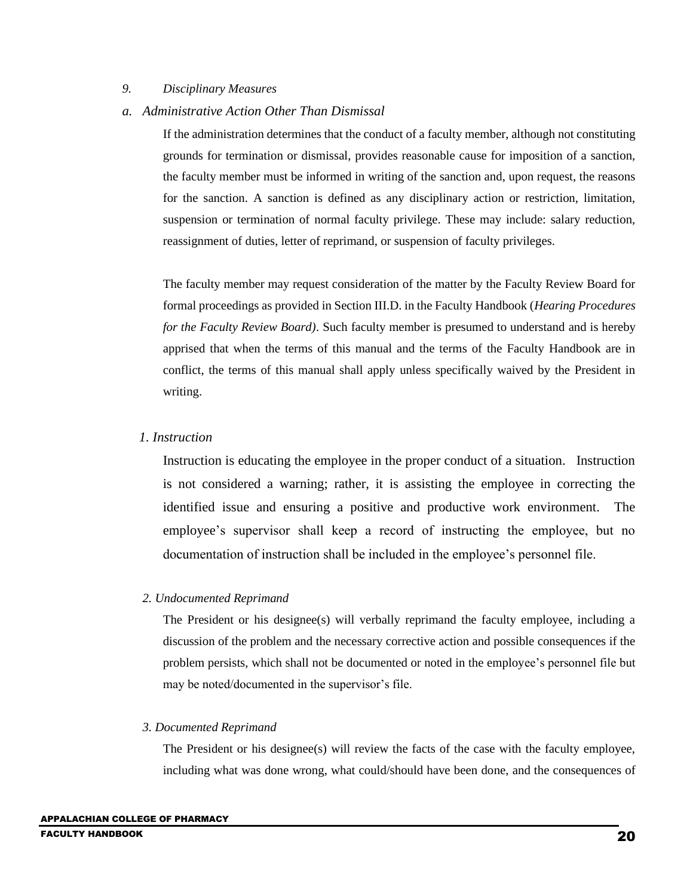#### *9. Disciplinary Measures*

#### *a. Administrative Action Other Than Dismissal*

If the administration determines that the conduct of a faculty member, although not constituting grounds for termination or dismissal, provides reasonable cause for imposition of a sanction, the faculty member must be informed in writing of the sanction and, upon request, the reasons for the sanction. A sanction is defined as any disciplinary action or restriction, limitation, suspension or termination of normal faculty privilege. These may include: salary reduction, reassignment of duties, letter of reprimand, or suspension of faculty privileges.

The faculty member may request consideration of the matter by the Faculty Review Board for formal proceedings as provided in Section III.D. in the Faculty Handbook (*Hearing Procedures for the Faculty Review Board)*. Such faculty member is presumed to understand and is hereby apprised that when the terms of this manual and the terms of the Faculty Handbook are in conflict, the terms of this manual shall apply unless specifically waived by the President in writing.

#### *1. Instruction*

Instruction is educating the employee in the proper conduct of a situation. Instruction is not considered a warning; rather, it is assisting the employee in correcting the identified issue and ensuring a positive and productive work environment. The employee's supervisor shall keep a record of instructing the employee, but no documentation of instruction shall be included in the employee's personnel file.

#### *2. Undocumented Reprimand*

The President or his designee(s) will verbally reprimand the faculty employee, including a discussion of the problem and the necessary corrective action and possible consequences if the problem persists, which shall not be documented or noted in the employee's personnel file but may be noted/documented in the supervisor's file.

#### *3. Documented Reprimand*

The President or his designee(s) will review the facts of the case with the faculty employee, including what was done wrong, what could/should have been done, and the consequences of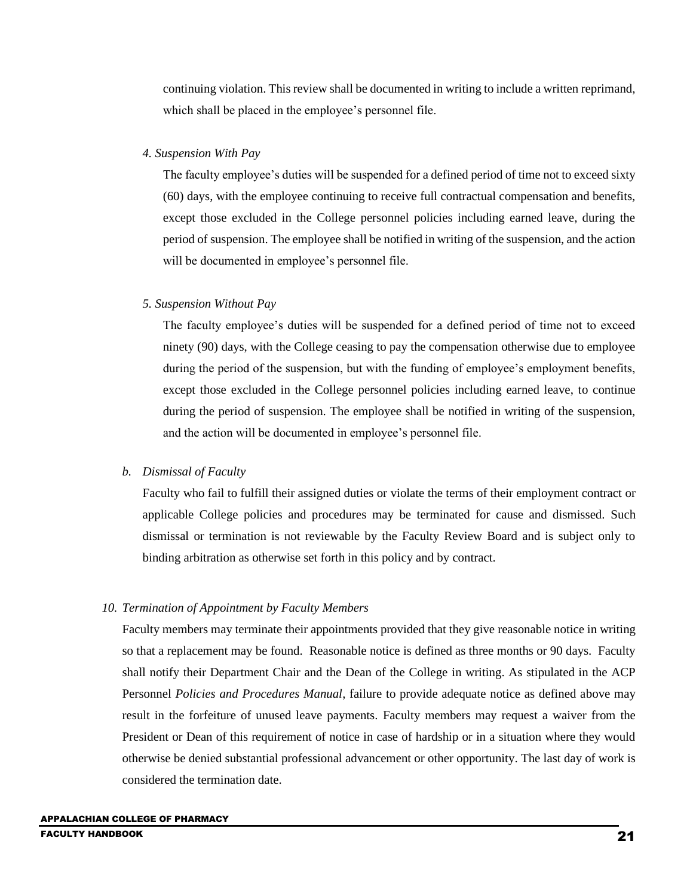continuing violation. This review shall be documented in writing to include a written reprimand, which shall be placed in the employee's personnel file.

#### *4. Suspension With Pay*

The faculty employee's duties will be suspended for a defined period of time not to exceed sixty (60) days, with the employee continuing to receive full contractual compensation and benefits, except those excluded in the College personnel policies including earned leave, during the period of suspension. The employee shall be notified in writing of the suspension, and the action will be documented in employee's personnel file.

#### *5. Suspension Without Pay*

The faculty employee's duties will be suspended for a defined period of time not to exceed ninety (90) days, with the College ceasing to pay the compensation otherwise due to employee during the period of the suspension, but with the funding of employee's employment benefits, except those excluded in the College personnel policies including earned leave, to continue during the period of suspension. The employee shall be notified in writing of the suspension, and the action will be documented in employee's personnel file.

#### *b. Dismissal of Faculty*

Faculty who fail to fulfill their assigned duties or violate the terms of their employment contract or applicable College policies and procedures may be terminated for cause and dismissed. Such dismissal or termination is not reviewable by the Faculty Review Board and is subject only to binding arbitration as otherwise set forth in this policy and by contract.

#### *10. Termination of Appointment by Faculty Members*

Faculty members may terminate their appointments provided that they give reasonable notice in writing so that a replacement may be found. Reasonable notice is defined as three months or 90 days. Faculty shall notify their Department Chair and the Dean of the College in writing. As stipulated in the ACP Personnel *Policies and Procedures Manual*, failure to provide adequate notice as defined above may result in the forfeiture of unused leave payments. Faculty members may request a waiver from the President or Dean of this requirement of notice in case of hardship or in a situation where they would otherwise be denied substantial professional advancement or other opportunity. The last day of work is considered the termination date.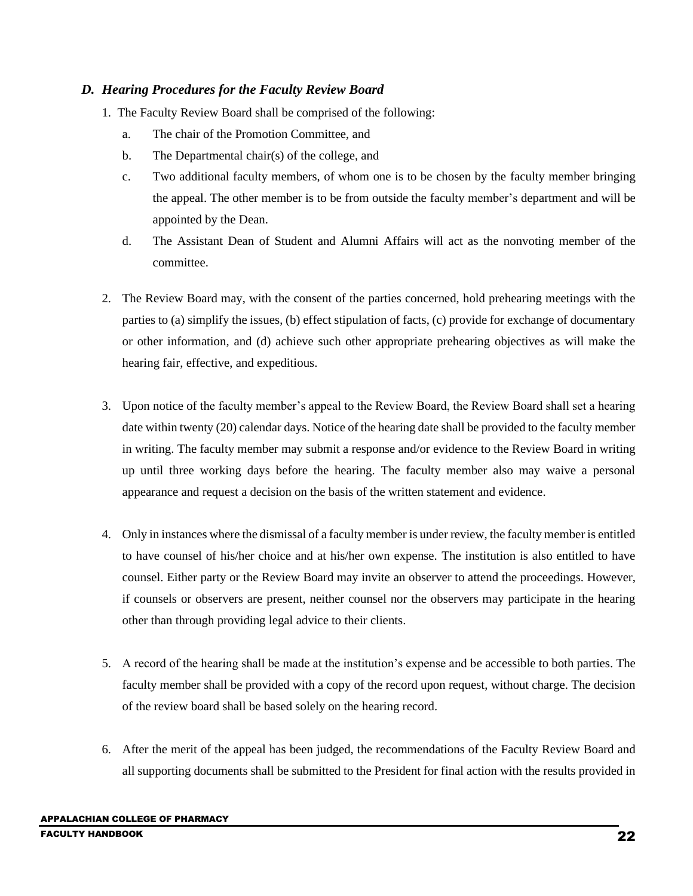#### *D. Hearing Procedures for the Faculty Review Board*

- 1. The Faculty Review Board shall be comprised of the following:
	- a. The chair of the Promotion Committee, and
	- b. The Departmental chair(s) of the college, and
	- c. Two additional faculty members, of whom one is to be chosen by the faculty member bringing the appeal. The other member is to be from outside the faculty member's department and will be appointed by the Dean.
	- d. The Assistant Dean of Student and Alumni Affairs will act as the nonvoting member of the committee.
- 2. The Review Board may, with the consent of the parties concerned, hold prehearing meetings with the parties to (a) simplify the issues, (b) effect stipulation of facts, (c) provide for exchange of documentary or other information, and (d) achieve such other appropriate prehearing objectives as will make the hearing fair, effective, and expeditious.
- 3. Upon notice of the faculty member's appeal to the Review Board, the Review Board shall set a hearing date within twenty (20) calendar days. Notice of the hearing date shall be provided to the faculty member in writing. The faculty member may submit a response and/or evidence to the Review Board in writing up until three working days before the hearing. The faculty member also may waive a personal appearance and request a decision on the basis of the written statement and evidence.
- 4. Only in instances where the dismissal of a faculty member is under review, the faculty member is entitled to have counsel of his/her choice and at his/her own expense. The institution is also entitled to have counsel. Either party or the Review Board may invite an observer to attend the proceedings. However, if counsels or observers are present, neither counsel nor the observers may participate in the hearing other than through providing legal advice to their clients.
- 5. A record of the hearing shall be made at the institution's expense and be accessible to both parties. The faculty member shall be provided with a copy of the record upon request, without charge. The decision of the review board shall be based solely on the hearing record.
- 6. After the merit of the appeal has been judged, the recommendations of the Faculty Review Board and all supporting documents shall be submitted to the President for final action with the results provided in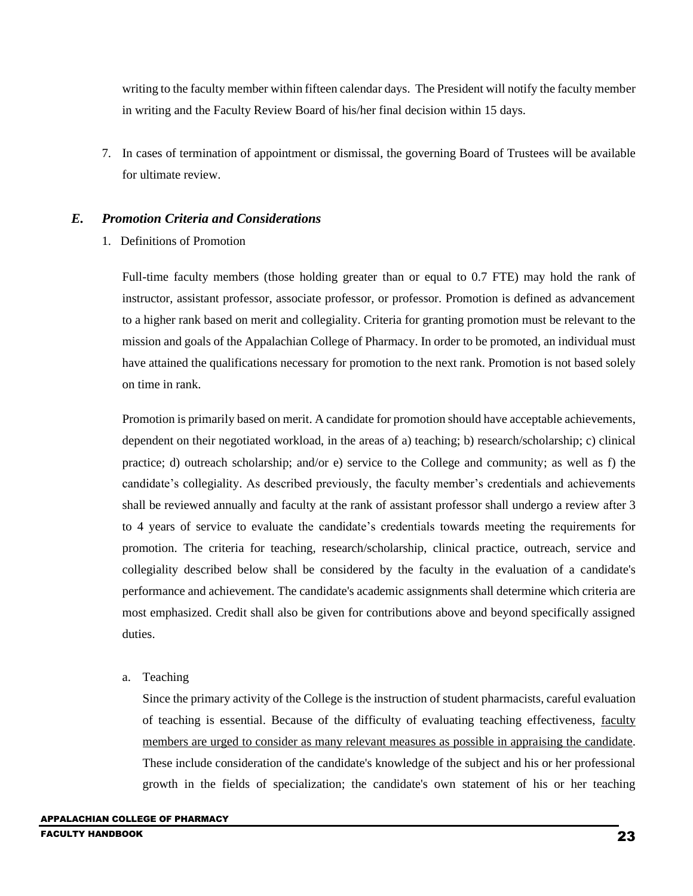writing to the faculty member within fifteen calendar days. The President will notify the faculty member in writing and the Faculty Review Board of his/her final decision within 15 days.

7. In cases of termination of appointment or dismissal, the governing Board of Trustees will be available for ultimate review.

#### *E. Promotion Criteria and Considerations*

1. Definitions of Promotion

Full-time faculty members (those holding greater than or equal to 0.7 FTE) may hold the rank of instructor, assistant professor, associate professor, or professor. Promotion is defined as advancement to a higher rank based on merit and collegiality. Criteria for granting promotion must be relevant to the mission and goals of the Appalachian College of Pharmacy. In order to be promoted, an individual must have attained the qualifications necessary for promotion to the next rank. Promotion is not based solely on time in rank.

Promotion is primarily based on merit. A candidate for promotion should have acceptable achievements, dependent on their negotiated workload, in the areas of a) teaching; b) research/scholarship; c) clinical practice; d) outreach scholarship; and/or e) service to the College and community; as well as f) the candidate's collegiality. As described previously, the faculty member's credentials and achievements shall be reviewed annually and faculty at the rank of assistant professor shall undergo a review after 3 to 4 years of service to evaluate the candidate's credentials towards meeting the requirements for promotion. The criteria for teaching, research/scholarship, clinical practice, outreach, service and collegiality described below shall be considered by the faculty in the evaluation of a candidate's performance and achievement. The candidate's academic assignments shall determine which criteria are most emphasized. Credit shall also be given for contributions above and beyond specifically assigned duties.

a. Teaching

Since the primary activity of the College is the instruction of student pharmacists, careful evaluation of teaching is essential. Because of the difficulty of evaluating teaching effectiveness, faculty members are urged to consider as many relevant measures as possible in appraising the candidate. These include consideration of the candidate's knowledge of the subject and his or her professional growth in the fields of specialization; the candidate's own statement of his or her teaching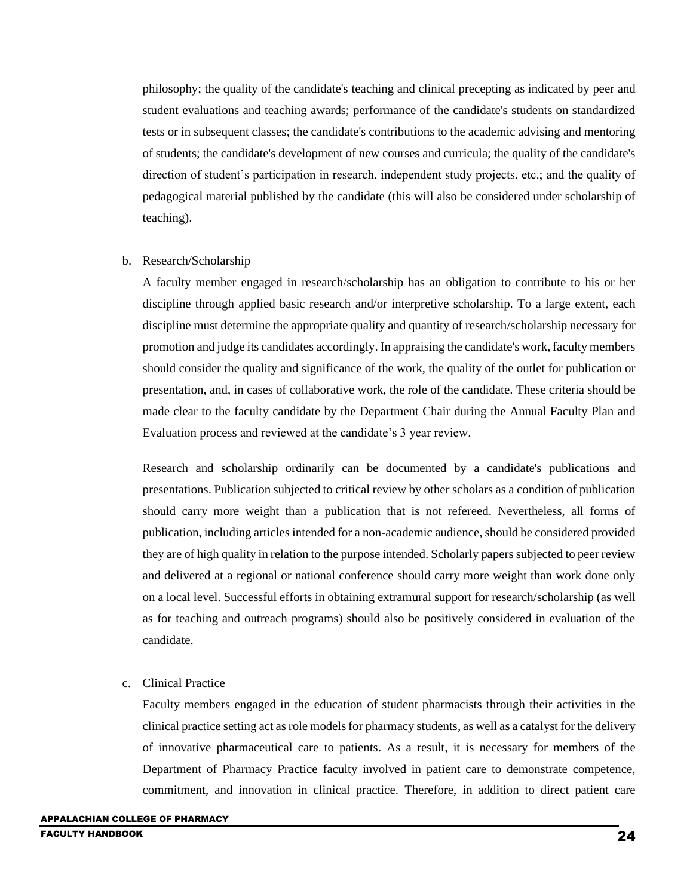philosophy; the quality of the candidate's teaching and clinical precepting as indicated by peer and student evaluations and teaching awards; performance of the candidate's students on standardized tests or in subsequent classes; the candidate's contributions to the academic advising and mentoring of students; the candidate's development of new courses and curricula; the quality of the candidate's direction of student's participation in research, independent study projects, etc.; and the quality of pedagogical material published by the candidate (this will also be considered under scholarship of teaching).

#### b. Research/Scholarship

A faculty member engaged in research/scholarship has an obligation to contribute to his or her discipline through applied basic research and/or interpretive scholarship. To a large extent, each discipline must determine the appropriate quality and quantity of research/scholarship necessary for promotion and judge its candidates accordingly. In appraising the candidate's work, faculty members should consider the quality and significance of the work, the quality of the outlet for publication or presentation, and, in cases of collaborative work, the role of the candidate. These criteria should be made clear to the faculty candidate by the Department Chair during the Annual Faculty Plan and Evaluation process and reviewed at the candidate's 3 year review.

Research and scholarship ordinarily can be documented by a candidate's publications and presentations. Publication subjected to critical review by other scholars as a condition of publication should carry more weight than a publication that is not refereed. Nevertheless, all forms of publication, including articles intended for a non-academic audience, should be considered provided they are of high quality in relation to the purpose intended. Scholarly papers subjected to peer review and delivered at a regional or national conference should carry more weight than work done only on a local level. Successful efforts in obtaining extramural support for research/scholarship (as well as for teaching and outreach programs) should also be positively considered in evaluation of the candidate.

#### c. Clinical Practice

Faculty members engaged in the education of student pharmacists through their activities in the clinical practice setting act as role models for pharmacy students, as well as a catalyst for the delivery of innovative pharmaceutical care to patients. As a result, it is necessary for members of the Department of Pharmacy Practice faculty involved in patient care to demonstrate competence, commitment, and innovation in clinical practice. Therefore, in addition to direct patient care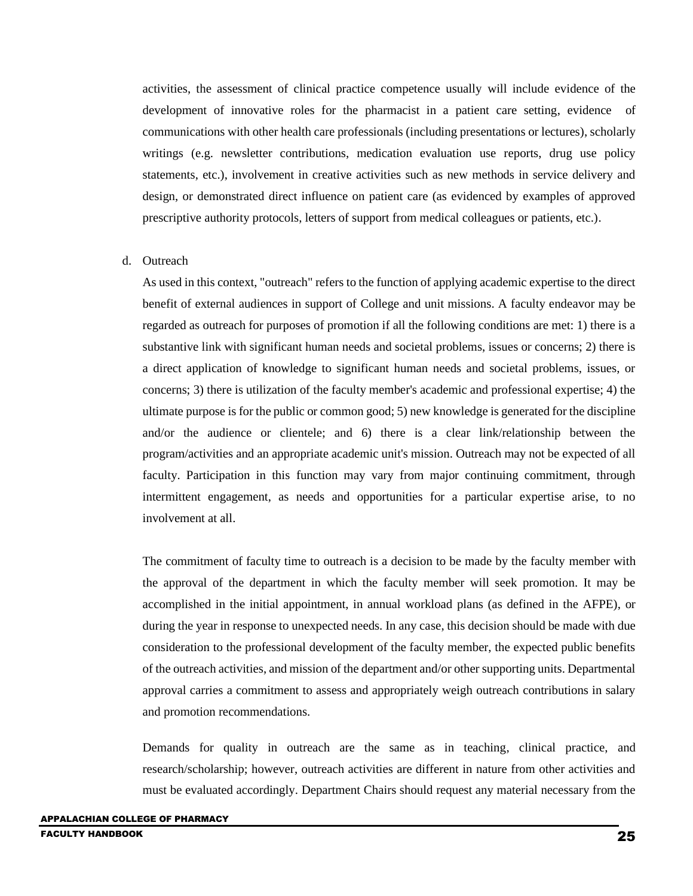activities, the assessment of clinical practice competence usually will include evidence of the development of innovative roles for the pharmacist in a patient care setting, evidence of communications with other health care professionals (including presentations or lectures), scholarly writings (e.g. newsletter contributions, medication evaluation use reports, drug use policy statements, etc.), involvement in creative activities such as new methods in service delivery and design, or demonstrated direct influence on patient care (as evidenced by examples of approved prescriptive authority protocols, letters of support from medical colleagues or patients, etc.).

#### d. Outreach

As used in this context, "outreach" refers to the function of applying academic expertise to the direct benefit of external audiences in support of College and unit missions. A faculty endeavor may be regarded as outreach for purposes of promotion if all the following conditions are met: 1) there is a substantive link with significant human needs and societal problems, issues or concerns; 2) there is a direct application of knowledge to significant human needs and societal problems, issues, or concerns; 3) there is utilization of the faculty member's academic and professional expertise; 4) the ultimate purpose is for the public or common good; 5) new knowledge is generated for the discipline and/or the audience or clientele; and 6) there is a clear link/relationship between the program/activities and an appropriate academic unit's mission. Outreach may not be expected of all faculty. Participation in this function may vary from major continuing commitment, through intermittent engagement, as needs and opportunities for a particular expertise arise, to no involvement at all.

The commitment of faculty time to outreach is a decision to be made by the faculty member with the approval of the department in which the faculty member will seek promotion. It may be accomplished in the initial appointment, in annual workload plans (as defined in the AFPE), or during the year in response to unexpected needs. In any case, this decision should be made with due consideration to the professional development of the faculty member, the expected public benefits of the outreach activities, and mission of the department and/or other supporting units. Departmental approval carries a commitment to assess and appropriately weigh outreach contributions in salary and promotion recommendations.

Demands for quality in outreach are the same as in teaching, clinical practice, and research/scholarship; however, outreach activities are different in nature from other activities and must be evaluated accordingly. Department Chairs should request any material necessary from the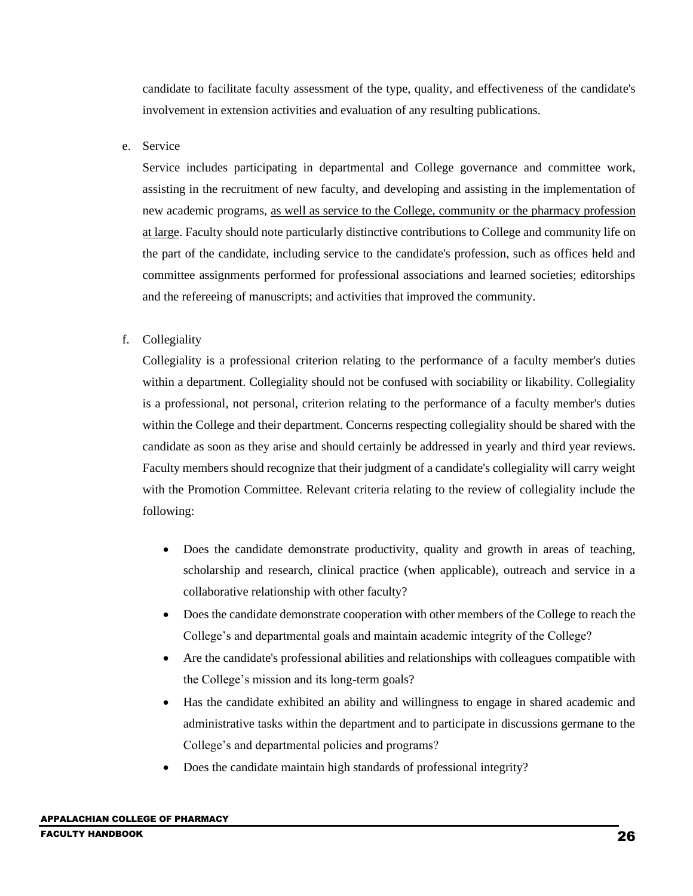candidate to facilitate faculty assessment of the type, quality, and effectiveness of the candidate's involvement in extension activities and evaluation of any resulting publications.

e. Service

Service includes participating in departmental and College governance and committee work, assisting in the recruitment of new faculty, and developing and assisting in the implementation of new academic programs, as well as service to the College, community or the pharmacy profession at large. Faculty should note particularly distinctive contributions to College and community life on the part of the candidate, including service to the candidate's profession, such as offices held and committee assignments performed for professional associations and learned societies; editorships and the refereeing of manuscripts; and activities that improved the community.

f. Collegiality

Collegiality is a professional criterion relating to the performance of a faculty member's duties within a department. Collegiality should not be confused with sociability or likability. Collegiality is a professional, not personal, criterion relating to the performance of a faculty member's duties within the College and their department. Concerns respecting collegiality should be shared with the candidate as soon as they arise and should certainly be addressed in yearly and third year reviews. Faculty members should recognize that their judgment of a candidate's collegiality will carry weight with the Promotion Committee. Relevant criteria relating to the review of collegiality include the following:

- Does the candidate demonstrate productivity, quality and growth in areas of teaching, scholarship and research, clinical practice (when applicable), outreach and service in a collaborative relationship with other faculty?
- Does the candidate demonstrate cooperation with other members of the College to reach the College's and departmental goals and maintain academic integrity of the College?
- Are the candidate's professional abilities and relationships with colleagues compatible with the College's mission and its long-term goals?
- Has the candidate exhibited an ability and willingness to engage in shared academic and administrative tasks within the department and to participate in discussions germane to the College's and departmental policies and programs?
- Does the candidate maintain high standards of professional integrity?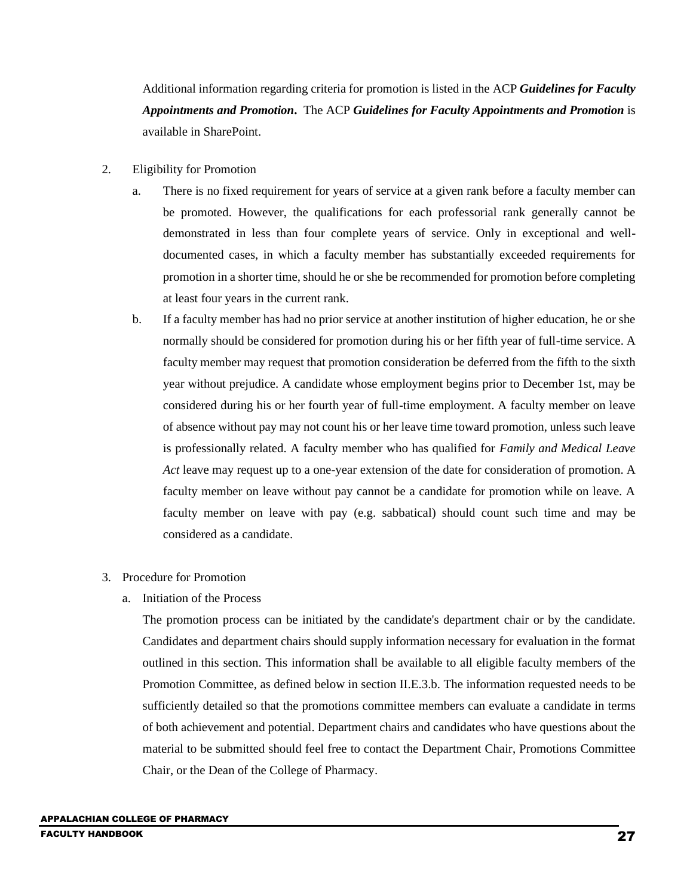Additional information regarding criteria for promotion is listed in the ACP *Guidelines for Faculty Appointments and Promotion***.** The ACP *Guidelines for Faculty Appointments and Promotion* is available in SharePoint.

- 2. Eligibility for Promotion
	- a. There is no fixed requirement for years of service at a given rank before a faculty member can be promoted. However, the qualifications for each professorial rank generally cannot be demonstrated in less than four complete years of service. Only in exceptional and welldocumented cases, in which a faculty member has substantially exceeded requirements for promotion in a shorter time, should he or she be recommended for promotion before completing at least four years in the current rank.
	- b. If a faculty member has had no prior service at another institution of higher education, he or she normally should be considered for promotion during his or her fifth year of full-time service. A faculty member may request that promotion consideration be deferred from the fifth to the sixth year without prejudice. A candidate whose employment begins prior to December 1st, may be considered during his or her fourth year of full-time employment. A faculty member on leave of absence without pay may not count his or her leave time toward promotion, unless such leave is professionally related. A faculty member who has qualified for *Family and Medical Leave Act* leave may request up to a one-year extension of the date for consideration of promotion. A faculty member on leave without pay cannot be a candidate for promotion while on leave. A faculty member on leave with pay (e.g. sabbatical) should count such time and may be considered as a candidate.

#### 3. Procedure for Promotion

a. Initiation of the Process

The promotion process can be initiated by the candidate's department chair or by the candidate. Candidates and department chairs should supply information necessary for evaluation in the format outlined in this section. This information shall be available to all eligible faculty members of the Promotion Committee, as defined below in section II.E.3.b. The information requested needs to be sufficiently detailed so that the promotions committee members can evaluate a candidate in terms of both achievement and potential. Department chairs and candidates who have questions about the material to be submitted should feel free to contact the Department Chair, Promotions Committee Chair, or the Dean of the College of Pharmacy.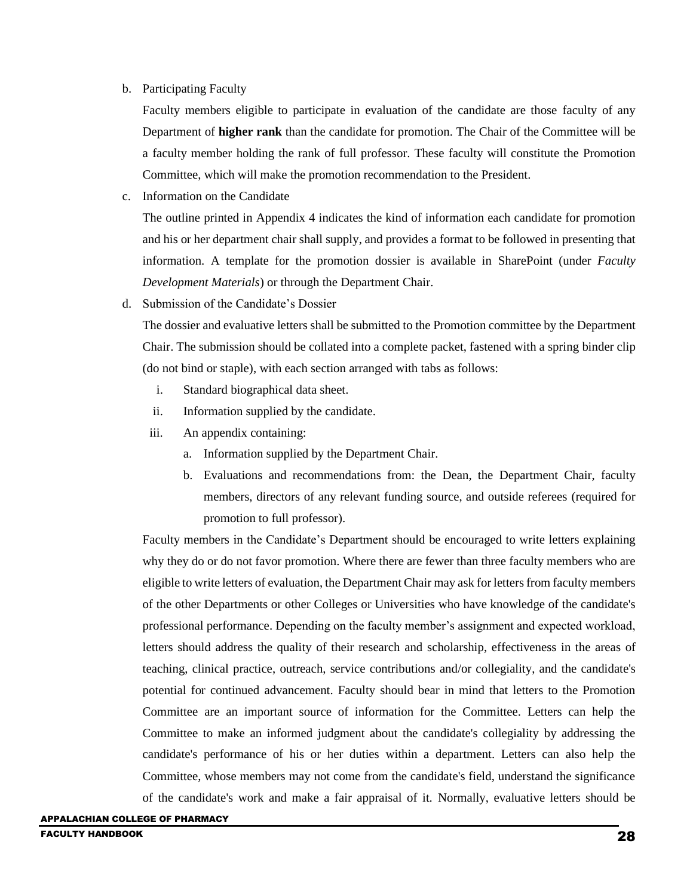#### b. Participating Faculty

Faculty members eligible to participate in evaluation of the candidate are those faculty of any Department of **higher rank** than the candidate for promotion. The Chair of the Committee will be a faculty member holding the rank of full professor. These faculty will constitute the Promotion Committee, which will make the promotion recommendation to the President.

c. Information on the Candidate

The outline printed in Appendix 4 indicates the kind of information each candidate for promotion and his or her department chair shall supply, and provides a format to be followed in presenting that information. A template for the promotion dossier is available in SharePoint (under *Faculty Development Materials*) or through the Department Chair.

d. Submission of the Candidate's Dossier

The dossier and evaluative letters shall be submitted to the Promotion committee by the Department Chair. The submission should be collated into a complete packet, fastened with a spring binder clip (do not bind or staple), with each section arranged with tabs as follows:

- i. Standard biographical data sheet.
- ii. Information supplied by the candidate.
- iii. An appendix containing:
	- a. Information supplied by the Department Chair.
	- b. Evaluations and recommendations from: the Dean, the Department Chair, faculty members, directors of any relevant funding source, and outside referees (required for promotion to full professor).

Faculty members in the Candidate's Department should be encouraged to write letters explaining why they do or do not favor promotion. Where there are fewer than three faculty members who are eligible to write letters of evaluation, the Department Chair may ask for letters from faculty members of the other Departments or other Colleges or Universities who have knowledge of the candidate's professional performance. Depending on the faculty member's assignment and expected workload, letters should address the quality of their research and scholarship, effectiveness in the areas of teaching, clinical practice, outreach, service contributions and/or collegiality, and the candidate's potential for continued advancement. Faculty should bear in mind that letters to the Promotion Committee are an important source of information for the Committee. Letters can help the Committee to make an informed judgment about the candidate's collegiality by addressing the candidate's performance of his or her duties within a department. Letters can also help the Committee, whose members may not come from the candidate's field, understand the significance of the candidate's work and make a fair appraisal of it. Normally, evaluative letters should be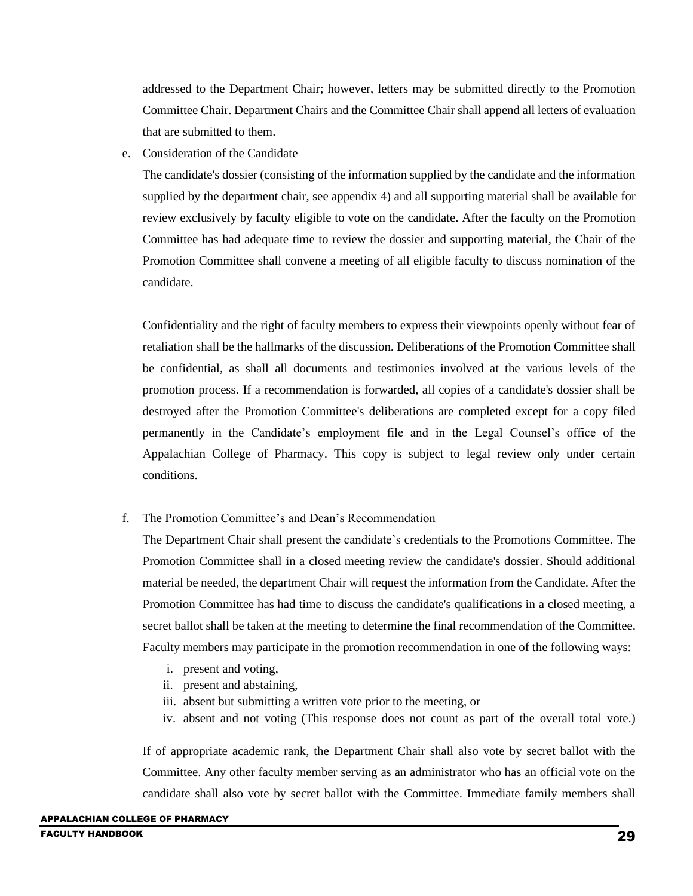addressed to the Department Chair; however, letters may be submitted directly to the Promotion Committee Chair. Department Chairs and the Committee Chair shall append all letters of evaluation that are submitted to them.

e. Consideration of the Candidate

The candidate's dossier (consisting of the information supplied by the candidate and the information supplied by the department chair, see appendix 4) and all supporting material shall be available for review exclusively by faculty eligible to vote on the candidate. After the faculty on the Promotion Committee has had adequate time to review the dossier and supporting material, the Chair of the Promotion Committee shall convene a meeting of all eligible faculty to discuss nomination of the candidate.

Confidentiality and the right of faculty members to express their viewpoints openly without fear of retaliation shall be the hallmarks of the discussion. Deliberations of the Promotion Committee shall be confidential, as shall all documents and testimonies involved at the various levels of the promotion process. If a recommendation is forwarded, all copies of a candidate's dossier shall be destroyed after the Promotion Committee's deliberations are completed except for a copy filed permanently in the Candidate's employment file and in the Legal Counsel's office of the Appalachian College of Pharmacy. This copy is subject to legal review only under certain conditions.

f. The Promotion Committee's and Dean's Recommendation

The Department Chair shall present the candidate's credentials to the Promotions Committee. The Promotion Committee shall in a closed meeting review the candidate's dossier. Should additional material be needed, the department Chair will request the information from the Candidate. After the Promotion Committee has had time to discuss the candidate's qualifications in a closed meeting, a secret ballot shall be taken at the meeting to determine the final recommendation of the Committee. Faculty members may participate in the promotion recommendation in one of the following ways:

- i. present and voting,
- ii. present and abstaining,
- iii. absent but submitting a written vote prior to the meeting, or
- iv. absent and not voting (This response does not count as part of the overall total vote.)

If of appropriate academic rank, the Department Chair shall also vote by secret ballot with the Committee. Any other faculty member serving as an administrator who has an official vote on the candidate shall also vote by secret ballot with the Committee. Immediate family members shall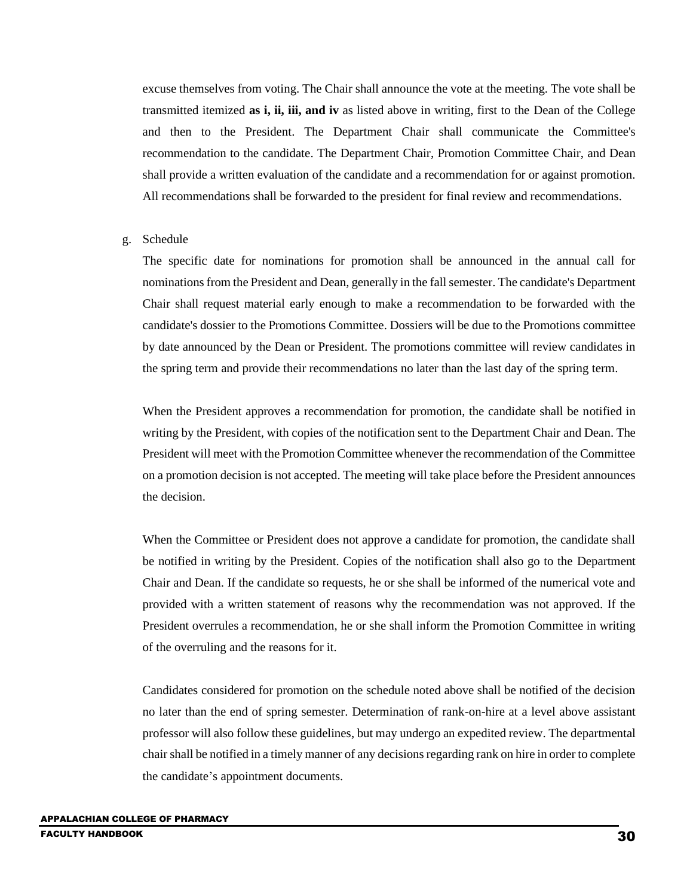excuse themselves from voting. The Chair shall announce the vote at the meeting. The vote shall be transmitted itemized **as i, ii, iii, and iv** as listed above in writing, first to the Dean of the College and then to the President. The Department Chair shall communicate the Committee's recommendation to the candidate. The Department Chair, Promotion Committee Chair, and Dean shall provide a written evaluation of the candidate and a recommendation for or against promotion. All recommendations shall be forwarded to the president for final review and recommendations.

#### g. Schedule

The specific date for nominations for promotion shall be announced in the annual call for nominations from the President and Dean, generally in the fall semester. The candidate's Department Chair shall request material early enough to make a recommendation to be forwarded with the candidate's dossier to the Promotions Committee. Dossiers will be due to the Promotions committee by date announced by the Dean or President. The promotions committee will review candidates in the spring term and provide their recommendations no later than the last day of the spring term.

When the President approves a recommendation for promotion, the candidate shall be notified in writing by the President, with copies of the notification sent to the Department Chair and Dean. The President will meet with the Promotion Committee whenever the recommendation of the Committee on a promotion decision is not accepted. The meeting will take place before the President announces the decision.

When the Committee or President does not approve a candidate for promotion, the candidate shall be notified in writing by the President. Copies of the notification shall also go to the Department Chair and Dean. If the candidate so requests, he or she shall be informed of the numerical vote and provided with a written statement of reasons why the recommendation was not approved. If the President overrules a recommendation, he or she shall inform the Promotion Committee in writing of the overruling and the reasons for it.

Candidates considered for promotion on the schedule noted above shall be notified of the decision no later than the end of spring semester. Determination of rank-on-hire at a level above assistant professor will also follow these guidelines, but may undergo an expedited review. The departmental chair shall be notified in a timely manner of any decisions regarding rank on hire in order to complete the candidate's appointment documents.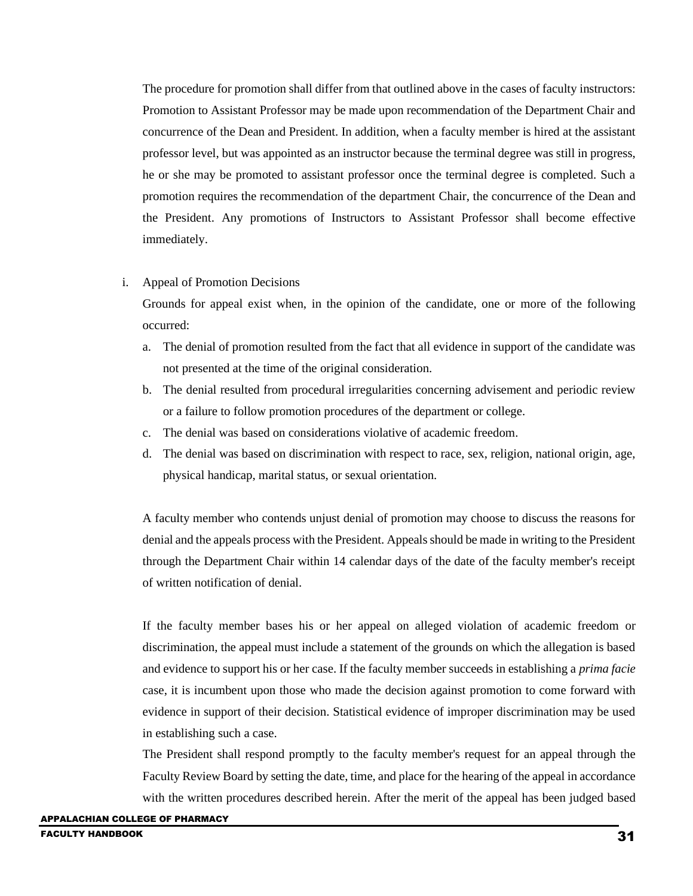The procedure for promotion shall differ from that outlined above in the cases of faculty instructors: Promotion to Assistant Professor may be made upon recommendation of the Department Chair and concurrence of the Dean and President. In addition, when a faculty member is hired at the assistant professor level, but was appointed as an instructor because the terminal degree was still in progress, he or she may be promoted to assistant professor once the terminal degree is completed. Such a promotion requires the recommendation of the department Chair, the concurrence of the Dean and the President. Any promotions of Instructors to Assistant Professor shall become effective immediately.

#### i. Appeal of Promotion Decisions

Grounds for appeal exist when, in the opinion of the candidate, one or more of the following occurred:

- a. The denial of promotion resulted from the fact that all evidence in support of the candidate was not presented at the time of the original consideration.
- b. The denial resulted from procedural irregularities concerning advisement and periodic review or a failure to follow promotion procedures of the department or college.
- c. The denial was based on considerations violative of academic freedom.
- d. The denial was based on discrimination with respect to race, sex, religion, national origin, age, physical handicap, marital status, or sexual orientation.

A faculty member who contends unjust denial of promotion may choose to discuss the reasons for denial and the appeals process with the President. Appeals should be made in writing to the President through the Department Chair within 14 calendar days of the date of the faculty member's receipt of written notification of denial.

If the faculty member bases his or her appeal on alleged violation of academic freedom or discrimination, the appeal must include a statement of the grounds on which the allegation is based and evidence to support his or her case. If the faculty member succeeds in establishing a *prima facie* case, it is incumbent upon those who made the decision against promotion to come forward with evidence in support of their decision. Statistical evidence of improper discrimination may be used in establishing such a case.

The President shall respond promptly to the faculty member's request for an appeal through the Faculty Review Board by setting the date, time, and place for the hearing of the appeal in accordance with the written procedures described herein. After the merit of the appeal has been judged based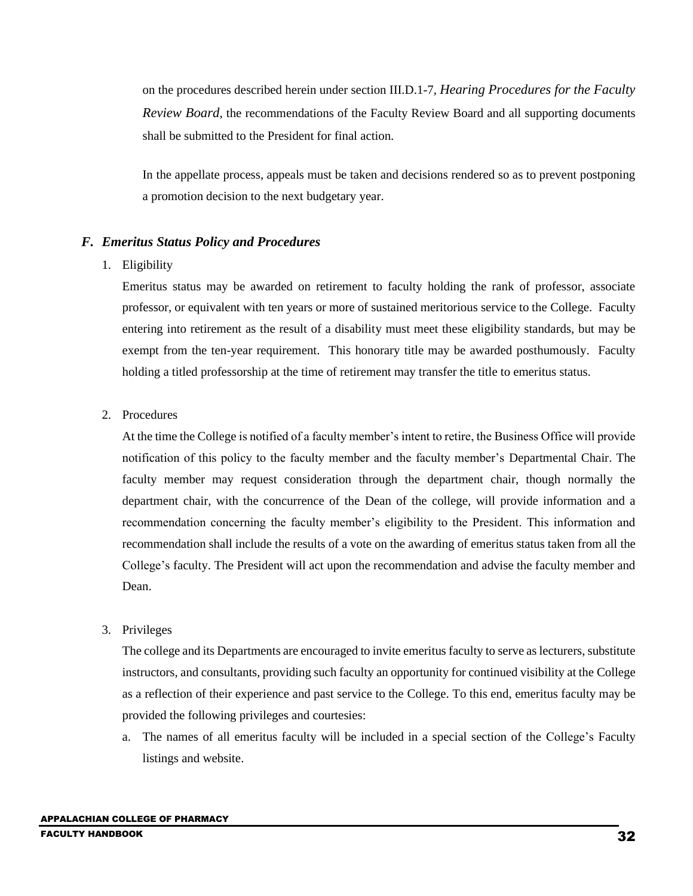on the procedures described herein under section III.D.1-7, *Hearing Procedures for the Faculty Review Board*, the recommendations of the Faculty Review Board and all supporting documents shall be submitted to the President for final action.

In the appellate process, appeals must be taken and decisions rendered so as to prevent postponing a promotion decision to the next budgetary year.

#### *F. Emeritus Status Policy and Procedures*

#### 1. Eligibility

Emeritus status may be awarded on retirement to faculty holding the rank of professor, associate professor, or equivalent with ten years or more of sustained meritorious service to the College. Faculty entering into retirement as the result of a disability must meet these eligibility standards, but may be exempt from the ten-year requirement. This honorary title may be awarded posthumously. Faculty holding a titled professorship at the time of retirement may transfer the title to emeritus status.

#### 2. Procedures

At the time the College is notified of a faculty member's intent to retire, the Business Office will provide notification of this policy to the faculty member and the faculty member's Departmental Chair. The faculty member may request consideration through the department chair, though normally the department chair, with the concurrence of the Dean of the college, will provide information and a recommendation concerning the faculty member's eligibility to the President. This information and recommendation shall include the results of a vote on the awarding of emeritus status taken from all the College's faculty. The President will act upon the recommendation and advise the faculty member and Dean.

3. Privileges

The college and its Departments are encouraged to invite emeritus faculty to serve as lecturers, substitute instructors, and consultants, providing such faculty an opportunity for continued visibility at the College as a reflection of their experience and past service to the College. To this end, emeritus faculty may be provided the following privileges and courtesies:

a. The names of all emeritus faculty will be included in a special section of the College's Faculty listings and website.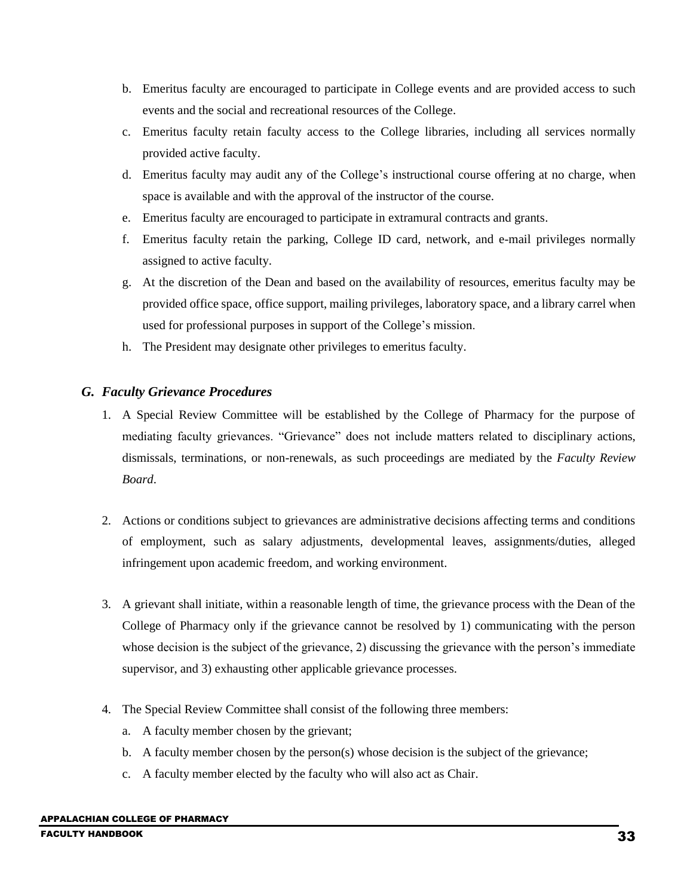- b. Emeritus faculty are encouraged to participate in College events and are provided access to such events and the social and recreational resources of the College.
- c. Emeritus faculty retain faculty access to the College libraries, including all services normally provided active faculty.
- d. Emeritus faculty may audit any of the College's instructional course offering at no charge, when space is available and with the approval of the instructor of the course.
- e. Emeritus faculty are encouraged to participate in extramural contracts and grants.
- f. Emeritus faculty retain the parking, College ID card, network, and e-mail privileges normally assigned to active faculty.
- g. At the discretion of the Dean and based on the availability of resources, emeritus faculty may be provided office space, office support, mailing privileges, laboratory space, and a library carrel when used for professional purposes in support of the College's mission.
- h. The President may designate other privileges to emeritus faculty.

#### *G. Faculty Grievance Procedures*

- 1. A Special Review Committee will be established by the College of Pharmacy for the purpose of mediating faculty grievances. "Grievance" does not include matters related to disciplinary actions, dismissals, terminations, or non-renewals, as such proceedings are mediated by the *Faculty Review Board*.
- 2. Actions or conditions subject to grievances are administrative decisions affecting terms and conditions of employment, such as salary adjustments, developmental leaves, assignments/duties, alleged infringement upon academic freedom, and working environment.
- 3. A grievant shall initiate, within a reasonable length of time, the grievance process with the Dean of the College of Pharmacy only if the grievance cannot be resolved by 1) communicating with the person whose decision is the subject of the grievance, 2) discussing the grievance with the person's immediate supervisor, and 3) exhausting other applicable grievance processes.
- 4. The Special Review Committee shall consist of the following three members:
	- a. A faculty member chosen by the grievant;
	- b. A faculty member chosen by the person(s) whose decision is the subject of the grievance;
	- c. A faculty member elected by the faculty who will also act as Chair.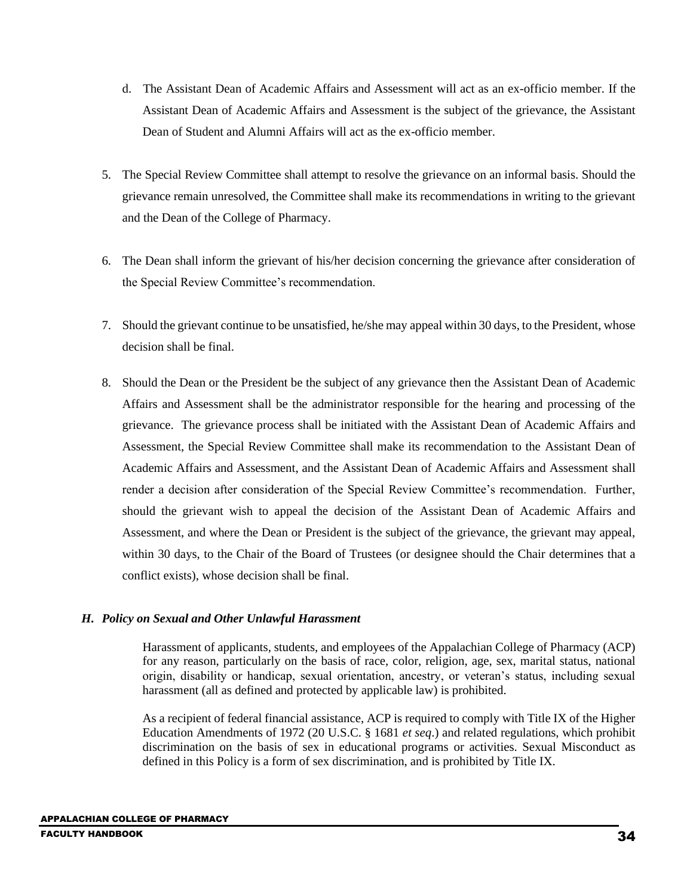- d. The Assistant Dean of Academic Affairs and Assessment will act as an ex-officio member. If the Assistant Dean of Academic Affairs and Assessment is the subject of the grievance, the Assistant Dean of Student and Alumni Affairs will act as the ex-officio member.
- 5. The Special Review Committee shall attempt to resolve the grievance on an informal basis. Should the grievance remain unresolved, the Committee shall make its recommendations in writing to the grievant and the Dean of the College of Pharmacy.
- 6. The Dean shall inform the grievant of his/her decision concerning the grievance after consideration of the Special Review Committee's recommendation.
- 7. Should the grievant continue to be unsatisfied, he/she may appeal within 30 days, to the President, whose decision shall be final.
- 8. Should the Dean or the President be the subject of any grievance then the Assistant Dean of Academic Affairs and Assessment shall be the administrator responsible for the hearing and processing of the grievance. The grievance process shall be initiated with the Assistant Dean of Academic Affairs and Assessment, the Special Review Committee shall make its recommendation to the Assistant Dean of Academic Affairs and Assessment, and the Assistant Dean of Academic Affairs and Assessment shall render a decision after consideration of the Special Review Committee's recommendation. Further, should the grievant wish to appeal the decision of the Assistant Dean of Academic Affairs and Assessment, and where the Dean or President is the subject of the grievance, the grievant may appeal, within 30 days, to the Chair of the Board of Trustees (or designee should the Chair determines that a conflict exists), whose decision shall be final.

#### *H. Policy on Sexual and Other Unlawful Harassment*

Harassment of applicants, students, and employees of the Appalachian College of Pharmacy (ACP) for any reason, particularly on the basis of race, color, religion, age, sex, marital status, national origin, disability or handicap, sexual orientation, ancestry, or veteran's status, including sexual harassment (all as defined and protected by applicable law) is prohibited.

As a recipient of federal financial assistance, ACP is required to comply with Title IX of the Higher Education Amendments of 1972 (20 U.S.C. § 1681 *et seq*.) and related regulations, which prohibit discrimination on the basis of sex in educational programs or activities. Sexual Misconduct as defined in this Policy is a form of sex discrimination, and is prohibited by Title IX.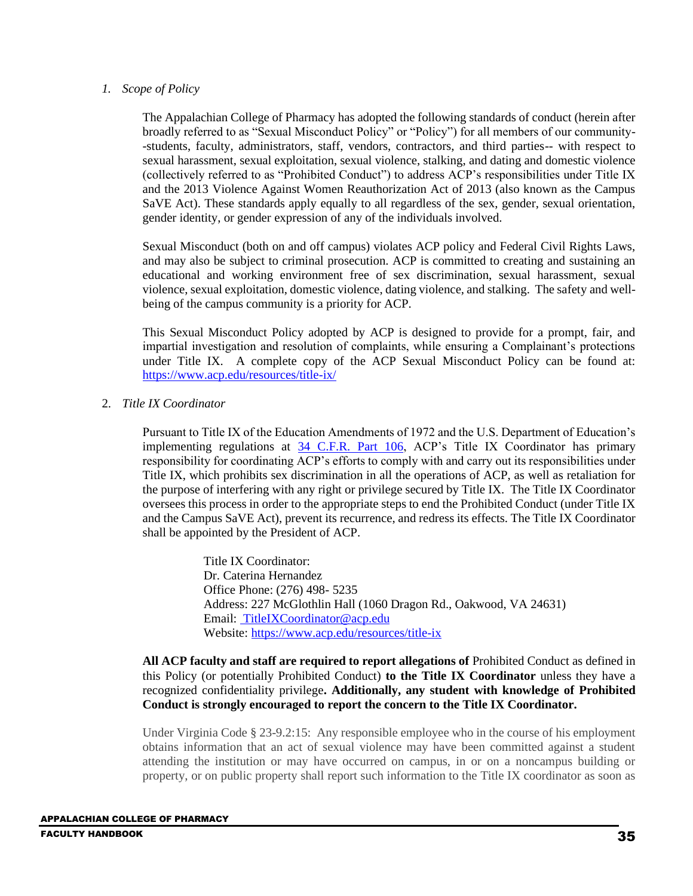#### *1. Scope of Policy*

The Appalachian College of Pharmacy has adopted the following standards of conduct (herein after broadly referred to as "Sexual Misconduct Policy" or "Policy") for all members of our community- -students, faculty, administrators, staff, vendors, contractors, and third parties-- with respect to sexual harassment, sexual exploitation, sexual violence, stalking, and dating and domestic violence (collectively referred to as "Prohibited Conduct") to address ACP's responsibilities under Title IX and the 2013 Violence Against Women Reauthorization Act of 2013 (also known as the Campus SaVE Act). These standards apply equally to all regardless of the sex, gender, sexual orientation, gender identity, or gender expression of any of the individuals involved.

Sexual Misconduct (both on and off campus) violates ACP policy and Federal Civil Rights Laws, and may also be subject to criminal prosecution. ACP is committed to creating and sustaining an educational and working environment free of sex discrimination, sexual harassment, sexual violence, sexual exploitation, domestic violence, dating violence, and stalking. The safety and wellbeing of the campus community is a priority for ACP.

This Sexual Misconduct Policy adopted by ACP is designed to provide for a prompt, fair, and impartial investigation and resolution of complaints, while ensuring a Complainant's protections under Title IX. A complete copy of the ACP Sexual Misconduct Policy can be found at: <https://www.acp.edu/resources/title-ix/>

#### 2. *Title IX Coordinator*

Pursuant to Title IX of the Education Amendments of 1972 and the U.S. Department of Education's implementing regulations at [34 C.F.R. Part 106,](http://www2.ed.gov/policy/rights/reg/ocr/edlite-34cfr106.html#S8) ACP's Title IX Coordinator has primary responsibility for coordinating ACP's efforts to comply with and carry out its responsibilities under Title IX, which prohibits sex discrimination in all the operations of ACP, as well as retaliation for the purpose of interfering with any right or privilege secured by Title IX. The Title IX Coordinator oversees this process in order to the appropriate steps to end the Prohibited Conduct (under Title IX and the Campus SaVE Act), prevent its recurrence, and redress its effects. The Title IX Coordinator shall be appointed by the President of ACP.

> Title IX Coordinator: Dr. Caterina Hernandez Office Phone: (276) 498- 5235 Address: 227 McGlothlin Hall (1060 Dragon Rd., Oakwood, VA 24631) Email: [TitleIXCoordinator@acp.edu](mailto:TitleIXCoordinator@acp.edu) Website: <https://www.acp.edu/resources/title-ix>

**All ACP faculty and staff are required to report allegations of** Prohibited Conduct as defined in this Policy (or potentially Prohibited Conduct) **to the Title IX Coordinator** unless they have a recognized confidentiality privilege**. Additionally, any student with knowledge of Prohibited Conduct is strongly encouraged to report the concern to the Title IX Coordinator.** 

Under Virginia Code § 23-9.2:15: Any responsible employee who in the course of his employment obtains information that an act of sexual violence may have been committed against a student attending the institution or may have occurred on campus, in or on a noncampus building or property, or on public property shall report such information to the Title IX coordinator as soon as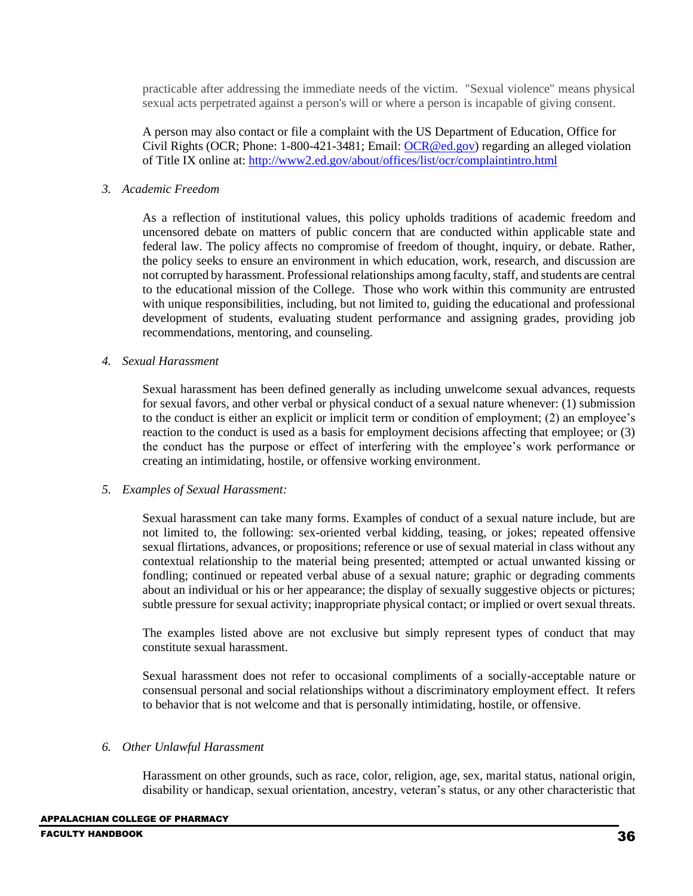practicable after addressing the immediate needs of the victim. "Sexual violence" means physical sexual acts perpetrated against a person's will or where a person is incapable of giving consent.

A person may also contact or file a complaint with the US Department of Education, Office for Civil Rights (OCR; Phone: 1-800-421-3481; Email: [OCR@ed.gov\)](mailto:OCR@ed.gov) regarding an alleged violation of Title IX online at:<http://www2.ed.gov/about/offices/list/ocr/complaintintro.html>

#### *3. Academic Freedom*

As a reflection of institutional values, this policy upholds traditions of academic freedom and uncensored debate on matters of public concern that are conducted within applicable state and federal law. The policy affects no compromise of freedom of thought, inquiry, or debate. Rather, the policy seeks to ensure an environment in which education, work, research, and discussion are not corrupted by harassment. Professional relationships among faculty, staff, and students are central to the educational mission of the College. Those who work within this community are entrusted with unique responsibilities, including, but not limited to, guiding the educational and professional development of students, evaluating student performance and assigning grades, providing job recommendations, mentoring, and counseling.

#### *4. Sexual Harassment*

Sexual harassment has been defined generally as including unwelcome sexual advances, requests for sexual favors, and other verbal or physical conduct of a sexual nature whenever: (1) submission to the conduct is either an explicit or implicit term or condition of employment; (2) an employee's reaction to the conduct is used as a basis for employment decisions affecting that employee; or (3) the conduct has the purpose or effect of interfering with the employee's work performance or creating an intimidating, hostile, or offensive working environment.

#### *5. Examples of Sexual Harassment:*

Sexual harassment can take many forms. Examples of conduct of a sexual nature include, but are not limited to, the following: sex-oriented verbal kidding, teasing, or jokes; repeated offensive sexual flirtations, advances, or propositions; reference or use of sexual material in class without any contextual relationship to the material being presented; attempted or actual unwanted kissing or fondling; continued or repeated verbal abuse of a sexual nature; graphic or degrading comments about an individual or his or her appearance; the display of sexually suggestive objects or pictures; subtle pressure for sexual activity; inappropriate physical contact; or implied or overt sexual threats.

The examples listed above are not exclusive but simply represent types of conduct that may constitute sexual harassment.

Sexual harassment does not refer to occasional compliments of a socially-acceptable nature or consensual personal and social relationships without a discriminatory employment effect. It refers to behavior that is not welcome and that is personally intimidating, hostile, or offensive.

#### *6. Other Unlawful Harassment*

Harassment on other grounds, such as race, color, religion, age, sex, marital status, national origin, disability or handicap, sexual orientation, ancestry, veteran's status, or any other characteristic that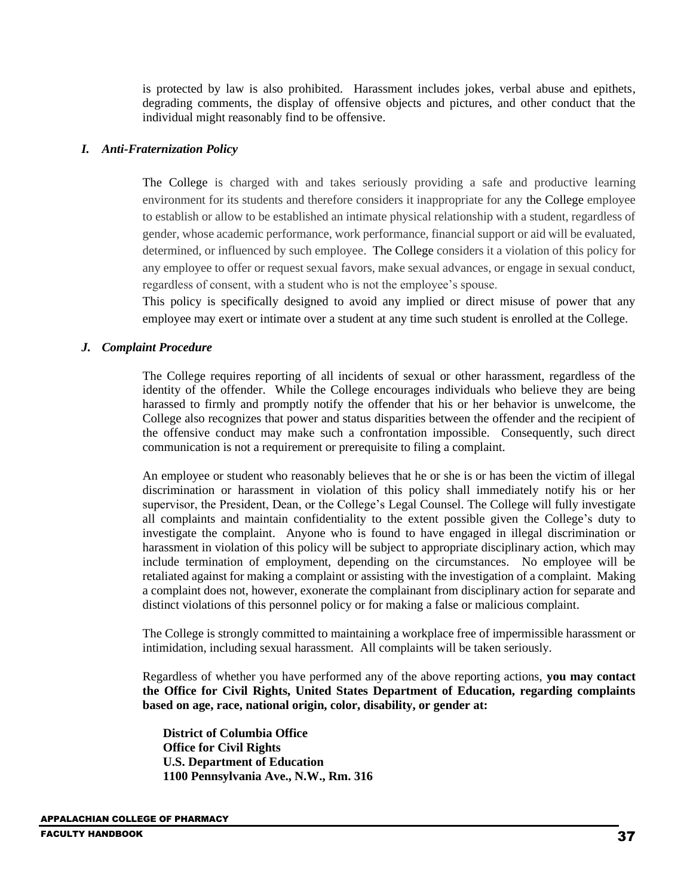is protected by law is also prohibited. Harassment includes jokes, verbal abuse and epithets, degrading comments, the display of offensive objects and pictures, and other conduct that the individual might reasonably find to be offensive.

#### *I. Anti-Fraternization Policy*

The College is charged with and takes seriously providing a safe and productive learning environment for its students and therefore considers it inappropriate for any the College employee to establish or allow to be established an intimate physical relationship with a student, regardless of gender, whose academic performance, work performance, financial support or aid will be evaluated, determined, or influenced by such employee. The College considers it a violation of this policy for any employee to offer or request sexual favors, make sexual advances, or engage in sexual conduct, regardless of consent, with a student who is not the employee's spouse.

This policy is specifically designed to avoid any implied or direct misuse of power that any employee may exert or intimate over a student at any time such student is enrolled at the College.

#### *J. Complaint Procedure*

The College requires reporting of all incidents of sexual or other harassment, regardless of the identity of the offender. While the College encourages individuals who believe they are being harassed to firmly and promptly notify the offender that his or her behavior is unwelcome, the College also recognizes that power and status disparities between the offender and the recipient of the offensive conduct may make such a confrontation impossible. Consequently, such direct communication is not a requirement or prerequisite to filing a complaint.

An employee or student who reasonably believes that he or she is or has been the victim of illegal discrimination or harassment in violation of this policy shall immediately notify his or her supervisor, the President, Dean, or the College's Legal Counsel. The College will fully investigate all complaints and maintain confidentiality to the extent possible given the College's duty to investigate the complaint. Anyone who is found to have engaged in illegal discrimination or harassment in violation of this policy will be subject to appropriate disciplinary action, which may include termination of employment, depending on the circumstances. No employee will be retaliated against for making a complaint or assisting with the investigation of a complaint. Making a complaint does not, however, exonerate the complainant from disciplinary action for separate and distinct violations of this personnel policy or for making a false or malicious complaint.

The College is strongly committed to maintaining a workplace free of impermissible harassment or intimidation, including sexual harassment. All complaints will be taken seriously.

Regardless of whether you have performed any of the above reporting actions, **you may contact the Office for Civil Rights, United States Department of Education, regarding complaints based on age, race, national origin, color, disability, or gender at:**

**District of Columbia Office Office for Civil Rights U.S. Department of Education 1100 Pennsylvania Ave., N.W., Rm. 316**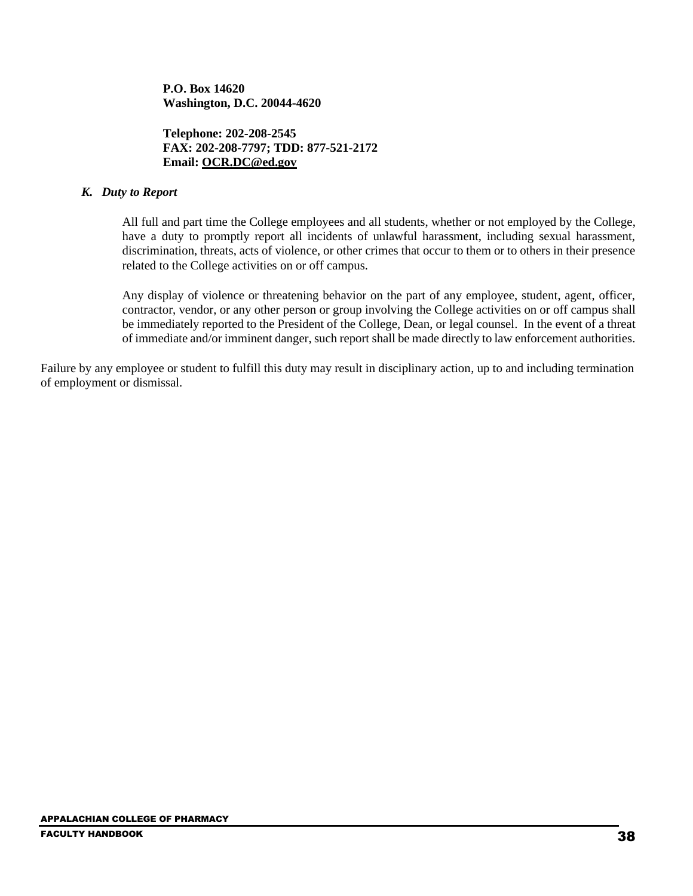#### **P.O. Box 14620 Washington, D.C. 20044-4620**

#### **Telephone: 202-208-2545 FAX: 202-208-7797; TDD: 877-521-2172 Email: OCR.DC@ed.gov**

#### *K. Duty to Report*

All full and part time the College employees and all students, whether or not employed by the College, have a duty to promptly report all incidents of unlawful harassment, including sexual harassment, discrimination, threats, acts of violence, or other crimes that occur to them or to others in their presence related to the College activities on or off campus.

Any display of violence or threatening behavior on the part of any employee, student, agent, officer, contractor, vendor, or any other person or group involving the College activities on or off campus shall be immediately reported to the President of the College, Dean, or legal counsel. In the event of a threat of immediate and/or imminent danger, such report shall be made directly to law enforcement authorities.

Failure by any employee or student to fulfill this duty may result in disciplinary action, up to and including termination of employment or dismissal.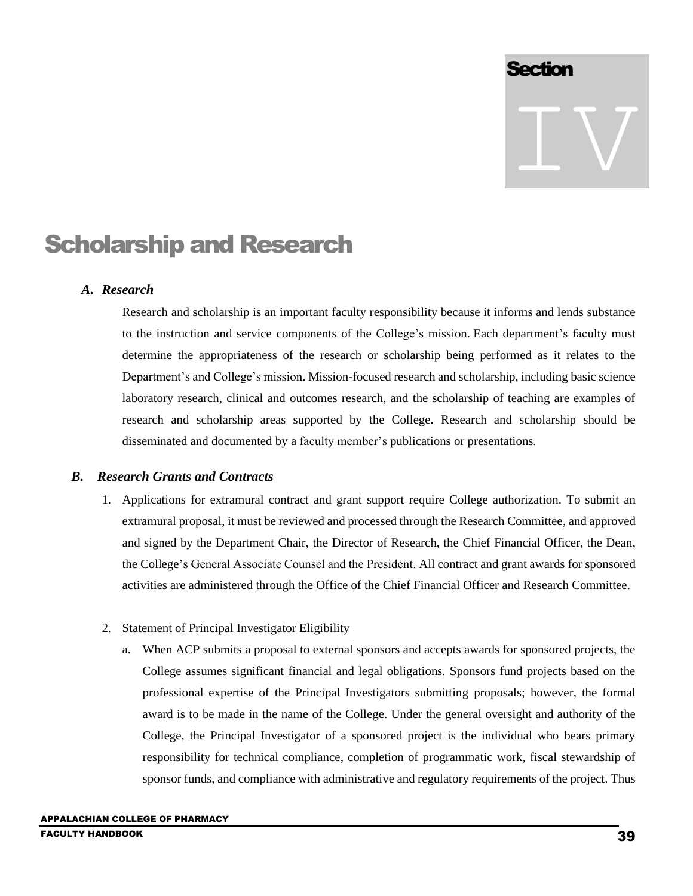# **Sectio** IV

# Scholarship and Research

#### *A. Research*

Research and scholarship is an important faculty responsibility because it informs and lends substance to the instruction and service components of the College's mission. Each department's faculty must determine the appropriateness of the research or scholarship being performed as it relates to the Department's and College's mission. Mission-focused research and scholarship, including basic science laboratory research, clinical and outcomes research, and the scholarship of teaching are examples of research and scholarship areas supported by the College. Research and scholarship should be disseminated and documented by a faculty member's publications or presentations.

#### *B. Research Grants and Contracts*

- 1. Applications for extramural contract and grant support require College authorization. To submit an extramural proposal, it must be reviewed and processed through the Research Committee, and approved and signed by the Department Chair, the Director of Research, the Chief Financial Officer, the Dean, the College's General Associate Counsel and the President. All contract and grant awards for sponsored activities are administered through the Office of the Chief Financial Officer and Research Committee.
- 2. Statement of Principal Investigator Eligibility
	- a. When ACP submits a proposal to external sponsors and accepts awards for sponsored projects, the College assumes significant financial and legal obligations. Sponsors fund projects based on the professional expertise of the Principal Investigators submitting proposals; however, the formal award is to be made in the name of the College. Under the general oversight and authority of the College, the Principal Investigator of a sponsored project is the individual who bears primary responsibility for technical compliance, completion of programmatic work, fiscal stewardship of sponsor funds, and compliance with administrative and regulatory requirements of the project. Thus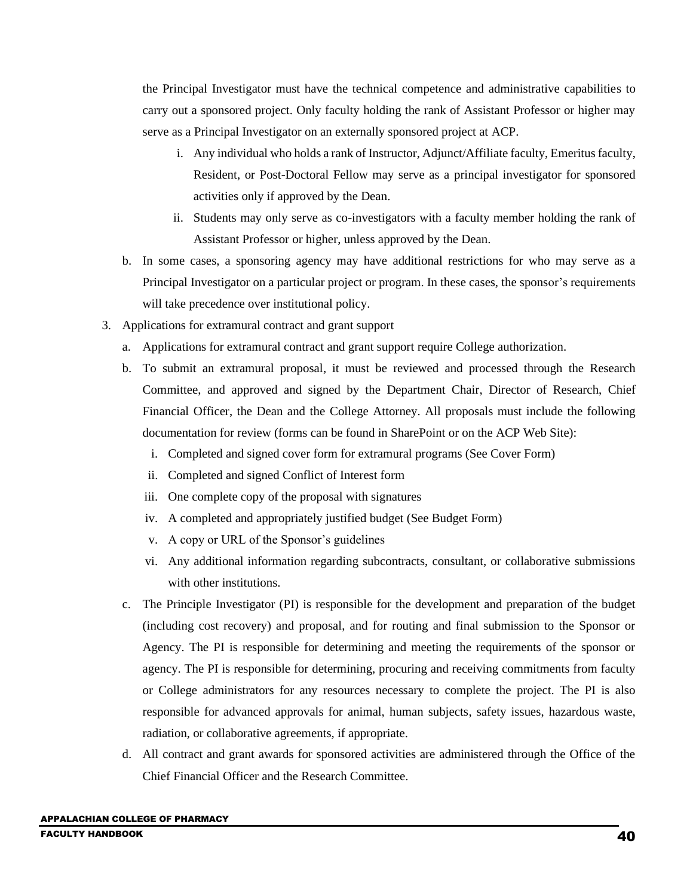the Principal Investigator must have the technical competence and administrative capabilities to carry out a sponsored project. Only faculty holding the rank of Assistant Professor or higher may serve as a Principal Investigator on an externally sponsored project at ACP.

- i. Any individual who holds a rank of Instructor, Adjunct/Affiliate faculty, Emeritus faculty, Resident, or Post-Doctoral Fellow may serve as a principal investigator for sponsored activities only if approved by the Dean.
- ii. Students may only serve as co-investigators with a faculty member holding the rank of Assistant Professor or higher, unless approved by the Dean.
- b. In some cases, a sponsoring agency may have additional restrictions for who may serve as a Principal Investigator on a particular project or program. In these cases, the sponsor's requirements will take precedence over institutional policy.
- 3. Applications for extramural contract and grant support
	- a. Applications for extramural contract and grant support require College authorization.
	- b. To submit an extramural proposal, it must be reviewed and processed through the Research Committee, and approved and signed by the Department Chair, Director of Research, Chief Financial Officer, the Dean and the College Attorney. All proposals must include the following documentation for review (forms can be found in SharePoint or on the ACP Web Site):
		- i. Completed and signed cover form for extramural programs (See Cover Form)
		- ii. Completed and signed Conflict of Interest form
		- iii. One complete copy of the proposal with signatures
		- iv. A completed and appropriately justified budget (See Budget Form)
		- v. A copy or URL of the Sponsor's guidelines
		- vi. Any additional information regarding subcontracts, consultant, or collaborative submissions with other institutions.
	- c. The Principle Investigator (PI) is responsible for the development and preparation of the budget (including cost recovery) and proposal, and for routing and final submission to the Sponsor or Agency. The PI is responsible for determining and meeting the requirements of the sponsor or agency. The PI is responsible for determining, procuring and receiving commitments from faculty or College administrators for any resources necessary to complete the project. The PI is also responsible for advanced approvals for animal, human subjects, safety issues, hazardous waste, radiation, or collaborative agreements, if appropriate.
	- d. All contract and grant awards for sponsored activities are administered through the Office of the Chief Financial Officer and the Research Committee.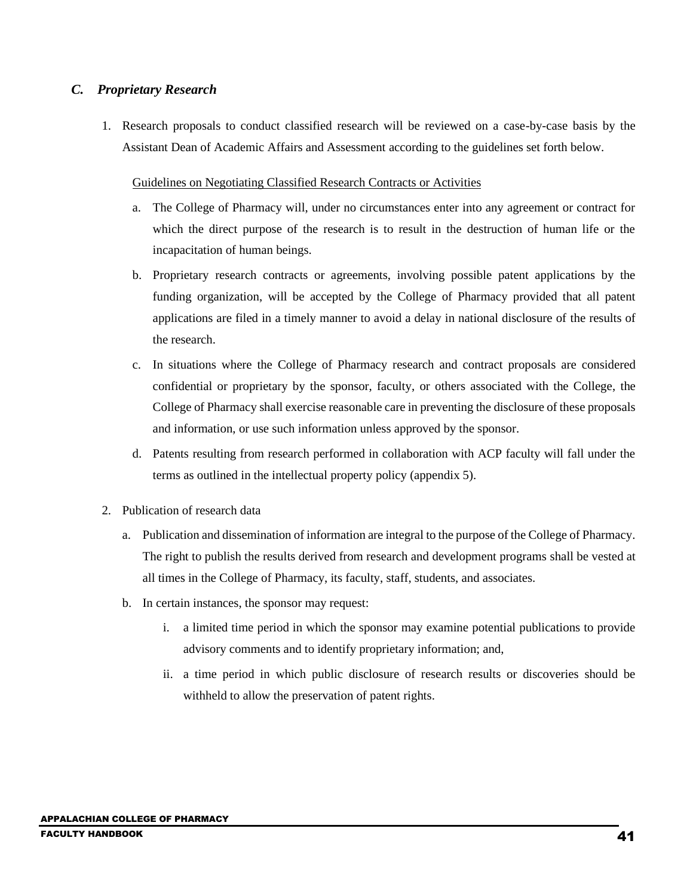### *C. Proprietary Research*

1. Research proposals to conduct classified research will be reviewed on a case-by-case basis by the Assistant Dean of Academic Affairs and Assessment according to the guidelines set forth below.

#### Guidelines on Negotiating Classified Research Contracts or Activities

- a. The College of Pharmacy will, under no circumstances enter into any agreement or contract for which the direct purpose of the research is to result in the destruction of human life or the incapacitation of human beings.
- b. Proprietary research contracts or agreements, involving possible patent applications by the funding organization, will be accepted by the College of Pharmacy provided that all patent applications are filed in a timely manner to avoid a delay in national disclosure of the results of the research.
- c. In situations where the College of Pharmacy research and contract proposals are considered confidential or proprietary by the sponsor, faculty, or others associated with the College, the College of Pharmacy shall exercise reasonable care in preventing the disclosure of these proposals and information, or use such information unless approved by the sponsor.
- d. Patents resulting from research performed in collaboration with ACP faculty will fall under the terms as outlined in the intellectual property policy (appendix 5).
- 2. Publication of research data
	- a. Publication and dissemination of information are integral to the purpose of the College of Pharmacy. The right to publish the results derived from research and development programs shall be vested at all times in the College of Pharmacy, its faculty, staff, students, and associates.
	- b. In certain instances, the sponsor may request:
		- i. a limited time period in which the sponsor may examine potential publications to provide advisory comments and to identify proprietary information; and,
		- ii. a time period in which public disclosure of research results or discoveries should be withheld to allow the preservation of patent rights.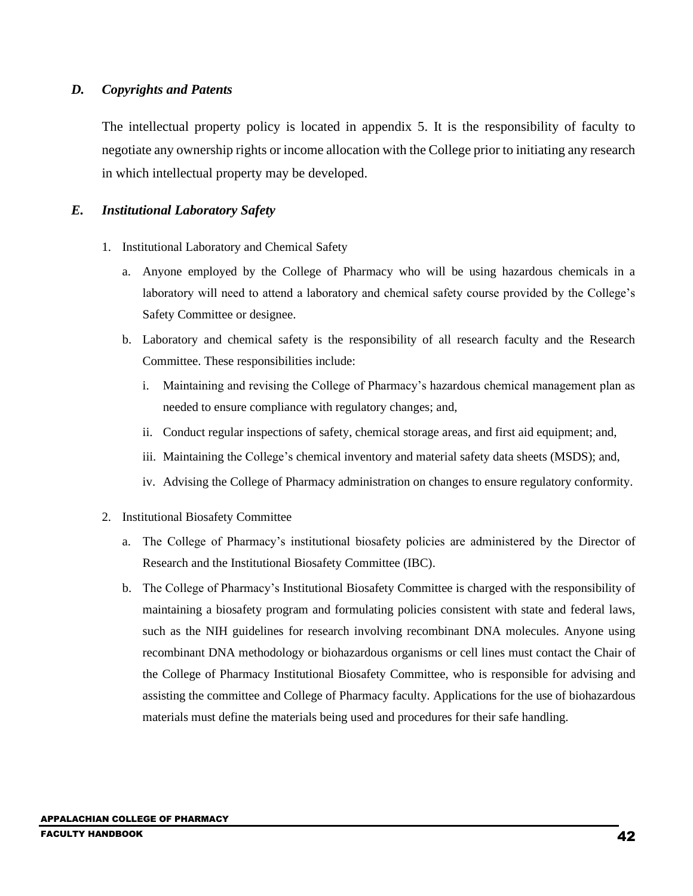## *D. Copyrights and Patents*

The intellectual property policy is located in appendix 5. It is the responsibility of faculty to negotiate any ownership rights or income allocation with the College prior to initiating any research in which intellectual property may be developed.

# *E. Institutional Laboratory Safety*

- 1. Institutional Laboratory and Chemical Safety
	- a. Anyone employed by the College of Pharmacy who will be using hazardous chemicals in a laboratory will need to attend a laboratory and chemical safety course provided by the College's Safety Committee or designee.
	- b. Laboratory and chemical safety is the responsibility of all research faculty and the Research Committee. These responsibilities include:
		- i. Maintaining and revising the College of Pharmacy's hazardous chemical management plan as needed to ensure compliance with regulatory changes; and,
		- ii. Conduct regular inspections of safety, chemical storage areas, and first aid equipment; and,
		- iii. Maintaining the College's chemical inventory and material safety data sheets (MSDS); and,
		- iv. Advising the College of Pharmacy administration on changes to ensure regulatory conformity.
- 2. Institutional Biosafety Committee
	- a. The College of Pharmacy's institutional biosafety policies are administered by the Director of Research and the Institutional Biosafety Committee (IBC).
	- b. The College of Pharmacy's Institutional Biosafety Committee is charged with the responsibility of maintaining a biosafety program and formulating policies consistent with state and federal laws, such as the NIH guidelines for research involving recombinant DNA molecules. Anyone using recombinant DNA methodology or biohazardous organisms or cell lines must contact the Chair of the College of Pharmacy Institutional Biosafety Committee, who is responsible for advising and assisting the committee and College of Pharmacy faculty. Applications for the use of biohazardous materials must define the materials being used and procedures for their safe handling.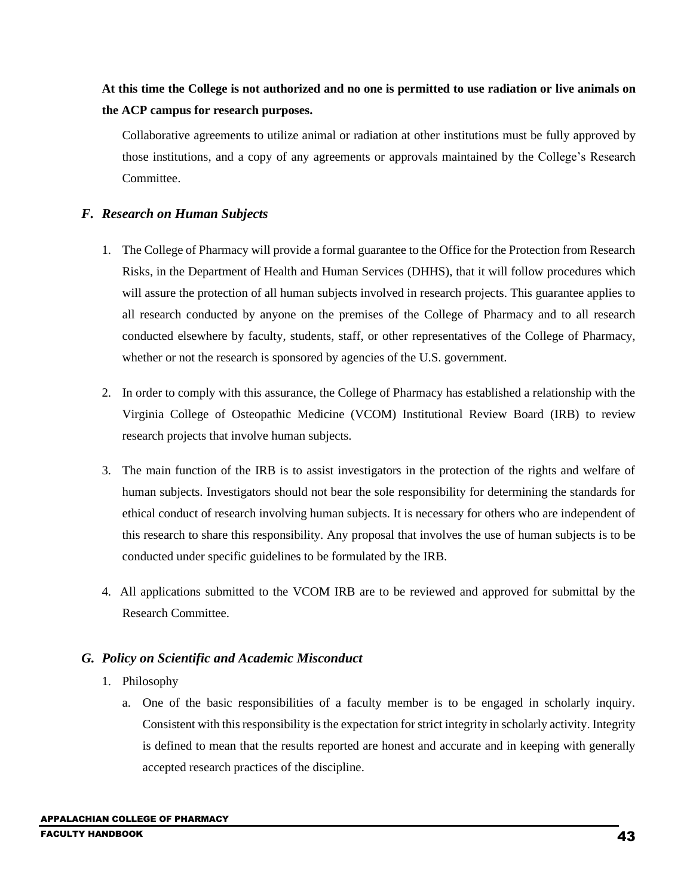# **At this time the College is not authorized and no one is permitted to use radiation or live animals on the ACP campus for research purposes.**

Collaborative agreements to utilize animal or radiation at other institutions must be fully approved by those institutions, and a copy of any agreements or approvals maintained by the College's Research Committee.

# *F. Research on Human Subjects*

- 1. The College of Pharmacy will provide a formal guarantee to the Office for the Protection from Research Risks, in the Department of Health and Human Services (DHHS), that it will follow procedures which will assure the protection of all human subjects involved in research projects. This guarantee applies to all research conducted by anyone on the premises of the College of Pharmacy and to all research conducted elsewhere by faculty, students, staff, or other representatives of the College of Pharmacy, whether or not the research is sponsored by agencies of the U.S. government.
- 2. In order to comply with this assurance, the College of Pharmacy has established a relationship with the Virginia College of Osteopathic Medicine (VCOM) Institutional Review Board (IRB) to review research projects that involve human subjects.
- 3. The main function of the IRB is to assist investigators in the protection of the rights and welfare of human subjects. Investigators should not bear the sole responsibility for determining the standards for ethical conduct of research involving human subjects. It is necessary for others who are independent of this research to share this responsibility. Any proposal that involves the use of human subjects is to be conducted under specific guidelines to be formulated by the IRB.
- 4. All applications submitted to the VCOM IRB are to be reviewed and approved for submittal by the Research Committee.

#### *G. Policy on Scientific and Academic Misconduct*

#### 1. Philosophy

a. One of the basic responsibilities of a faculty member is to be engaged in scholarly inquiry. Consistent with this responsibility is the expectation for strict integrity in scholarly activity. Integrity is defined to mean that the results reported are honest and accurate and in keeping with generally accepted research practices of the discipline.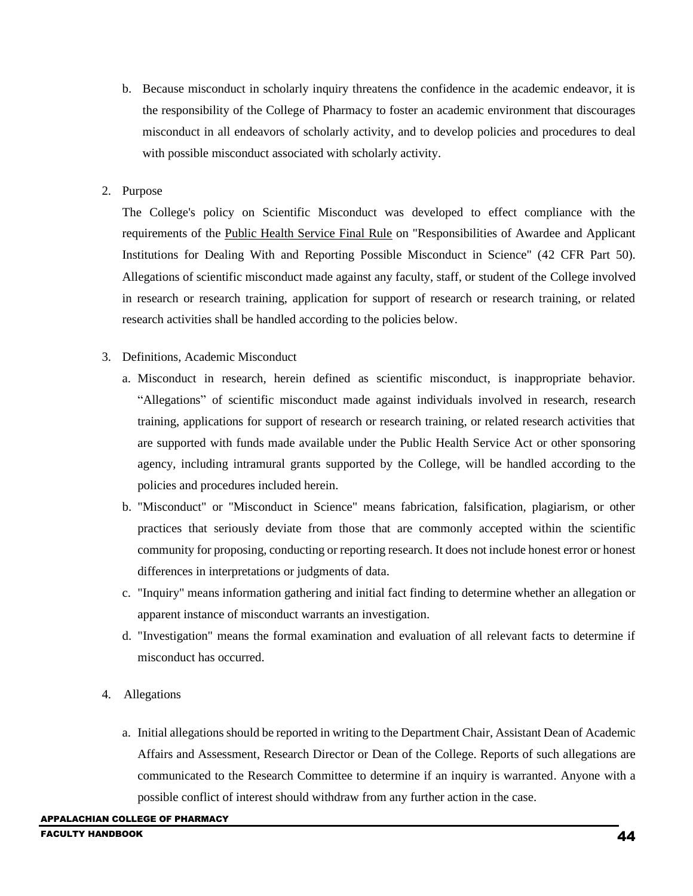- b. Because misconduct in scholarly inquiry threatens the confidence in the academic endeavor, it is the responsibility of the College of Pharmacy to foster an academic environment that discourages misconduct in all endeavors of scholarly activity, and to develop policies and procedures to deal with possible misconduct associated with scholarly activity.
- 2. Purpose

The College's policy on Scientific Misconduct was developed to effect compliance with the requirements of the Public Health Service Final Rule on "Responsibilities of Awardee and Applicant Institutions for Dealing With and Reporting Possible Misconduct in Science" (42 CFR Part 50). Allegations of scientific misconduct made against any faculty, staff, or student of the College involved in research or research training, application for support of research or research training, or related research activities shall be handled according to the policies below.

- 3. Definitions, Academic Misconduct
	- a. Misconduct in research, herein defined as scientific misconduct, is inappropriate behavior. "Allegations" of scientific misconduct made against individuals involved in research, research training, applications for support of research or research training, or related research activities that are supported with funds made available under the Public Health Service Act or other sponsoring agency, including intramural grants supported by the College, will be handled according to the policies and procedures included herein.
	- b. "Misconduct" or "Misconduct in Science" means fabrication, falsification, plagiarism, or other practices that seriously deviate from those that are commonly accepted within the scientific community for proposing, conducting or reporting research. It does not include honest error or honest differences in interpretations or judgments of data.
	- c. "Inquiry" means information gathering and initial fact finding to determine whether an allegation or apparent instance of misconduct warrants an investigation.
	- d. "Investigation" means the formal examination and evaluation of all relevant facts to determine if misconduct has occurred.
- 4. Allegations
	- a. Initial allegations should be reported in writing to the Department Chair, Assistant Dean of Academic Affairs and Assessment, Research Director or Dean of the College. Reports of such allegations are communicated to the Research Committee to determine if an inquiry is warranted. Anyone with a possible conflict of interest should withdraw from any further action in the case.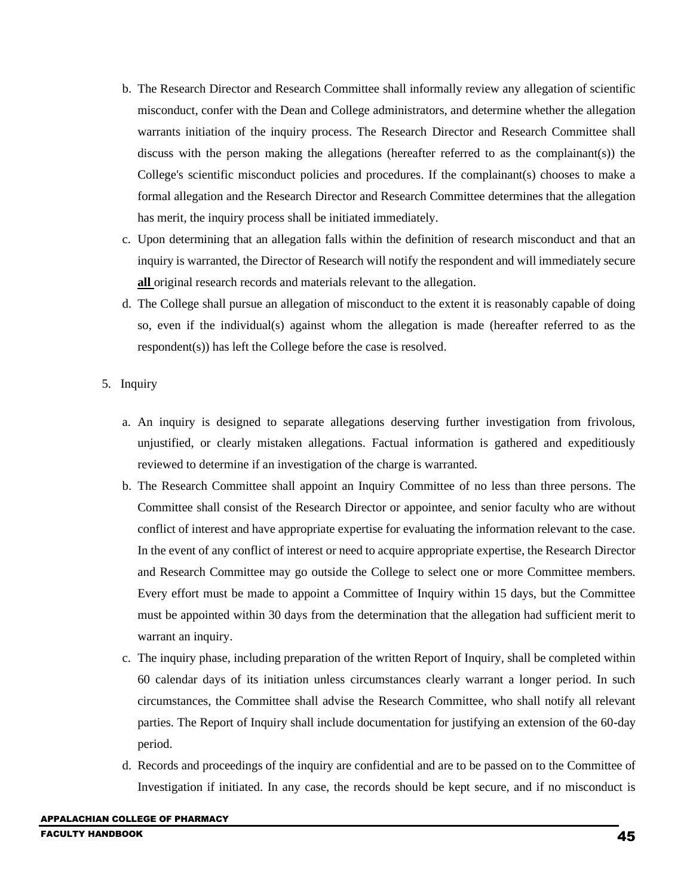- b. The Research Director and Research Committee shall informally review any allegation of scientific misconduct, confer with the Dean and College administrators, and determine whether the allegation warrants initiation of the inquiry process. The Research Director and Research Committee shall discuss with the person making the allegations (hereafter referred to as the complainant(s)) the College's scientific misconduct policies and procedures. If the complainant(s) chooses to make a formal allegation and the Research Director and Research Committee determines that the allegation has merit, the inquiry process shall be initiated immediately.
- c. Upon determining that an allegation falls within the definition of research misconduct and that an inquiry is warranted, the Director of Research will notify the respondent and will immediately secure **all** original research records and materials relevant to the allegation.
- d. The College shall pursue an allegation of misconduct to the extent it is reasonably capable of doing so, even if the individual(s) against whom the allegation is made (hereafter referred to as the respondent(s)) has left the College before the case is resolved.
- 5. Inquiry
	- a. An inquiry is designed to separate allegations deserving further investigation from frivolous, unjustified, or clearly mistaken allegations. Factual information is gathered and expeditiously reviewed to determine if an investigation of the charge is warranted.
	- b. The Research Committee shall appoint an Inquiry Committee of no less than three persons. The Committee shall consist of the Research Director or appointee, and senior faculty who are without conflict of interest and have appropriate expertise for evaluating the information relevant to the case. In the event of any conflict of interest or need to acquire appropriate expertise, the Research Director and Research Committee may go outside the College to select one or more Committee members. Every effort must be made to appoint a Committee of Inquiry within 15 days, but the Committee must be appointed within 30 days from the determination that the allegation had sufficient merit to warrant an inquiry.
	- c. The inquiry phase, including preparation of the written Report of Inquiry, shall be completed within 60 calendar days of its initiation unless circumstances clearly warrant a longer period. In such circumstances, the Committee shall advise the Research Committee, who shall notify all relevant parties. The Report of Inquiry shall include documentation for justifying an extension of the 60-day period.
	- d. Records and proceedings of the inquiry are confidential and are to be passed on to the Committee of Investigation if initiated. In any case, the records should be kept secure, and if no misconduct is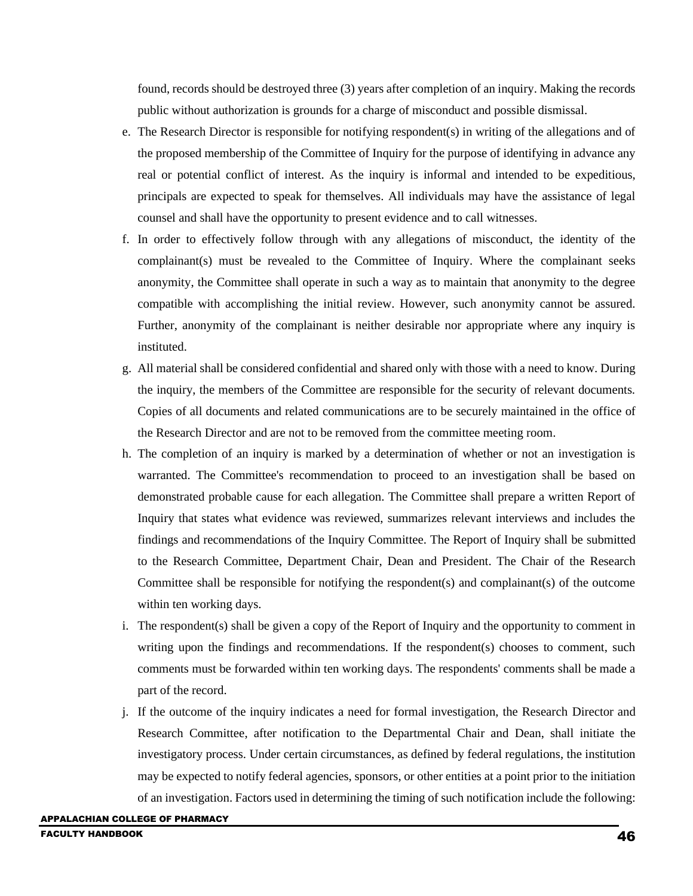found, records should be destroyed three (3) years after completion of an inquiry. Making the records public without authorization is grounds for a charge of misconduct and possible dismissal.

- e. The Research Director is responsible for notifying respondent(s) in writing of the allegations and of the proposed membership of the Committee of Inquiry for the purpose of identifying in advance any real or potential conflict of interest. As the inquiry is informal and intended to be expeditious, principals are expected to speak for themselves. All individuals may have the assistance of legal counsel and shall have the opportunity to present evidence and to call witnesses.
- f. In order to effectively follow through with any allegations of misconduct, the identity of the complainant(s) must be revealed to the Committee of Inquiry. Where the complainant seeks anonymity, the Committee shall operate in such a way as to maintain that anonymity to the degree compatible with accomplishing the initial review. However, such anonymity cannot be assured. Further, anonymity of the complainant is neither desirable nor appropriate where any inquiry is instituted.
- g. All material shall be considered confidential and shared only with those with a need to know. During the inquiry, the members of the Committee are responsible for the security of relevant documents. Copies of all documents and related communications are to be securely maintained in the office of the Research Director and are not to be removed from the committee meeting room.
- h. The completion of an inquiry is marked by a determination of whether or not an investigation is warranted. The Committee's recommendation to proceed to an investigation shall be based on demonstrated probable cause for each allegation. The Committee shall prepare a written Report of Inquiry that states what evidence was reviewed, summarizes relevant interviews and includes the findings and recommendations of the Inquiry Committee. The Report of Inquiry shall be submitted to the Research Committee, Department Chair, Dean and President. The Chair of the Research Committee shall be responsible for notifying the respondent(s) and complainant(s) of the outcome within ten working days.
- i. The respondent(s) shall be given a copy of the Report of Inquiry and the opportunity to comment in writing upon the findings and recommendations. If the respondent(s) chooses to comment, such comments must be forwarded within ten working days. The respondents' comments shall be made a part of the record.
- j. If the outcome of the inquiry indicates a need for formal investigation, the Research Director and Research Committee, after notification to the Departmental Chair and Dean, shall initiate the investigatory process. Under certain circumstances, as defined by federal regulations, the institution may be expected to notify federal agencies, sponsors, or other entities at a point prior to the initiation of an investigation. Factors used in determining the timing of such notification include the following: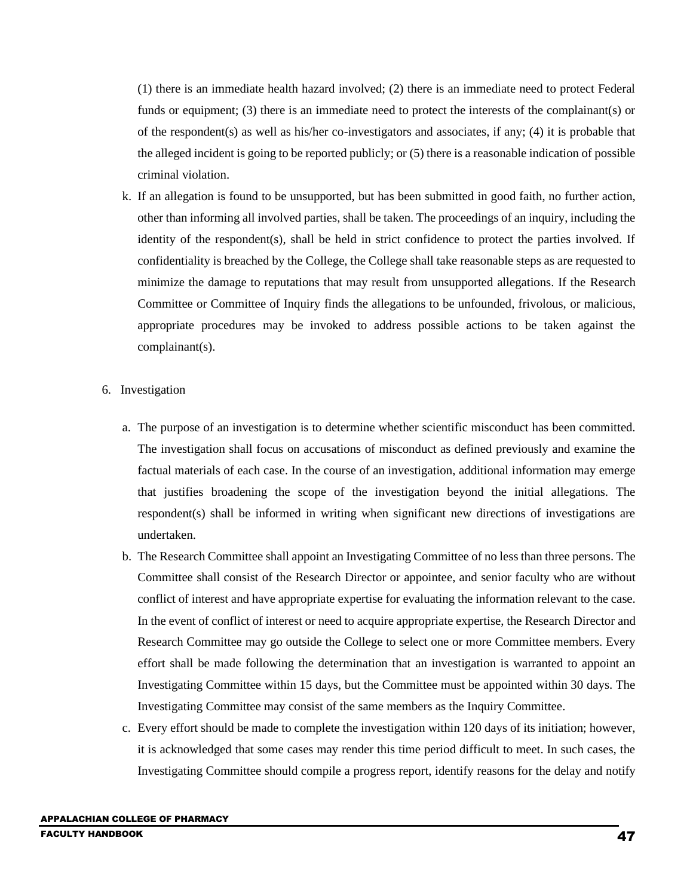(1) there is an immediate health hazard involved; (2) there is an immediate need to protect Federal funds or equipment; (3) there is an immediate need to protect the interests of the complainant(s) or of the respondent(s) as well as his/her co-investigators and associates, if any; (4) it is probable that the alleged incident is going to be reported publicly; or (5) there is a reasonable indication of possible criminal violation.

- k. If an allegation is found to be unsupported, but has been submitted in good faith, no further action, other than informing all involved parties, shall be taken. The proceedings of an inquiry, including the identity of the respondent(s), shall be held in strict confidence to protect the parties involved. If confidentiality is breached by the College, the College shall take reasonable steps as are requested to minimize the damage to reputations that may result from unsupported allegations. If the Research Committee or Committee of Inquiry finds the allegations to be unfounded, frivolous, or malicious, appropriate procedures may be invoked to address possible actions to be taken against the complainant(s).
- 6. Investigation
	- a. The purpose of an investigation is to determine whether scientific misconduct has been committed. The investigation shall focus on accusations of misconduct as defined previously and examine the factual materials of each case. In the course of an investigation, additional information may emerge that justifies broadening the scope of the investigation beyond the initial allegations. The respondent(s) shall be informed in writing when significant new directions of investigations are undertaken.
	- b. The Research Committee shall appoint an Investigating Committee of no less than three persons. The Committee shall consist of the Research Director or appointee, and senior faculty who are without conflict of interest and have appropriate expertise for evaluating the information relevant to the case. In the event of conflict of interest or need to acquire appropriate expertise, the Research Director and Research Committee may go outside the College to select one or more Committee members. Every effort shall be made following the determination that an investigation is warranted to appoint an Investigating Committee within 15 days, but the Committee must be appointed within 30 days. The Investigating Committee may consist of the same members as the Inquiry Committee.
	- c. Every effort should be made to complete the investigation within 120 days of its initiation; however, it is acknowledged that some cases may render this time period difficult to meet. In such cases, the Investigating Committee should compile a progress report, identify reasons for the delay and notify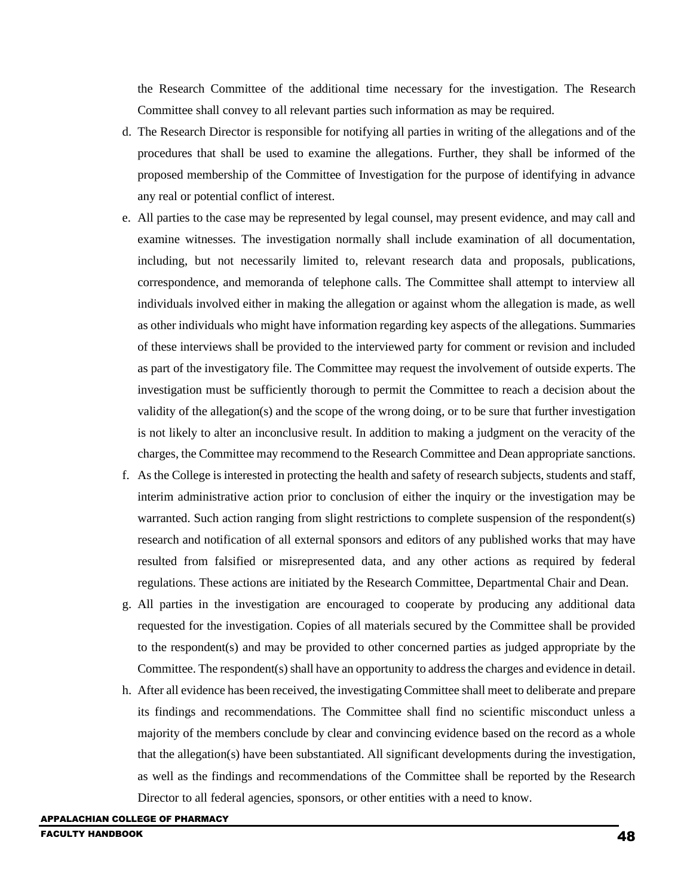the Research Committee of the additional time necessary for the investigation. The Research Committee shall convey to all relevant parties such information as may be required.

- d. The Research Director is responsible for notifying all parties in writing of the allegations and of the procedures that shall be used to examine the allegations. Further, they shall be informed of the proposed membership of the Committee of Investigation for the purpose of identifying in advance any real or potential conflict of interest.
- e. All parties to the case may be represented by legal counsel, may present evidence, and may call and examine witnesses. The investigation normally shall include examination of all documentation, including, but not necessarily limited to, relevant research data and proposals, publications, correspondence, and memoranda of telephone calls. The Committee shall attempt to interview all individuals involved either in making the allegation or against whom the allegation is made, as well as other individuals who might have information regarding key aspects of the allegations. Summaries of these interviews shall be provided to the interviewed party for comment or revision and included as part of the investigatory file. The Committee may request the involvement of outside experts. The investigation must be sufficiently thorough to permit the Committee to reach a decision about the validity of the allegation(s) and the scope of the wrong doing, or to be sure that further investigation is not likely to alter an inconclusive result. In addition to making a judgment on the veracity of the charges, the Committee may recommend to the Research Committee and Dean appropriate sanctions.
- f. As the College is interested in protecting the health and safety of research subjects, students and staff, interim administrative action prior to conclusion of either the inquiry or the investigation may be warranted. Such action ranging from slight restrictions to complete suspension of the respondent(s) research and notification of all external sponsors and editors of any published works that may have resulted from falsified or misrepresented data, and any other actions as required by federal regulations. These actions are initiated by the Research Committee, Departmental Chair and Dean.
- g. All parties in the investigation are encouraged to cooperate by producing any additional data requested for the investigation. Copies of all materials secured by the Committee shall be provided to the respondent(s) and may be provided to other concerned parties as judged appropriate by the Committee. The respondent(s) shall have an opportunity to address the charges and evidence in detail.
- h. After all evidence has been received, the investigating Committee shall meet to deliberate and prepare its findings and recommendations. The Committee shall find no scientific misconduct unless a majority of the members conclude by clear and convincing evidence based on the record as a whole that the allegation(s) have been substantiated. All significant developments during the investigation, as well as the findings and recommendations of the Committee shall be reported by the Research Director to all federal agencies, sponsors, or other entities with a need to know.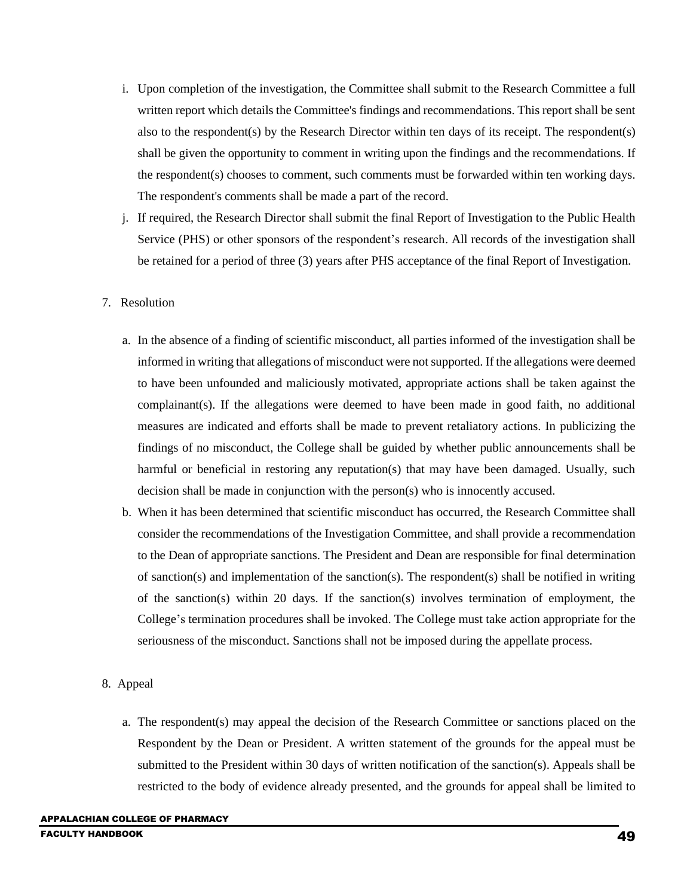- i. Upon completion of the investigation, the Committee shall submit to the Research Committee a full written report which details the Committee's findings and recommendations. This report shall be sent also to the respondent(s) by the Research Director within ten days of its receipt. The respondent(s) shall be given the opportunity to comment in writing upon the findings and the recommendations. If the respondent(s) chooses to comment, such comments must be forwarded within ten working days. The respondent's comments shall be made a part of the record.
- j. If required, the Research Director shall submit the final Report of Investigation to the Public Health Service (PHS) or other sponsors of the respondent's research. All records of the investigation shall be retained for a period of three (3) years after PHS acceptance of the final Report of Investigation.

#### 7. Resolution

- a. In the absence of a finding of scientific misconduct, all parties informed of the investigation shall be informed in writing that allegations of misconduct were not supported. If the allegations were deemed to have been unfounded and maliciously motivated, appropriate actions shall be taken against the complainant(s). If the allegations were deemed to have been made in good faith, no additional measures are indicated and efforts shall be made to prevent retaliatory actions. In publicizing the findings of no misconduct, the College shall be guided by whether public announcements shall be harmful or beneficial in restoring any reputation(s) that may have been damaged. Usually, such decision shall be made in conjunction with the person(s) who is innocently accused.
- b. When it has been determined that scientific misconduct has occurred, the Research Committee shall consider the recommendations of the Investigation Committee, and shall provide a recommendation to the Dean of appropriate sanctions. The President and Dean are responsible for final determination of sanction(s) and implementation of the sanction(s). The respondent(s) shall be notified in writing of the sanction(s) within 20 days. If the sanction(s) involves termination of employment, the College's termination procedures shall be invoked. The College must take action appropriate for the seriousness of the misconduct. Sanctions shall not be imposed during the appellate process.

#### 8. Appeal

a. The respondent(s) may appeal the decision of the Research Committee or sanctions placed on the Respondent by the Dean or President. A written statement of the grounds for the appeal must be submitted to the President within 30 days of written notification of the sanction(s). Appeals shall be restricted to the body of evidence already presented, and the grounds for appeal shall be limited to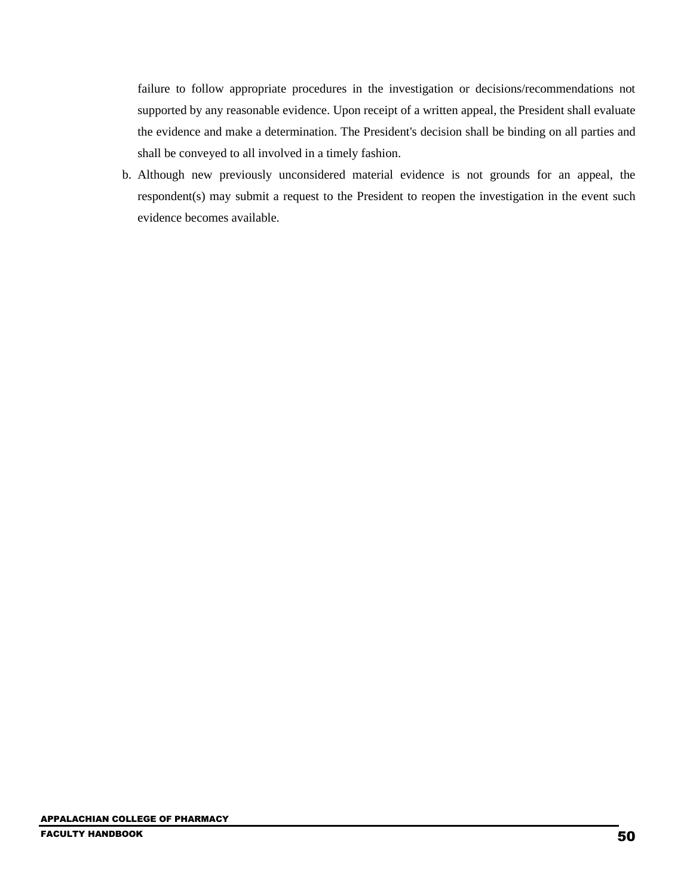failure to follow appropriate procedures in the investigation or decisions/recommendations not supported by any reasonable evidence. Upon receipt of a written appeal, the President shall evaluate the evidence and make a determination. The President's decision shall be binding on all parties and shall be conveyed to all involved in a timely fashion.

b. Although new previously unconsidered material evidence is not grounds for an appeal, the respondent(s) may submit a request to the President to reopen the investigation in the event such evidence becomes available.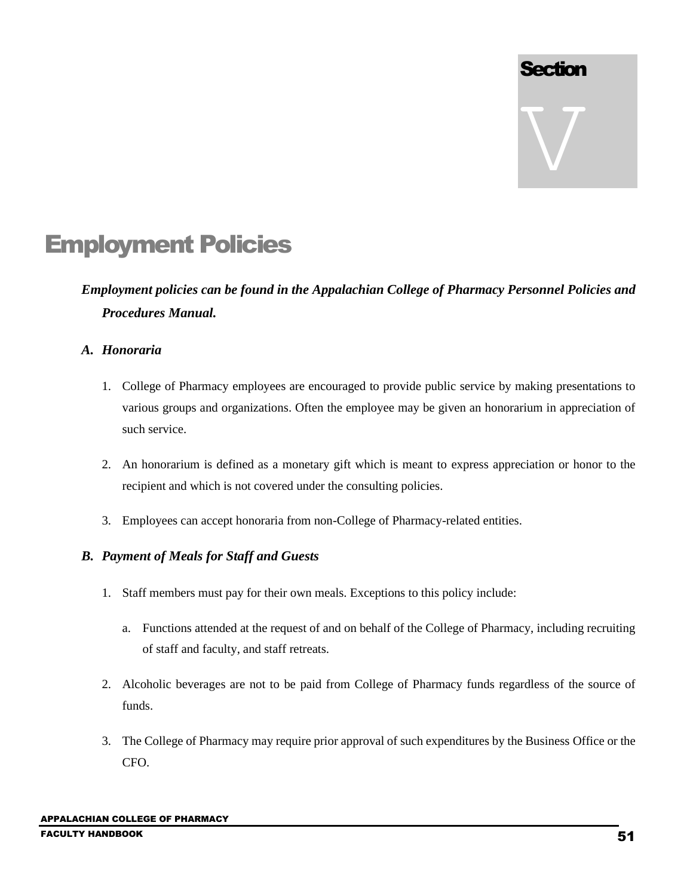# **Section** V

# Employment Policies

# *Employment policies can be found in the Appalachian College of Pharmacy Personnel Policies and Procedures Manual.*

#### *A. Honoraria*

- 1. College of Pharmacy employees are encouraged to provide public service by making presentations to various groups and organizations. Often the employee may be given an honorarium in appreciation of such service.
- 2. An honorarium is defined as a monetary gift which is meant to express appreciation or honor to the recipient and which is not covered under the consulting policies.
- 3. Employees can accept honoraria from non-College of Pharmacy-related entities.

#### *B. Payment of Meals for Staff and Guests*

- 1. Staff members must pay for their own meals. Exceptions to this policy include:
	- a. Functions attended at the request of and on behalf of the College of Pharmacy, including recruiting of staff and faculty, and staff retreats.
- 2. Alcoholic beverages are not to be paid from College of Pharmacy funds regardless of the source of funds.
- 3. The College of Pharmacy may require prior approval of such expenditures by the Business Office or the CFO.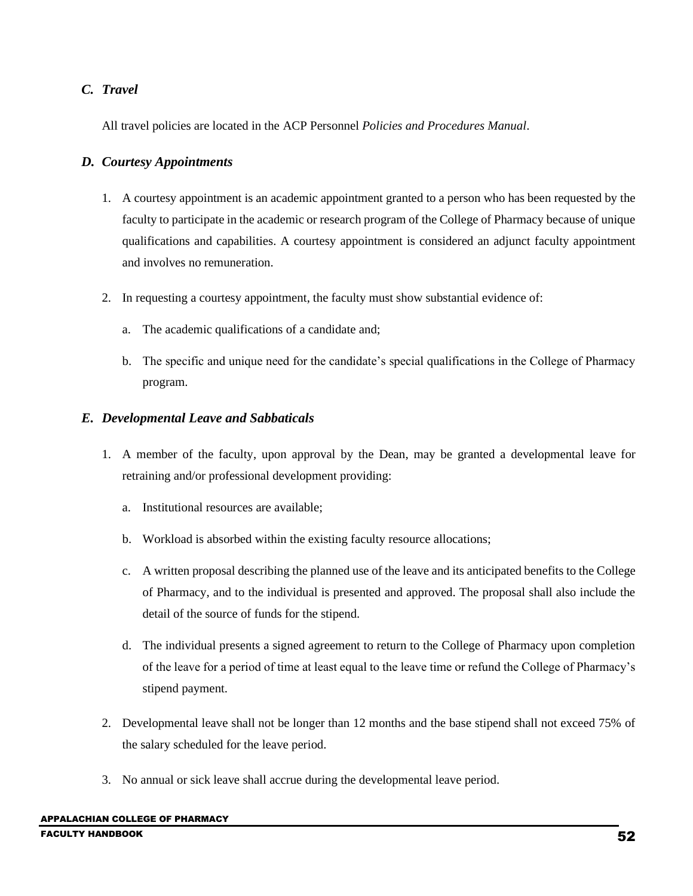# *C. Travel*

All travel policies are located in the ACP Personnel *Policies and Procedures Manual*.

## *D. Courtesy Appointments*

- 1. A courtesy appointment is an academic appointment granted to a person who has been requested by the faculty to participate in the academic or research program of the College of Pharmacy because of unique qualifications and capabilities. A courtesy appointment is considered an adjunct faculty appointment and involves no remuneration.
- 2. In requesting a courtesy appointment, the faculty must show substantial evidence of:
	- a. The academic qualifications of a candidate and;
	- b. The specific and unique need for the candidate's special qualifications in the College of Pharmacy program.

#### *E. Developmental Leave and Sabbaticals*

- 1. A member of the faculty, upon approval by the Dean, may be granted a developmental leave for retraining and/or professional development providing:
	- a. Institutional resources are available;
	- b. Workload is absorbed within the existing faculty resource allocations;
	- c. A written proposal describing the planned use of the leave and its anticipated benefits to the College of Pharmacy, and to the individual is presented and approved. The proposal shall also include the detail of the source of funds for the stipend.
	- d. The individual presents a signed agreement to return to the College of Pharmacy upon completion of the leave for a period of time at least equal to the leave time or refund the College of Pharmacy's stipend payment.
- 2. Developmental leave shall not be longer than 12 months and the base stipend shall not exceed 75% of the salary scheduled for the leave period.
- 3. No annual or sick leave shall accrue during the developmental leave period.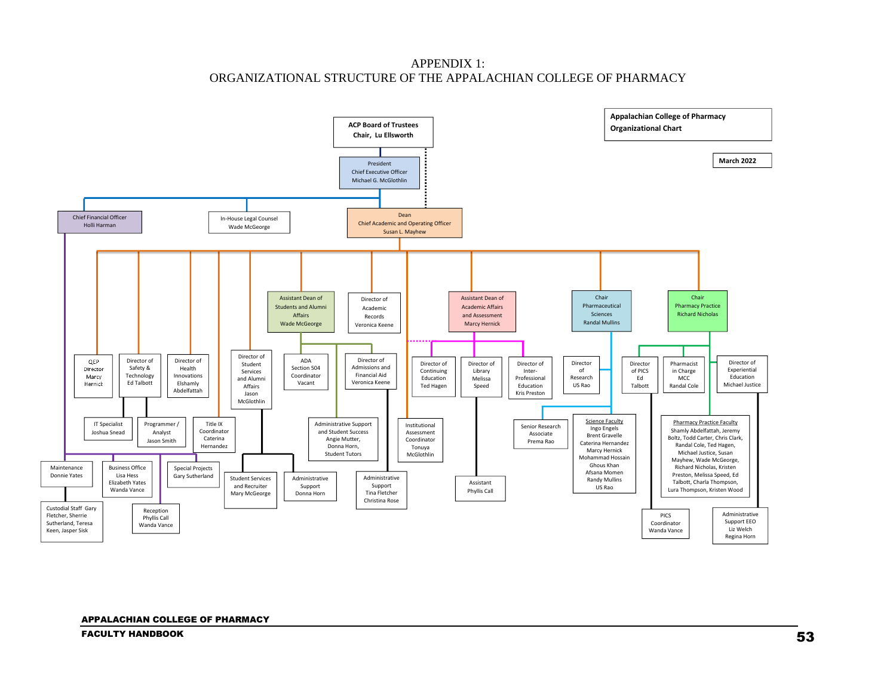#### APPENDIX 1: ORGANIZATIONAL STRUCTURE OF THE APPALACHIAN COLLEGE OF PHARMACY



#### APPALACHIAN COLLEGE OF PHARMACY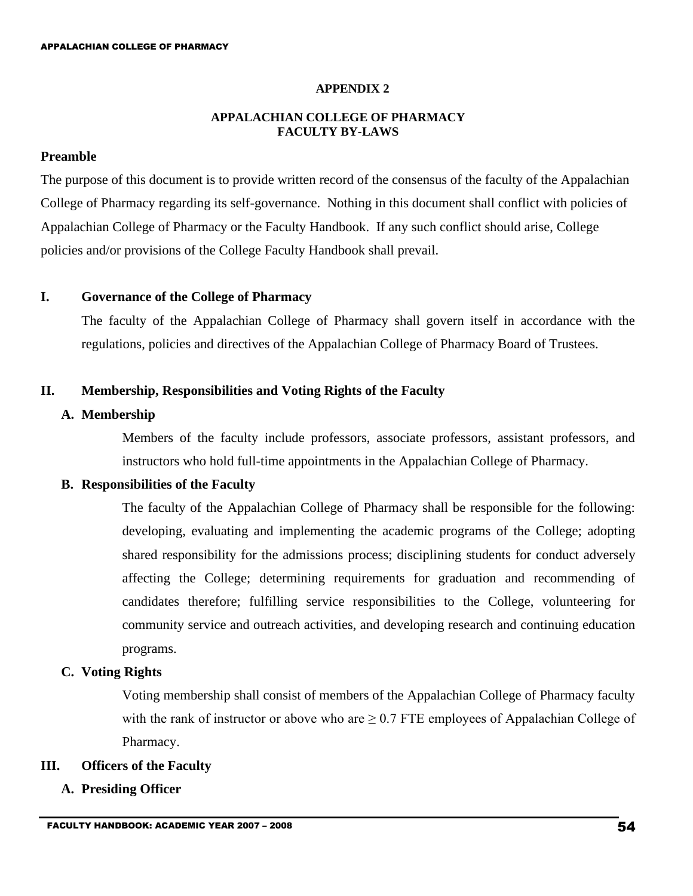#### **APPENDIX 2**

#### **APPALACHIAN COLLEGE OF PHARMACY FACULTY BY-LAWS**

#### **Preamble**

The purpose of this document is to provide written record of the consensus of the faculty of the Appalachian College of Pharmacy regarding its self-governance. Nothing in this document shall conflict with policies of Appalachian College of Pharmacy or the Faculty Handbook. If any such conflict should arise, College policies and/or provisions of the College Faculty Handbook shall prevail.

#### **I. Governance of the College of Pharmacy**

The faculty of the Appalachian College of Pharmacy shall govern itself in accordance with the regulations, policies and directives of the Appalachian College of Pharmacy Board of Trustees.

#### **II. Membership, Responsibilities and Voting Rights of the Faculty**

#### **A. Membership**

Members of the faculty include professors, associate professors, assistant professors, and instructors who hold full-time appointments in the Appalachian College of Pharmacy.

#### **B. Responsibilities of the Faculty**

The faculty of the Appalachian College of Pharmacy shall be responsible for the following: developing, evaluating and implementing the academic programs of the College; adopting shared responsibility for the admissions process; disciplining students for conduct adversely affecting the College; determining requirements for graduation and recommending of candidates therefore; fulfilling service responsibilities to the College, volunteering for community service and outreach activities, and developing research and continuing education programs.

#### **C. Voting Rights**

Voting membership shall consist of members of the Appalachian College of Pharmacy faculty with the rank of instructor or above who are  $\geq$  0.7 FTE employees of Appalachian College of Pharmacy.

#### **III. Officers of the Faculty**

**A. Presiding Officer**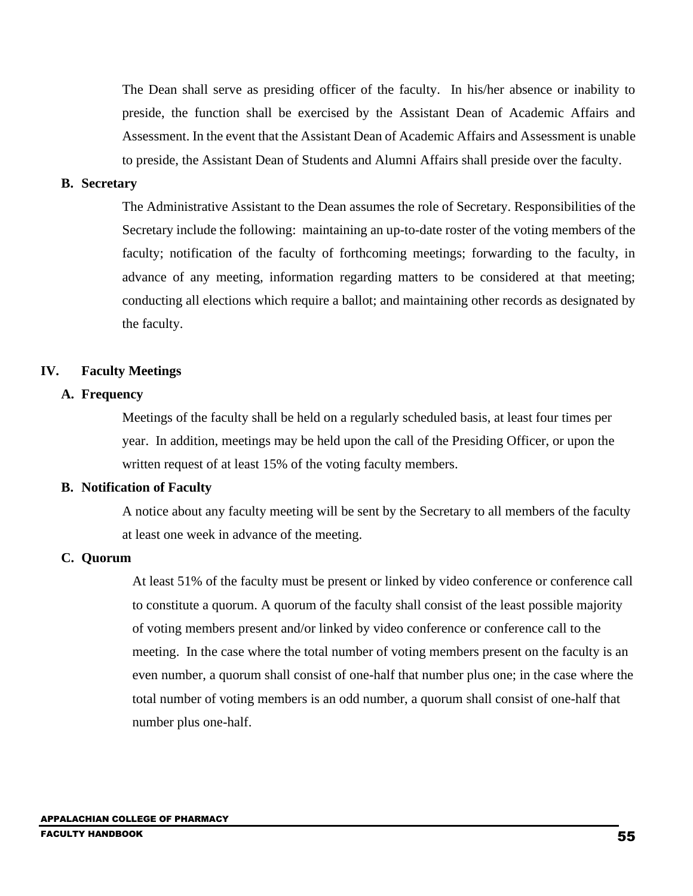The Dean shall serve as presiding officer of the faculty. In his/her absence or inability to preside, the function shall be exercised by the Assistant Dean of Academic Affairs and Assessment. In the event that the Assistant Dean of Academic Affairs and Assessment is unable to preside, the Assistant Dean of Students and Alumni Affairs shall preside over the faculty.

## **B. Secretary**

The Administrative Assistant to the Dean assumes the role of Secretary. Responsibilities of the Secretary include the following: maintaining an up-to-date roster of the voting members of the faculty; notification of the faculty of forthcoming meetings; forwarding to the faculty, in advance of any meeting, information regarding matters to be considered at that meeting; conducting all elections which require a ballot; and maintaining other records as designated by the faculty.

#### **IV. Faculty Meetings**

#### **A. Frequency**

Meetings of the faculty shall be held on a regularly scheduled basis, at least four times per year. In addition, meetings may be held upon the call of the Presiding Officer, or upon the written request of at least 15% of the voting faculty members.

#### **B. Notification of Faculty**

A notice about any faculty meeting will be sent by the Secretary to all members of the faculty at least one week in advance of the meeting.

#### **C. Quorum**

At least 51% of the faculty must be present or linked by video conference or conference call to constitute a quorum. A quorum of the faculty shall consist of the least possible majority of voting members present and/or linked by video conference or conference call to the meeting. In the case where the total number of voting members present on the faculty is an even number, a quorum shall consist of one-half that number plus one; in the case where the total number of voting members is an odd number, a quorum shall consist of one-half that number plus one-half.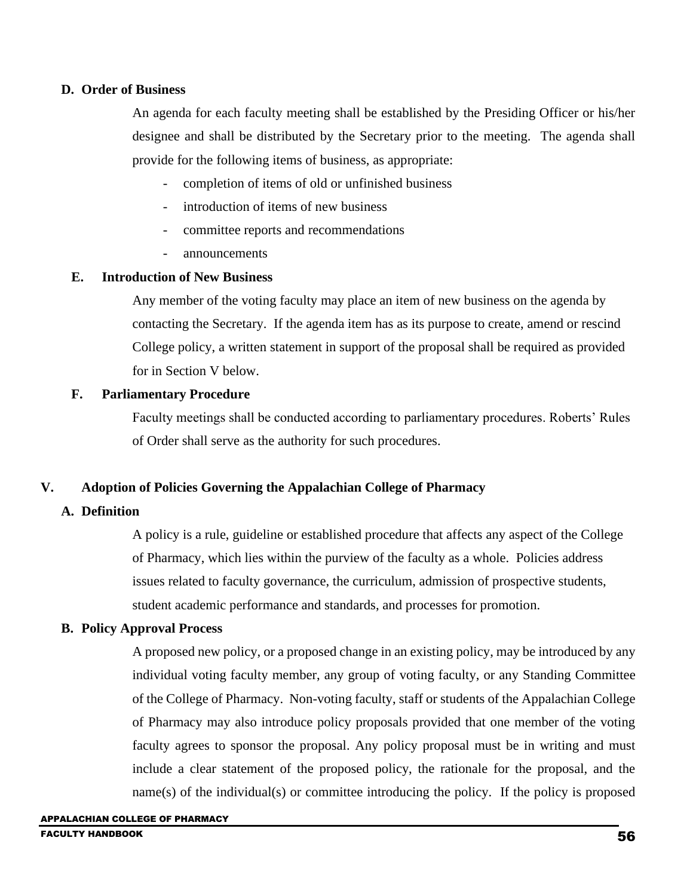## **D. Order of Business**

An agenda for each faculty meeting shall be established by the Presiding Officer or his/her designee and shall be distributed by the Secretary prior to the meeting. The agenda shall provide for the following items of business, as appropriate:

- completion of items of old or unfinished business
- introduction of items of new business
- committee reports and recommendations
- announcements

## **E. Introduction of New Business**

Any member of the voting faculty may place an item of new business on the agenda by contacting the Secretary. If the agenda item has as its purpose to create, amend or rescind College policy, a written statement in support of the proposal shall be required as provided for in Section V below.

# **F. Parliamentary Procedure**

Faculty meetings shall be conducted according to parliamentary procedures. Roberts' Rules of Order shall serve as the authority for such procedures.

# **V. Adoption of Policies Governing the Appalachian College of Pharmacy**

#### **A. Definition**

A policy is a rule, guideline or established procedure that affects any aspect of the College of Pharmacy, which lies within the purview of the faculty as a whole. Policies address issues related to faculty governance, the curriculum, admission of prospective students, student academic performance and standards, and processes for promotion.

# **B. Policy Approval Process**

A proposed new policy, or a proposed change in an existing policy, may be introduced by any individual voting faculty member, any group of voting faculty, or any Standing Committee of the College of Pharmacy. Non-voting faculty, staff or students of the Appalachian College of Pharmacy may also introduce policy proposals provided that one member of the voting faculty agrees to sponsor the proposal. Any policy proposal must be in writing and must include a clear statement of the proposed policy, the rationale for the proposal, and the name(s) of the individual(s) or committee introducing the policy. If the policy is proposed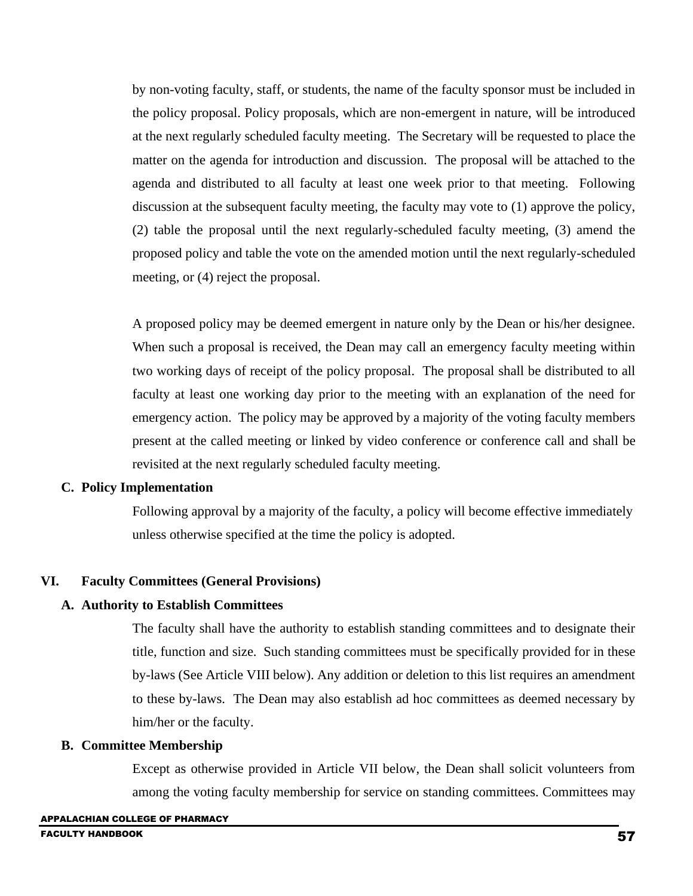by non-voting faculty, staff, or students, the name of the faculty sponsor must be included in the policy proposal. Policy proposals, which are non-emergent in nature, will be introduced at the next regularly scheduled faculty meeting. The Secretary will be requested to place the matter on the agenda for introduction and discussion. The proposal will be attached to the agenda and distributed to all faculty at least one week prior to that meeting. Following discussion at the subsequent faculty meeting, the faculty may vote to (1) approve the policy, (2) table the proposal until the next regularly-scheduled faculty meeting, (3) amend the proposed policy and table the vote on the amended motion until the next regularly-scheduled meeting, or (4) reject the proposal.

A proposed policy may be deemed emergent in nature only by the Dean or his/her designee. When such a proposal is received, the Dean may call an emergency faculty meeting within two working days of receipt of the policy proposal. The proposal shall be distributed to all faculty at least one working day prior to the meeting with an explanation of the need for emergency action. The policy may be approved by a majority of the voting faculty members present at the called meeting or linked by video conference or conference call and shall be revisited at the next regularly scheduled faculty meeting.

#### **C. Policy Implementation**

Following approval by a majority of the faculty, a policy will become effective immediately unless otherwise specified at the time the policy is adopted.

## **VI. Faculty Committees (General Provisions)**

#### **A. Authority to Establish Committees**

The faculty shall have the authority to establish standing committees and to designate their title, function and size. Such standing committees must be specifically provided for in these by-laws (See Article VIII below). Any addition or deletion to this list requires an amendment to these by-laws. The Dean may also establish ad hoc committees as deemed necessary by him/her or the faculty.

#### **B. Committee Membership**

Except as otherwise provided in Article VII below, the Dean shall solicit volunteers from among the voting faculty membership for service on standing committees. Committees may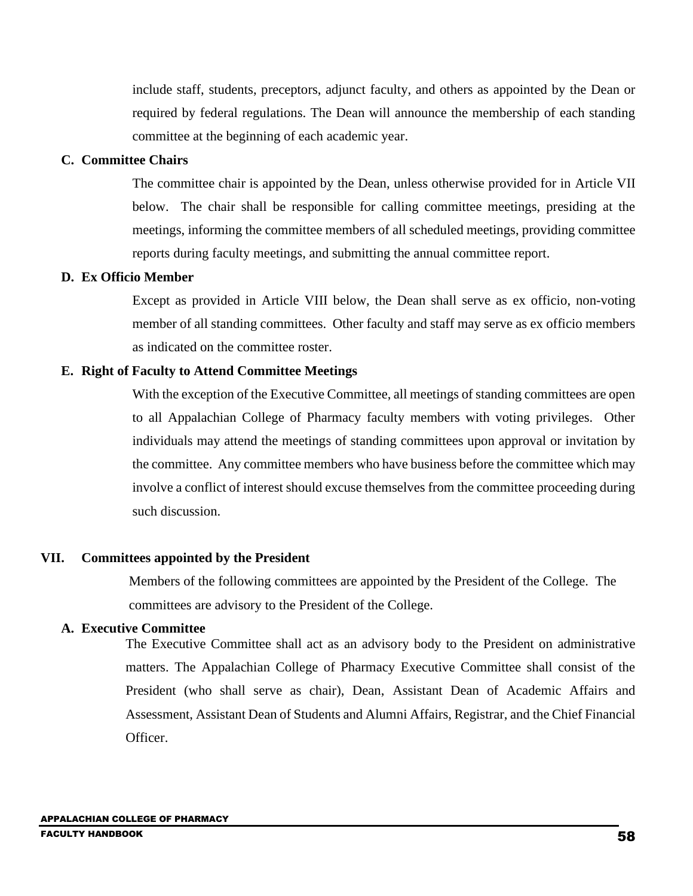include staff, students, preceptors, adjunct faculty, and others as appointed by the Dean or required by federal regulations. The Dean will announce the membership of each standing committee at the beginning of each academic year.

#### **C. Committee Chairs**

The committee chair is appointed by the Dean, unless otherwise provided for in Article VII below. The chair shall be responsible for calling committee meetings, presiding at the meetings, informing the committee members of all scheduled meetings, providing committee reports during faculty meetings, and submitting the annual committee report.

# **D. Ex Officio Member**

Except as provided in Article VIII below, the Dean shall serve as ex officio, non-voting member of all standing committees. Other faculty and staff may serve as ex officio members as indicated on the committee roster.

# **E. Right of Faculty to Attend Committee Meetings**

With the exception of the Executive Committee, all meetings of standing committees are open to all Appalachian College of Pharmacy faculty members with voting privileges. Other individuals may attend the meetings of standing committees upon approval or invitation by the committee. Any committee members who have business before the committee which may involve a conflict of interest should excuse themselves from the committee proceeding during such discussion.

#### **VII. Committees appointed by the President**

Members of the following committees are appointed by the President of the College. The committees are advisory to the President of the College.

#### **A. Executive Committee**

The Executive Committee shall act as an advisory body to the President on administrative matters. The Appalachian College of Pharmacy Executive Committee shall consist of the President (who shall serve as chair), Dean, Assistant Dean of Academic Affairs and Assessment, Assistant Dean of Students and Alumni Affairs, Registrar, and the Chief Financial Officer.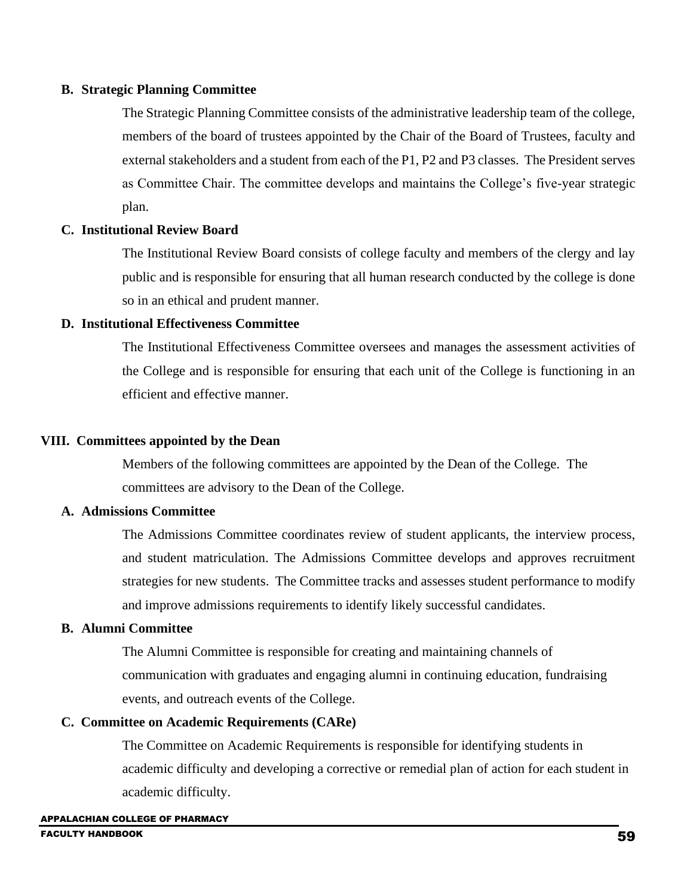#### **B. Strategic Planning Committee**

The Strategic Planning Committee consists of the administrative leadership team of the college, members of the board of trustees appointed by the Chair of the Board of Trustees, faculty and external stakeholders and a student from each of the P1, P2 and P3 classes. The President serves as Committee Chair. The committee develops and maintains the College's five-year strategic plan.

#### **C. Institutional Review Board**

The Institutional Review Board consists of college faculty and members of the clergy and lay public and is responsible for ensuring that all human research conducted by the college is done so in an ethical and prudent manner.

## **D. Institutional Effectiveness Committee**

The Institutional Effectiveness Committee oversees and manages the assessment activities of the College and is responsible for ensuring that each unit of the College is functioning in an efficient and effective manner.

#### **VIII. Committees appointed by the Dean**

Members of the following committees are appointed by the Dean of the College. The committees are advisory to the Dean of the College.

# **A. Admissions Committee**

The Admissions Committee coordinates review of student applicants, the interview process, and student matriculation. The Admissions Committee develops and approves recruitment strategies for new students. The Committee tracks and assesses student performance to modify and improve admissions requirements to identify likely successful candidates.

# **B. Alumni Committee**

The Alumni Committee is responsible for creating and maintaining channels of communication with graduates and engaging alumni in continuing education, fundraising events, and outreach events of the College.

# **C. Committee on Academic Requirements (CARe)**

The Committee on Academic Requirements is responsible for identifying students in academic difficulty and developing a corrective or remedial plan of action for each student in academic difficulty.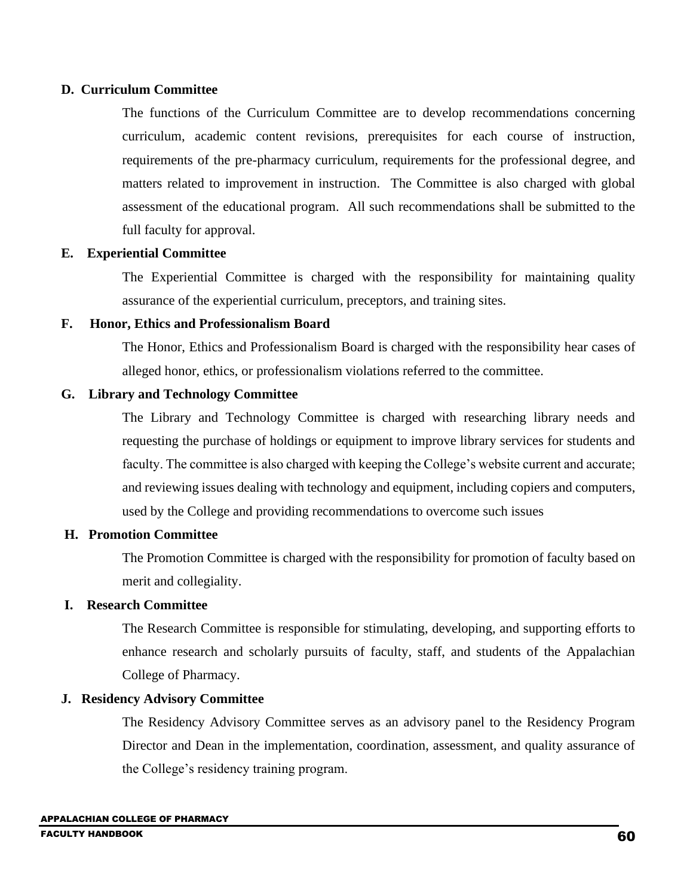#### **D. Curriculum Committee**

The functions of the Curriculum Committee are to develop recommendations concerning curriculum, academic content revisions, prerequisites for each course of instruction, requirements of the pre-pharmacy curriculum, requirements for the professional degree, and matters related to improvement in instruction. The Committee is also charged with global assessment of the educational program. All such recommendations shall be submitted to the full faculty for approval.

## **E. Experiential Committee**

The Experiential Committee is charged with the responsibility for maintaining quality assurance of the experiential curriculum, preceptors, and training sites.

## **F. Honor, Ethics and Professionalism Board**

The Honor, Ethics and Professionalism Board is charged with the responsibility hear cases of alleged honor, ethics, or professionalism violations referred to the committee.

## **G. Library and Technology Committee**

The Library and Technology Committee is charged with researching library needs and requesting the purchase of holdings or equipment to improve library services for students and faculty. The committee is also charged with keeping the College's website current and accurate; and reviewing issues dealing with technology and equipment, including copiers and computers, used by the College and providing recommendations to overcome such issues

# **H. Promotion Committee**

The Promotion Committee is charged with the responsibility for promotion of faculty based on merit and collegiality.

### **I. Research Committee**

The Research Committee is responsible for stimulating, developing, and supporting efforts to enhance research and scholarly pursuits of faculty, staff, and students of the Appalachian College of Pharmacy.

# **J. Residency Advisory Committee**

The Residency Advisory Committee serves as an advisory panel to the Residency Program Director and Dean in the implementation, coordination, assessment, and quality assurance of the College's residency training program.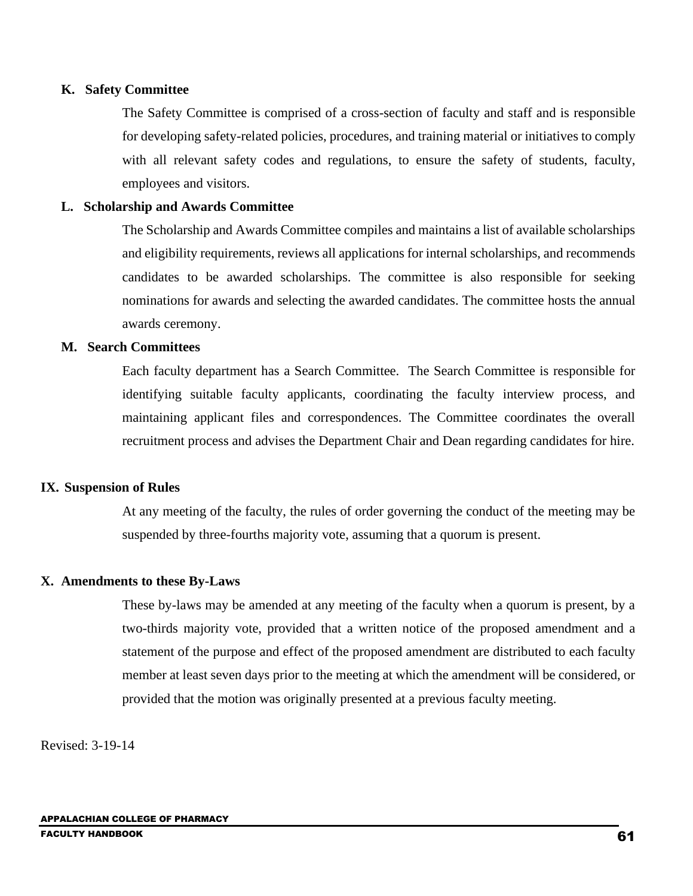#### **K. Safety Committee**

The Safety Committee is comprised of a cross-section of faculty and staff and is responsible for developing safety-related policies, procedures, and training material or initiatives to comply with all relevant safety codes and regulations, to ensure the safety of students, faculty, employees and visitors.

## **L. Scholarship and Awards Committee**

The Scholarship and Awards Committee compiles and maintains a list of available scholarships and eligibility requirements, reviews all applications for internal scholarships, and recommends candidates to be awarded scholarships. The committee is also responsible for seeking nominations for awards and selecting the awarded candidates. The committee hosts the annual awards ceremony.

#### **M. Search Committees**

Each faculty department has a Search Committee. The Search Committee is responsible for identifying suitable faculty applicants, coordinating the faculty interview process, and maintaining applicant files and correspondences. The Committee coordinates the overall recruitment process and advises the Department Chair and Dean regarding candidates for hire.

#### **IX. Suspension of Rules**

At any meeting of the faculty, the rules of order governing the conduct of the meeting may be suspended by three-fourths majority vote, assuming that a quorum is present.

# **X. Amendments to these By-Laws**

These by-laws may be amended at any meeting of the faculty when a quorum is present, by a two-thirds majority vote, provided that a written notice of the proposed amendment and a statement of the purpose and effect of the proposed amendment are distributed to each faculty member at least seven days prior to the meeting at which the amendment will be considered, or provided that the motion was originally presented at a previous faculty meeting.

Revised: 3-19-14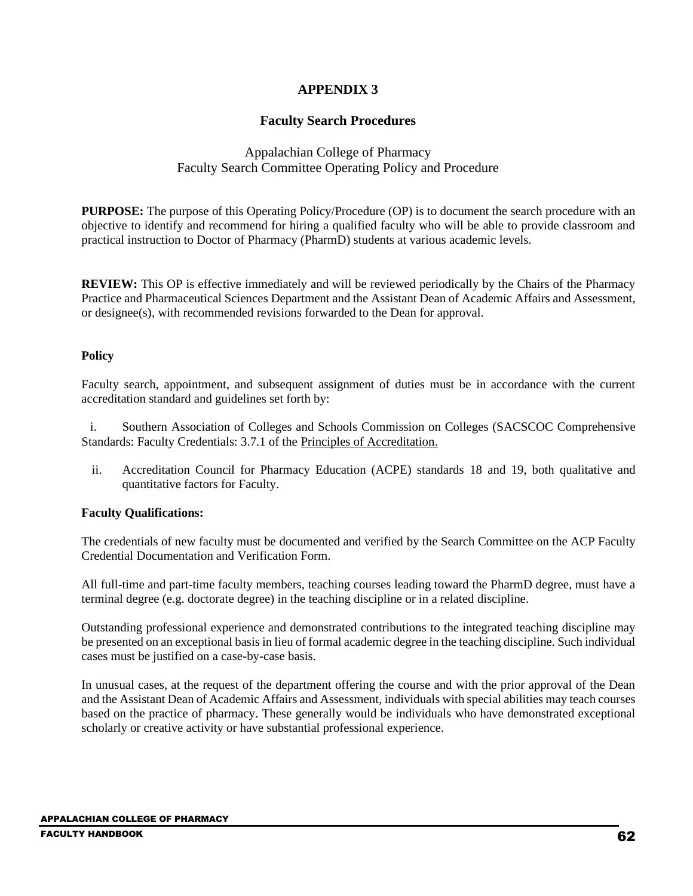# **APPENDIX 3**

# **Faculty Search Procedures**

# Appalachian College of Pharmacy Faculty Search Committee Operating Policy and Procedure

**PURPOSE:** The purpose of this Operating Policy/Procedure (OP) is to document the search procedure with an objective to identify and recommend for hiring a qualified faculty who will be able to provide classroom and practical instruction to Doctor of Pharmacy (PharmD) students at various academic levels.

**REVIEW:** This OP is effective immediately and will be reviewed periodically by the Chairs of the Pharmacy Practice and Pharmaceutical Sciences Department and the Assistant Dean of Academic Affairs and Assessment, or designee(s), with recommended revisions forwarded to the Dean for approval.

## **Policy**

Faculty search, appointment, and subsequent assignment of duties must be in accordance with the current accreditation standard and guidelines set forth by:

i. Southern Association of Colleges and Schools Commission on Colleges (SACSCOC Comprehensive Standards: Faculty Credentials: 3.7.1 of the Principles of Accreditation.

ii. Accreditation Council for Pharmacy Education (ACPE) standards 18 and 19, both qualitative and quantitative factors for Faculty.

# **Faculty Qualifications:**

The credentials of new faculty must be documented and verified by the Search Committee on the ACP Faculty Credential Documentation and Verification Form.

All full-time and part-time faculty members, teaching courses leading toward the PharmD degree, must have a terminal degree (e.g. doctorate degree) in the teaching discipline or in a related discipline.

Outstanding professional experience and demonstrated contributions to the integrated teaching discipline may be presented on an exceptional basis in lieu of formal academic degree in the teaching discipline. Such individual cases must be justified on a case-by-case basis.

In unusual cases, at the request of the department offering the course and with the prior approval of the Dean and the Assistant Dean of Academic Affairs and Assessment, individuals with special abilities may teach courses based on the practice of pharmacy. These generally would be individuals who have demonstrated exceptional scholarly or creative activity or have substantial professional experience.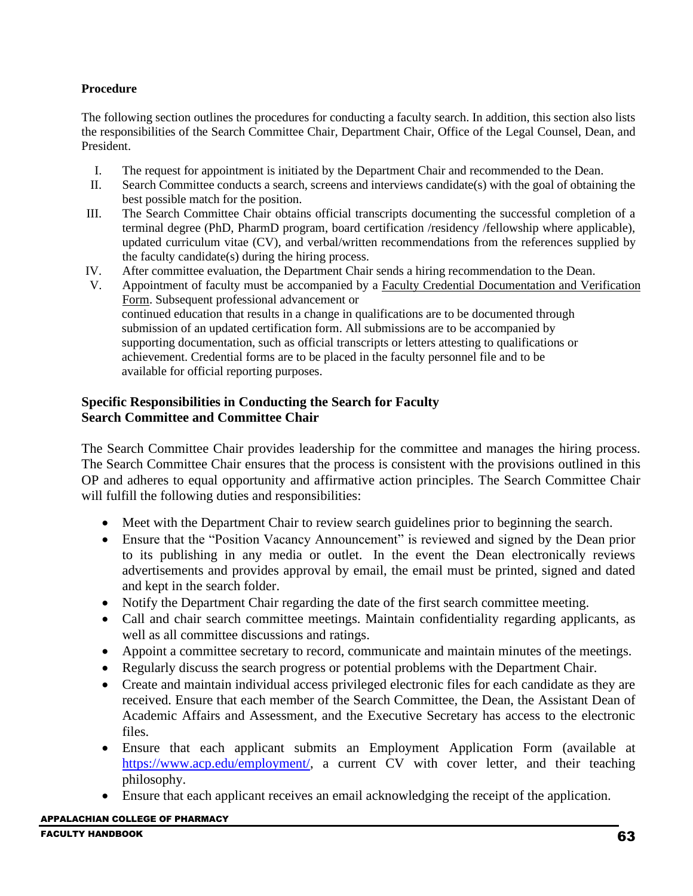# **Procedure**

The following section outlines the procedures for conducting a faculty search. In addition, this section also lists the responsibilities of the Search Committee Chair, Department Chair, Office of the Legal Counsel, Dean, and President.

- I. The request for appointment is initiated by the Department Chair and recommended to the Dean.
- II. Search Committee conducts a search, screens and interviews candidate(s) with the goal of obtaining the best possible match for the position.
- III. The Search Committee Chair obtains official transcripts documenting the successful completion of a terminal degree (PhD, PharmD program, board certification /residency /fellowship where applicable), updated curriculum vitae (CV), and verbal/written recommendations from the references supplied by the faculty candidate(s) during the hiring process.
- IV. After committee evaluation, the Department Chair sends a hiring recommendation to the Dean.
- V. Appointment of faculty must be accompanied by a Faculty Credential Documentation and Verification Form. Subsequent professional advancement or continued education that results in a change in qualifications are to be documented through submission of an updated certification form. All submissions are to be accompanied by supporting documentation, such as official transcripts or letters attesting to qualifications or achievement. Credential forms are to be placed in the faculty personnel file and to be available for official reporting purposes.

# **Specific Responsibilities in Conducting the Search for Faculty Search Committee and Committee Chair**

The Search Committee Chair provides leadership for the committee and manages the hiring process. The Search Committee Chair ensures that the process is consistent with the provisions outlined in this OP and adheres to equal opportunity and affirmative action principles. The Search Committee Chair will fulfill the following duties and responsibilities:

- Meet with the Department Chair to review search guidelines prior to beginning the search.
- Ensure that the "Position Vacancy Announcement" is reviewed and signed by the Dean prior to its publishing in any media or outlet. In the event the Dean electronically reviews advertisements and provides approval by email, the email must be printed, signed and dated and kept in the search folder.
- Notify the Department Chair regarding the date of the first search committee meeting.
- Call and chair search committee meetings. Maintain confidentiality regarding applicants, as well as all committee discussions and ratings.
- Appoint a committee secretary to record, communicate and maintain minutes of the meetings.
- Regularly discuss the search progress or potential problems with the Department Chair.
- Create and maintain individual access privileged electronic files for each candidate as they are received. Ensure that each member of the Search Committee, the Dean, the Assistant Dean of Academic Affairs and Assessment, and the Executive Secretary has access to the electronic files.
- Ensure that each applicant submits an Employment Application Form (available at [https://www.acp.edu/employment/,](https://www.acp.edu/employment/) a current CV with cover letter, and their teaching philosophy.
- Ensure that each applicant receives an email acknowledging the receipt of the application.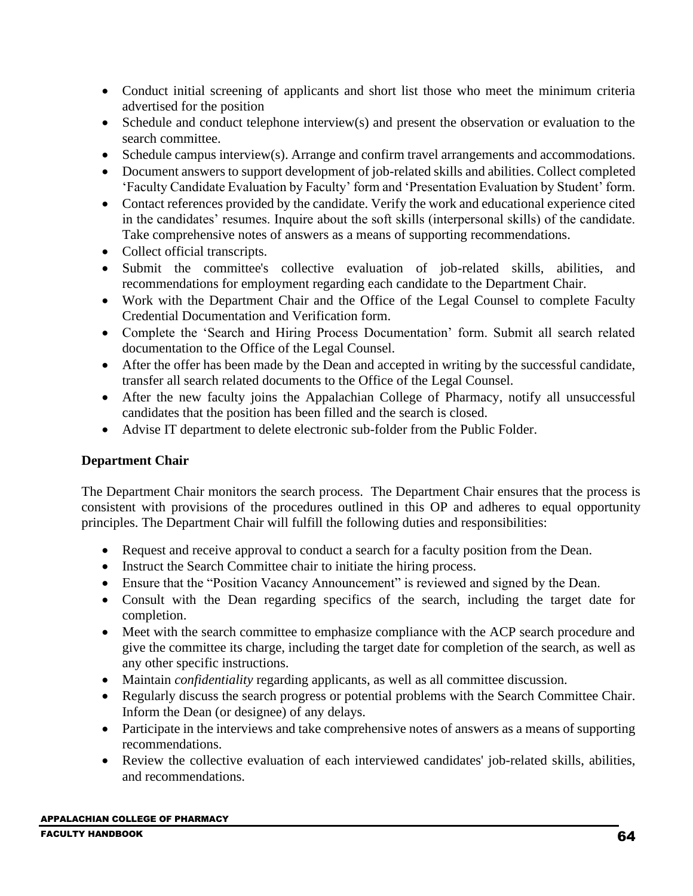- Conduct initial screening of applicants and short list those who meet the minimum criteria advertised for the position
- Schedule and conduct telephone interview(s) and present the observation or evaluation to the search committee.
- Schedule campus interview(s). Arrange and confirm travel arrangements and accommodations.
- Document answers to support development of job-related skills and abilities. Collect completed 'Faculty Candidate Evaluation by Faculty' form and 'Presentation Evaluation by Student' form.
- Contact references provided by the candidate. Verify the work and educational experience cited in the candidates' resumes. Inquire about the soft skills (interpersonal skills) of the candidate. Take comprehensive notes of answers as a means of supporting recommendations.
- Collect official transcripts.
- Submit the committee's collective evaluation of job-related skills, abilities, and recommendations for employment regarding each candidate to the Department Chair.
- Work with the Department Chair and the Office of the Legal Counsel to complete Faculty Credential Documentation and Verification form.
- Complete the 'Search and Hiring Process Documentation' form. Submit all search related documentation to the Office of the Legal Counsel.
- After the offer has been made by the Dean and accepted in writing by the successful candidate, transfer all search related documents to the Office of the Legal Counsel.
- After the new faculty joins the Appalachian College of Pharmacy, notify all unsuccessful candidates that the position has been filled and the search is closed.
- Advise IT department to delete electronic sub-folder from the Public Folder.

# **Department Chair**

The Department Chair monitors the search process. The Department Chair ensures that the process is consistent with provisions of the procedures outlined in this OP and adheres to equal opportunity principles. The Department Chair will fulfill the following duties and responsibilities:

- Request and receive approval to conduct a search for a faculty position from the Dean.
- Instruct the Search Committee chair to initiate the hiring process.
- Ensure that the "Position Vacancy Announcement" is reviewed and signed by the Dean.
- Consult with the Dean regarding specifics of the search, including the target date for completion.
- Meet with the search committee to emphasize compliance with the ACP search procedure and give the committee its charge, including the target date for completion of the search, as well as any other specific instructions.
- Maintain *confidentiality* regarding applicants, as well as all committee discussion.
- Regularly discuss the search progress or potential problems with the Search Committee Chair. Inform the Dean (or designee) of any delays.
- Participate in the interviews and take comprehensive notes of answers as a means of supporting recommendations.
- Review the collective evaluation of each interviewed candidates' job-related skills, abilities, and recommendations.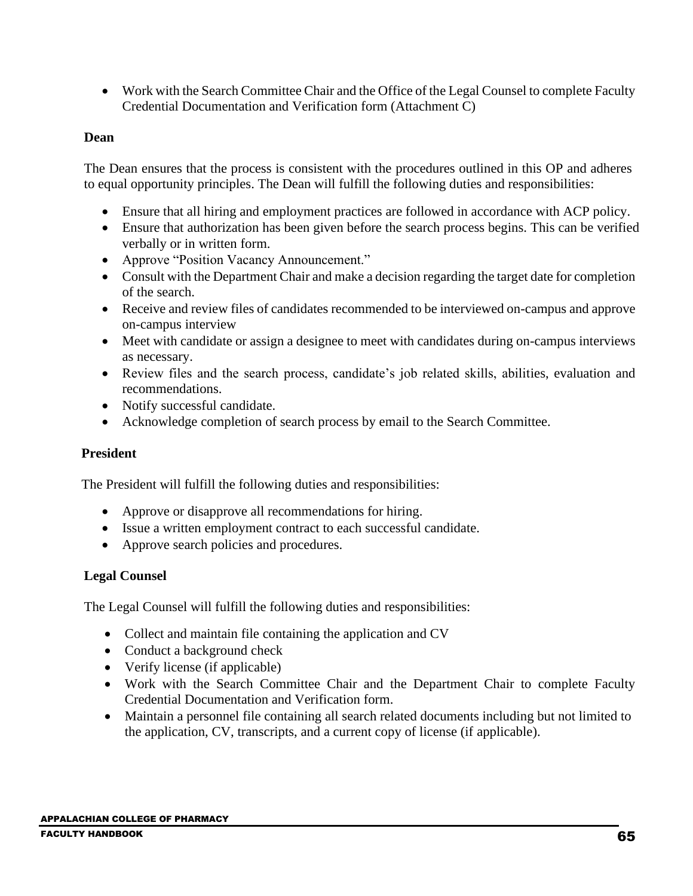• Work with the Search Committee Chair and the Office of the Legal Counsel to complete Faculty Credential Documentation and Verification form (Attachment C)

# **Dean**

The Dean ensures that the process is consistent with the procedures outlined in this OP and adheres to equal opportunity principles. The Dean will fulfill the following duties and responsibilities:

- Ensure that all hiring and employment practices are followed in accordance with ACP policy.
- Ensure that authorization has been given before the search process begins. This can be verified verbally or in written form.
- Approve "Position Vacancy Announcement."
- Consult with the Department Chair and make a decision regarding the target date for completion of the search.
- Receive and review files of candidates recommended to be interviewed on-campus and approve on-campus interview
- Meet with candidate or assign a designee to meet with candidates during on-campus interviews as necessary.
- Review files and the search process, candidate's job related skills, abilities, evaluation and recommendations.
- Notify successful candidate.
- Acknowledge completion of search process by email to the Search Committee.

# **President**

The President will fulfill the following duties and responsibilities:

- Approve or disapprove all recommendations for hiring.
- Issue a written employment contract to each successful candidate.
- Approve search policies and procedures.

# **Legal Counsel**

The Legal Counsel will fulfill the following duties and responsibilities:

- Collect and maintain file containing the application and CV
- Conduct a background check
- Verify license (if applicable)
- Work with the Search Committee Chair and the Department Chair to complete Faculty Credential Documentation and Verification form.
- Maintain a personnel file containing all search related documents including but not limited to the application, CV, transcripts, and a current copy of license (if applicable).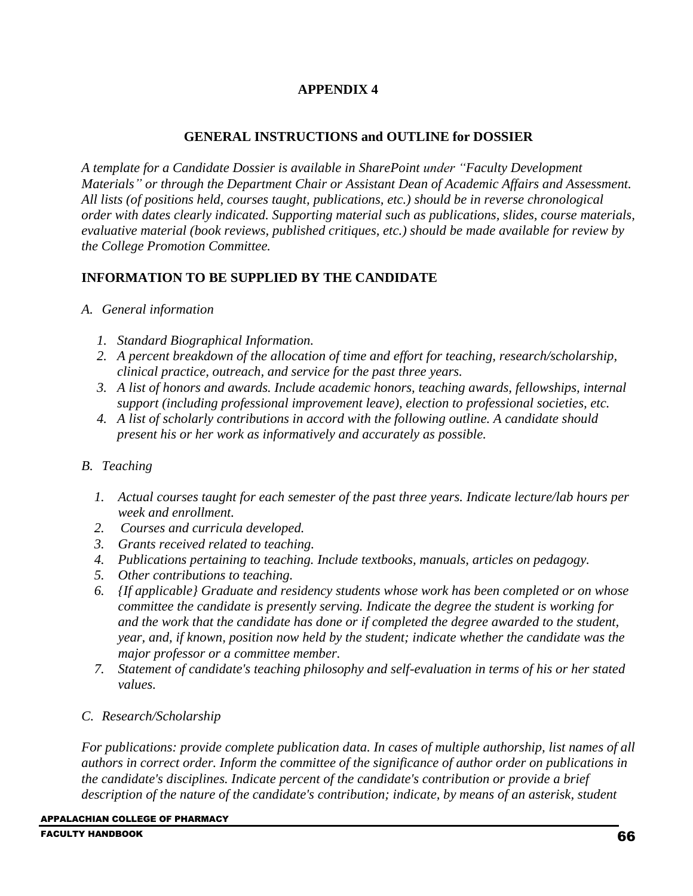# **APPENDIX 4**

# **GENERAL INSTRUCTIONS and OUTLINE for DOSSIER**

*A template for a Candidate Dossier is available in SharePoint under "Faculty Development Materials" or through the Department Chair or Assistant Dean of Academic Affairs and Assessment. All lists (of positions held, courses taught, publications, etc.) should be in reverse chronological order with dates clearly indicated. Supporting material such as publications, slides, course materials, evaluative material (book reviews, published critiques, etc.) should be made available for review by the College Promotion Committee.* 

# **INFORMATION TO BE SUPPLIED BY THE CANDIDATE**

# *A. General information*

- *1. Standard Biographical Information.*
- *2. A percent breakdown of the allocation of time and effort for teaching, research/scholarship, clinical practice, outreach, and service for the past three years.*
- *3. A list of honors and awards. Include academic honors, teaching awards, fellowships, internal support (including professional improvement leave), election to professional societies, etc.*
- *4. A list of scholarly contributions in accord with the following outline. A candidate should present his or her work as informatively and accurately as possible.*

# *B. Teaching*

- *1. Actual courses taught for each semester of the past three years. Indicate lecture/lab hours per week and enrollment.*
- *2. Courses and curricula developed.*
- *3. Grants received related to teaching.*
- *4. Publications pertaining to teaching. Include textbooks, manuals, articles on pedagogy.*
- *5. Other contributions to teaching.*
- *6. {If applicable} Graduate and residency students whose work has been completed or on whose committee the candidate is presently serving. Indicate the degree the student is working for and the work that the candidate has done or if completed the degree awarded to the student, year, and, if known, position now held by the student; indicate whether the candidate was the major professor or a committee member.*
- *7. Statement of candidate's teaching philosophy and self-evaluation in terms of his or her stated values.*
- *C. Research/Scholarship*

*For publications: provide complete publication data. In cases of multiple authorship, list names of all authors in correct order. Inform the committee of the significance of author order on publications in the candidate's disciplines. Indicate percent of the candidate's contribution or provide a brief description of the nature of the candidate's contribution; indicate, by means of an asterisk, student*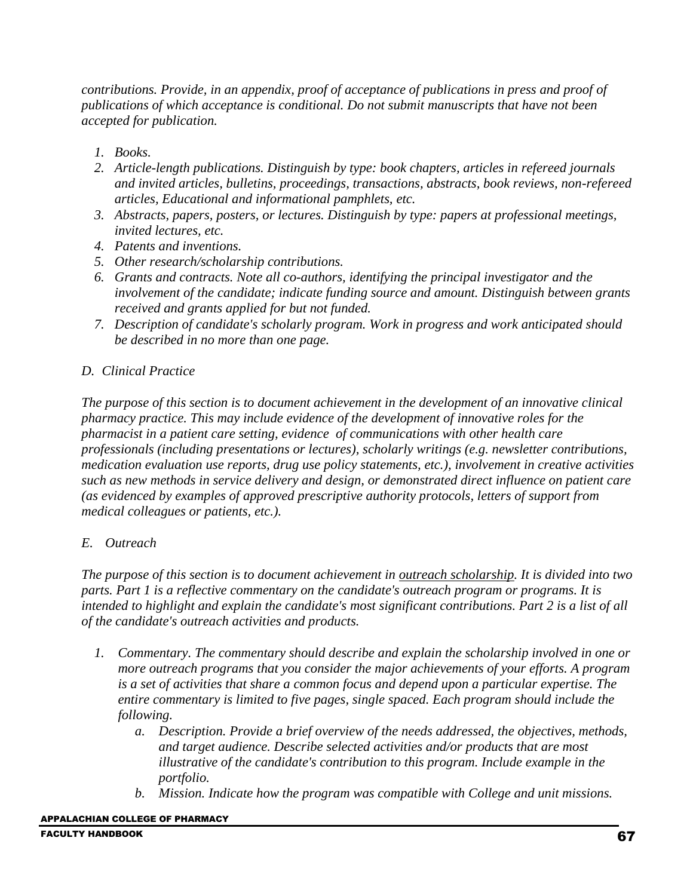*contributions. Provide, in an appendix, proof of acceptance of publications in press and proof of publications of which acceptance is conditional. Do not submit manuscripts that have not been accepted for publication.*

- *1. Books.*
- *2. Article-length publications. Distinguish by type: book chapters, articles in refereed journals and invited articles, bulletins, proceedings, transactions, abstracts, book reviews, non-refereed articles, Educational and informational pamphlets, etc.*
- *3. Abstracts, papers, posters, or lectures. Distinguish by type: papers at professional meetings, invited lectures, etc.*
- *4. Patents and inventions.*
- *5. Other research/scholarship contributions.*
- *6. Grants and contracts. Note all co-authors, identifying the principal investigator and the involvement of the candidate; indicate funding source and amount. Distinguish between grants received and grants applied for but not funded.*
- *7. Description of candidate's scholarly program. Work in progress and work anticipated should be described in no more than one page.*
- *D. Clinical Practice*

*The purpose of this section is to document achievement in the development of an innovative clinical pharmacy practice. This may include evidence of the development of innovative roles for the pharmacist in a patient care setting, evidence of communications with other health care professionals (including presentations or lectures), scholarly writings (e.g. newsletter contributions, medication evaluation use reports, drug use policy statements, etc.), involvement in creative activities such as new methods in service delivery and design, or demonstrated direct influence on patient care (as evidenced by examples of approved prescriptive authority protocols, letters of support from medical colleagues or patients, etc.).*

*E. Outreach*

*The purpose of this section is to document achievement in outreach scholarship. It is divided into two parts. Part 1 is a reflective commentary on the candidate's outreach program or programs. It is intended to highlight and explain the candidate's most significant contributions. Part 2 is a list of all of the candidate's outreach activities and products.* 

- *1. Commentary. The commentary should describe and explain the scholarship involved in one or more outreach programs that you consider the major achievements of your efforts. A program is a set of activities that share a common focus and depend upon a particular expertise. The entire commentary is limited to five pages, single spaced. Each program should include the following.*
	- *a. Description. Provide a brief overview of the needs addressed, the objectives, methods, and target audience. Describe selected activities and/or products that are most illustrative of the candidate's contribution to this program. Include example in the portfolio.*
	- *b. Mission. Indicate how the program was compatible with College and unit missions.*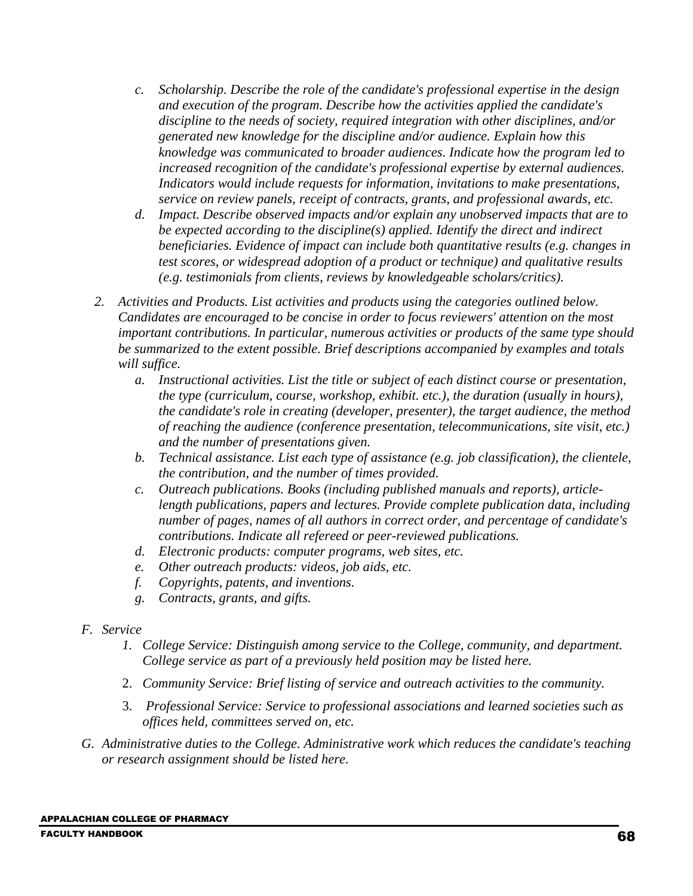- *c. Scholarship. Describe the role of the candidate's professional expertise in the design and execution of the program. Describe how the activities applied the candidate's discipline to the needs of society, required integration with other disciplines, and/or generated new knowledge for the discipline and/or audience. Explain how this knowledge was communicated to broader audiences. Indicate how the program led to increased recognition of the candidate's professional expertise by external audiences. Indicators would include requests for information, invitations to make presentations, service on review panels, receipt of contracts, grants, and professional awards, etc.*
- *d. Impact. Describe observed impacts and/or explain any unobserved impacts that are to be expected according to the discipline(s) applied. Identify the direct and indirect beneficiaries. Evidence of impact can include both quantitative results (e.g. changes in test scores, or widespread adoption of a product or technique) and qualitative results (e.g. testimonials from clients, reviews by knowledgeable scholars/critics).*
- *2. Activities and Products. List activities and products using the categories outlined below. Candidates are encouraged to be concise in order to focus reviewers' attention on the most important contributions. In particular, numerous activities or products of the same type should be summarized to the extent possible. Brief descriptions accompanied by examples and totals will suffice.* 
	- *a. Instructional activities. List the title or subject of each distinct course or presentation, the type (curriculum, course, workshop, exhibit. etc.), the duration (usually in hours), the candidate's role in creating (developer, presenter), the target audience, the method of reaching the audience (conference presentation, telecommunications, site visit, etc.) and the number of presentations given.*
	- *b. Technical assistance. List each type of assistance (e.g. job classification), the clientele, the contribution, and the number of times provided.*
	- *c. Outreach publications. Books (including published manuals and reports), articlelength publications, papers and lectures. Provide complete publication data, including number of pages, names of all authors in correct order, and percentage of candidate's contributions. Indicate all refereed or peer-reviewed publications.*
	- *d. Electronic products: computer programs, web sites, etc.*
	- *e. Other outreach products: videos, job aids, etc.*
	- *f. Copyrights, patents, and inventions.*
	- *g. Contracts, grants, and gifts.*
- *F. Service*
	- *1. College Service: Distinguish among service to the College, community, and department. College service as part of a previously held position may be listed here.*
	- 2. *Community Service: Brief listing of service and outreach activities to the community.*
	- 3. *Professional Service: Service to professional associations and learned societies such as offices held, committees served on, etc.*
- *G. Administrative duties to the College. Administrative work which reduces the candidate's teaching or research assignment should be listed here.*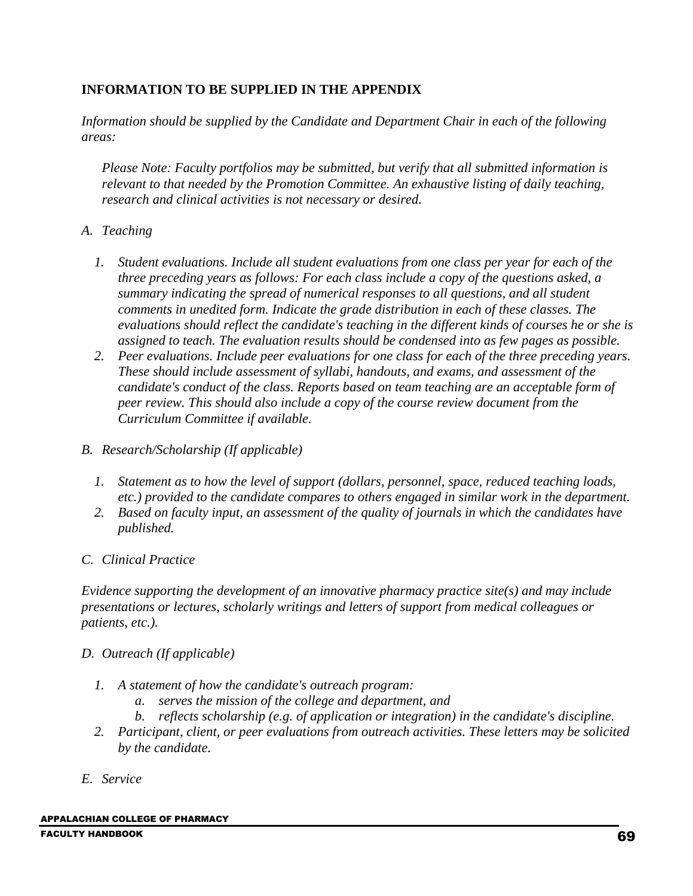# **INFORMATION TO BE SUPPLIED IN THE APPENDIX**

*Information should be supplied by the Candidate and Department Chair in each of the following areas:*

*Please Note: Faculty portfolios may be submitted, but verify that all submitted information is relevant to that needed by the Promotion Committee. An exhaustive listing of daily teaching, research and clinical activities is not necessary or desired.*

- *A. Teaching*
	- *1. Student evaluations. Include all student evaluations from one class per year for each of the three preceding years as follows: For each class include a copy of the questions asked, a summary indicating the spread of numerical responses to all questions, and all student comments in unedited form. Indicate the grade distribution in each of these classes. The evaluations should reflect the candidate's teaching in the different kinds of courses he or she is assigned to teach. The evaluation results should be condensed into as few pages as possible.*
	- *2. Peer evaluations. Include peer evaluations for one class for each of the three preceding years. These should include assessment of syllabi, handouts, and exams, and assessment of the candidate's conduct of the class. Reports based on team teaching are an acceptable form of peer review. This should also include a copy of the course review document from the Curriculum Committee if available.*
- *B. Research/Scholarship (If applicable)*
	- *1. Statement as to how the level of support (dollars, personnel, space, reduced teaching loads, etc.) provided to the candidate compares to others engaged in similar work in the department.*
	- *2. Based on faculty input, an assessment of the quality of journals in which the candidates have published.*
- *C. Clinical Practice*

*Evidence supporting the development of an innovative pharmacy practice site(s) and may include presentations or lectures, scholarly writings and letters of support from medical colleagues or patients, etc.).*

- *D. Outreach (If applicable)*
	- *1. A statement of how the candidate's outreach program:*
		- *a. serves the mission of the college and department, and*
		- *b. reflects scholarship (e.g. of application or integration) in the candidate's discipline.*
	- *2. Participant, client, or peer evaluations from outreach activities. These letters may be solicited by the candidate.*
- *E. Service*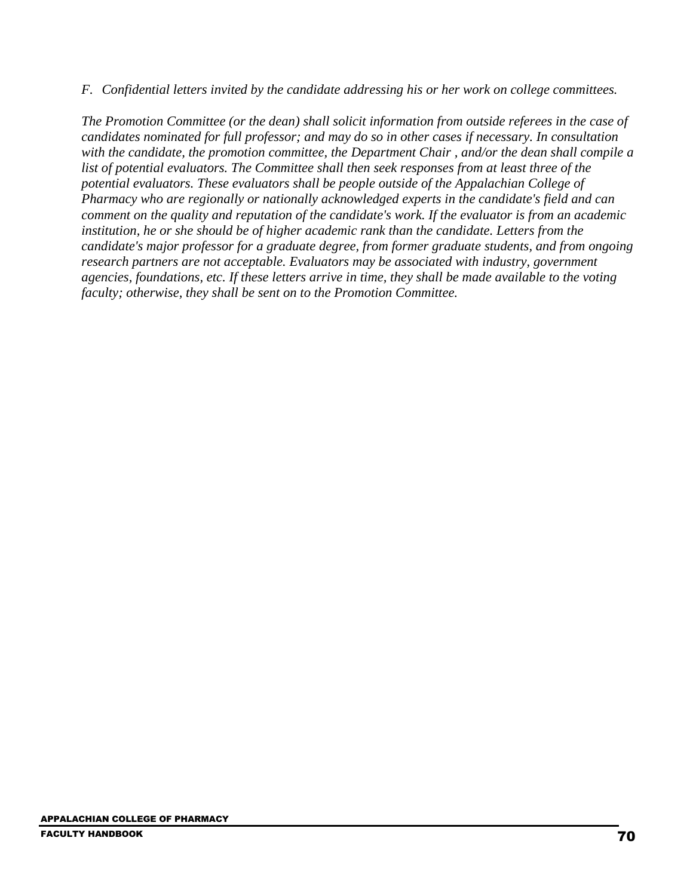#### *F. Confidential letters invited by the candidate addressing his or her work on college committees.*

*The Promotion Committee (or the dean) shall solicit information from outside referees in the case of candidates nominated for full professor; and may do so in other cases if necessary. In consultation with the candidate, the promotion committee, the Department Chair , and/or the dean shall compile a list of potential evaluators. The Committee shall then seek responses from at least three of the potential evaluators. These evaluators shall be people outside of the Appalachian College of Pharmacy who are regionally or nationally acknowledged experts in the candidate's field and can comment on the quality and reputation of the candidate's work. If the evaluator is from an academic*  institution, he or she should be of higher academic rank than the candidate. Letters from the *candidate's major professor for a graduate degree, from former graduate students, and from ongoing research partners are not acceptable. Evaluators may be associated with industry, government agencies, foundations, etc. If these letters arrive in time, they shall be made available to the voting faculty; otherwise, they shall be sent on to the Promotion Committee.*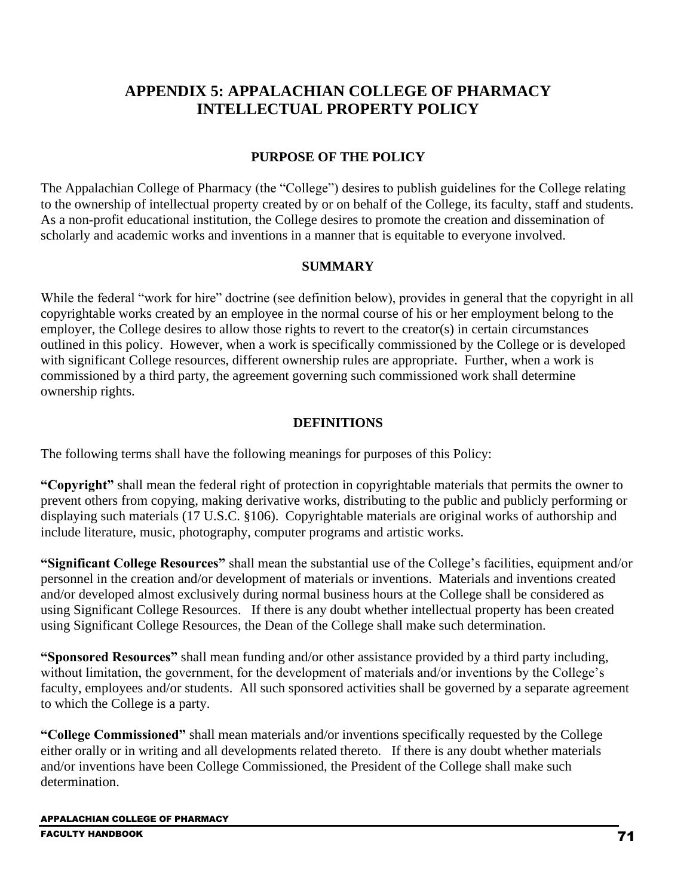# **APPENDIX 5: APPALACHIAN COLLEGE OF PHARMACY INTELLECTUAL PROPERTY POLICY**

### **PURPOSE OF THE POLICY**

The Appalachian College of Pharmacy (the "College") desires to publish guidelines for the College relating to the ownership of intellectual property created by or on behalf of the College, its faculty, staff and students. As a non-profit educational institution, the College desires to promote the creation and dissemination of scholarly and academic works and inventions in a manner that is equitable to everyone involved.

#### **SUMMARY**

While the federal "work for hire" doctrine (see definition below), provides in general that the copyright in all copyrightable works created by an employee in the normal course of his or her employment belong to the employer, the College desires to allow those rights to revert to the creator(s) in certain circumstances outlined in this policy. However, when a work is specifically commissioned by the College or is developed with significant College resources, different ownership rules are appropriate. Further, when a work is commissioned by a third party, the agreement governing such commissioned work shall determine ownership rights.

#### **DEFINITIONS**

The following terms shall have the following meanings for purposes of this Policy:

**"Copyright"** shall mean the federal right of protection in copyrightable materials that permits the owner to prevent others from copying, making derivative works, distributing to the public and publicly performing or displaying such materials (17 U.S.C. §106). Copyrightable materials are original works of authorship and include literature, music, photography, computer programs and artistic works.

**"Significant College Resources"** shall mean the substantial use of the College's facilities, equipment and/or personnel in the creation and/or development of materials or inventions. Materials and inventions created and/or developed almost exclusively during normal business hours at the College shall be considered as using Significant College Resources. If there is any doubt whether intellectual property has been created using Significant College Resources, the Dean of the College shall make such determination.

**"Sponsored Resources"** shall mean funding and/or other assistance provided by a third party including, without limitation, the government, for the development of materials and/or inventions by the College's faculty, employees and/or students. All such sponsored activities shall be governed by a separate agreement to which the College is a party.

**"College Commissioned"** shall mean materials and/or inventions specifically requested by the College either orally or in writing and all developments related thereto. If there is any doubt whether materials and/or inventions have been College Commissioned, the President of the College shall make such determination.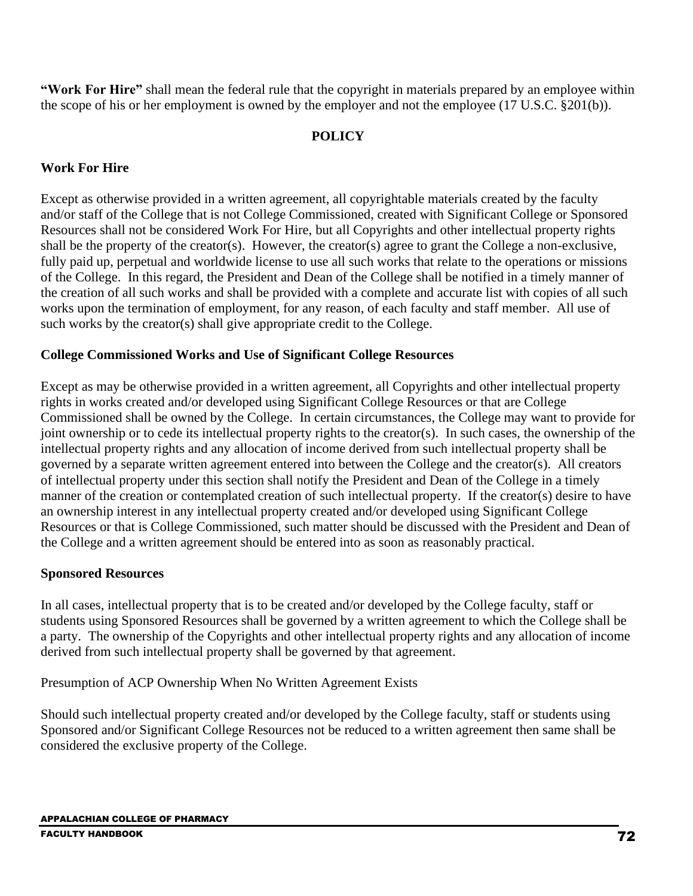**"Work For Hire"** shall mean the federal rule that the copyright in materials prepared by an employee within the scope of his or her employment is owned by the employer and not the employee (17 U.S.C. §201(b)).

# **POLICY**

# **Work For Hire**

Except as otherwise provided in a written agreement, all copyrightable materials created by the faculty and/or staff of the College that is not College Commissioned, created with Significant College or Sponsored Resources shall not be considered Work For Hire, but all Copyrights and other intellectual property rights shall be the property of the creator(s). However, the creator(s) agree to grant the College a non-exclusive, fully paid up, perpetual and worldwide license to use all such works that relate to the operations or missions of the College. In this regard, the President and Dean of the College shall be notified in a timely manner of the creation of all such works and shall be provided with a complete and accurate list with copies of all such works upon the termination of employment, for any reason, of each faculty and staff member. All use of such works by the creator(s) shall give appropriate credit to the College.

## **College Commissioned Works and Use of Significant College Resources**

Except as may be otherwise provided in a written agreement, all Copyrights and other intellectual property rights in works created and/or developed using Significant College Resources or that are College Commissioned shall be owned by the College. In certain circumstances, the College may want to provide for joint ownership or to cede its intellectual property rights to the creator(s). In such cases, the ownership of the intellectual property rights and any allocation of income derived from such intellectual property shall be governed by a separate written agreement entered into between the College and the creator(s). All creators of intellectual property under this section shall notify the President and Dean of the College in a timely manner of the creation or contemplated creation of such intellectual property. If the creator(s) desire to have an ownership interest in any intellectual property created and/or developed using Significant College Resources or that is College Commissioned, such matter should be discussed with the President and Dean of the College and a written agreement should be entered into as soon as reasonably practical.

## **Sponsored Resources**

In all cases, intellectual property that is to be created and/or developed by the College faculty, staff or students using Sponsored Resources shall be governed by a written agreement to which the College shall be a party. The ownership of the Copyrights and other intellectual property rights and any allocation of income derived from such intellectual property shall be governed by that agreement.

Presumption of ACP Ownership When No Written Agreement Exists

Should such intellectual property created and/or developed by the College faculty, staff or students using Sponsored and/or Significant College Resources not be reduced to a written agreement then same shall be considered the exclusive property of the College.